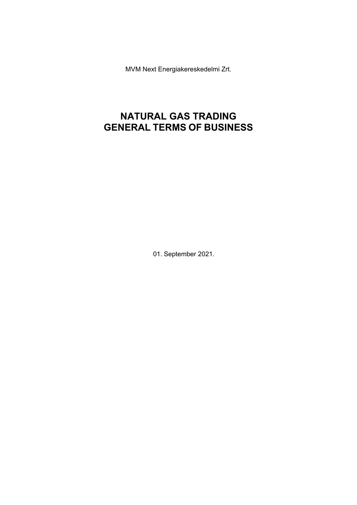MVM Next Energiakereskedelmi Zrt.

# **NATURAL GAS TRADING GENERAL TERMS OF BUSINESS**

01. September 2021.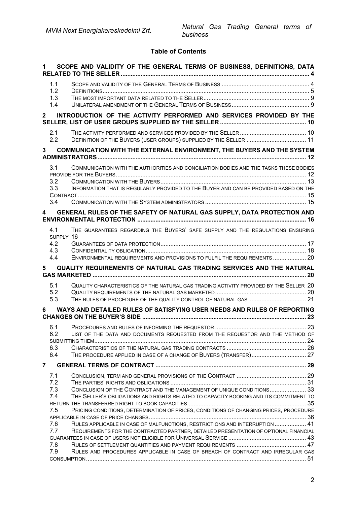## **Table of Contents**

|                         |                                       | SCOPE AND VALIDITY OF THE GENERAL TERMS OF BUSINESS, DEFINITIONS, DATA                                                                                                        |  |
|-------------------------|---------------------------------------|-------------------------------------------------------------------------------------------------------------------------------------------------------------------------------|--|
|                         | 1.1<br>1.2<br>1.3<br>1.4              |                                                                                                                                                                               |  |
| $\mathbf{2}$            |                                       | INTRODUCTION OF THE ACTIVITY PERFORMED AND SERVICES PROVIDED BY THE                                                                                                           |  |
|                         | 2.1<br>2.2                            |                                                                                                                                                                               |  |
| $3^{\circ}$             |                                       | <b>COMMUNICATION WITH THE EXTERNAL ENVIRONMENT, THE BUYERS AND THE SYSTEM</b>                                                                                                 |  |
|                         | 3.1<br>3.2<br>3.3<br>3.4              | COMMUNICATION WITH THE AUTHORITIES AND CONCILIATION BODIES AND THE TASKS THESE BODIES<br>INFORMATION THAT IS REGULARLY PROVIDED TO THE BUYER AND CAN BE PROVIDED BASED ON THE |  |
| $\overline{\mathbf{4}}$ |                                       | GENERAL RULES OF THE SAFETY OF NATURAL GAS SUPPLY, DATA PROTECTION AND                                                                                                        |  |
|                         | 4.1<br>SUPPLY 16<br>4.2<br>4.3<br>4.4 | THE GUARANTEES REGARDING THE BUYERS' SAFE SUPPLY AND THE REGULATIONS ENSURING<br>ENVIRONMENTAL REQUIREMENTS AND PROVISIONS TO FULFIL THE REQUIREMENTS 20                      |  |
|                         |                                       |                                                                                                                                                                               |  |
| 5                       |                                       | QUALITY REQUIREMENTS OF NATURAL GAS TRADING SERVICES AND THE NATURAL                                                                                                          |  |
|                         | 5.1<br>5.2<br>5.3                     | QUALITY CHARACTERISTICS OF THE NATURAL GAS TRADING ACTIVITY PROVIDED BY THE SELLER 20<br>THE RULES OF PROCEDURE OF THE QUALITY CONTROL OF NATURAL GAS 21                      |  |
| 6                       |                                       | WAYS AND DETAILED RULES OF SATISFYING USER NEEDS AND RULES OF REPORTING                                                                                                       |  |
|                         | 6.1<br>6.2<br>6.3<br>6.4              | LIST OF THE DATA AND DOCUMENTS REQUESTED FROM THE REQUESTOR AND THE METHOD OF<br>THE PROCEDURE APPLIED IN CASE OF A CHANGE OF BUYERS (TRANSFER) 27                            |  |
| $\overline{7}$          |                                       |                                                                                                                                                                               |  |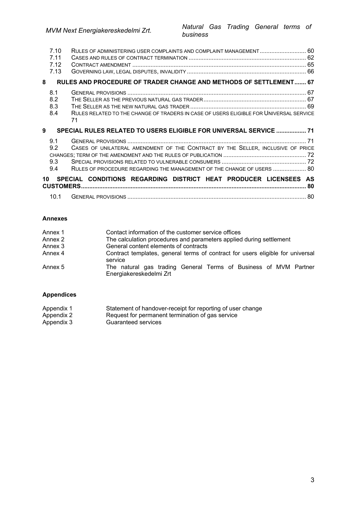|    | 7.10<br>7.11<br>7.12<br>7.13 | RULES OF ADMINISTERING USER COMPLAINTS AND COMPLAINT MANAGEMENT 60                                                                                        |  |
|----|------------------------------|-----------------------------------------------------------------------------------------------------------------------------------------------------------|--|
| 8  |                              | RULES AND PROCEDURE OF TRADER CHANGE AND METHODS OF SETTLEMENT 67                                                                                         |  |
|    | 8.1<br>8.2<br>8.3<br>8.4     | RULES RELATED TO THE CHANGE OF TRADERS IN CASE OF USERS ELIGIBLE FOR UNIVERSAL SERVICE<br>71                                                              |  |
|    |                              |                                                                                                                                                           |  |
| 9  |                              | SPECIAL RULES RELATED TO USERS ELIGIBLE FOR UNIVERSAL SERVICE  71                                                                                         |  |
|    | 9.1<br>9.2<br>9.3<br>9.4     | CASES OF UNILATERAL AMENDMENT OF THE CONTRACT BY THE SELLER, INCLUSIVE OF PRICE<br>RULES OF PROCEDURE REGARDING THE MANAGEMENT OF THE CHANGE OF USERS  80 |  |
| 10 |                              | SPECIAL CONDITIONS REGARDING DISTRICT HEAT PRODUCER LICENSEES AS                                                                                          |  |

#### **Annexes**

| Annex 1 | Contact information of the customer service offices                                         |
|---------|---------------------------------------------------------------------------------------------|
| Annex 2 | The calculation procedures and parameters applied during settlement                         |
| Annex 3 | General content elements of contracts                                                       |
| Annex 4 | Contract templates, general terms of contract for users eligible for universal<br>service   |
| Annex 5 | The natural gas trading General Terms of Business of MVM Partner<br>Energiakereskedelmi Zrt |

### **Appendices**

| Appendix 1 | Statement of handover-receipt for reporting of user change |
|------------|------------------------------------------------------------|
| Appendix 2 | Request for permanent termination of gas service           |
| Appendix 3 | Guaranteed services                                        |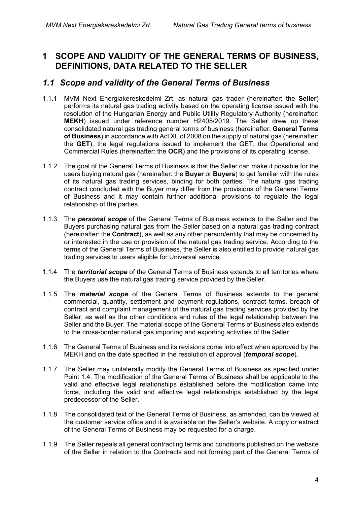## <span id="page-3-0"></span>**1 SCOPE AND VALIDITY OF THE GENERAL TERMS OF BUSINESS, DEFINITIONS, DATA RELATED TO THE SELLER**

## <span id="page-3-1"></span>*1.1 Scope and validity of the General Terms of Business*

- 1.1.1 MVM Next Energiakereskedelmi Zrt. as natural gas trader (hereinafter: the **Seller**) performs its natural gas trading activity based on the operating license issued with the resolution of the Hungarian Energy and Public Utility Regulatory Authority (hereinafter: **MEKH**) issued under reference number H2405/2019. The Seller drew up these consolidated natural gas trading general terms of business (hereinafter: **General Terms of Business**) in accordance with Act XL of 2008 on the supply of natural gas (hereinafter: the **GET**), the legal regulations issued to implement the GET, the Operational and Commercial Rules (hereinafter: the **OCR**) and the provisions of its operating license.
- 1.1.2 The goal of the General Terms of Business is that the Seller can make it possible for the users buying natural gas (hereinafter: the **Buyer** or **Buyers**) to get familiar with the rules of its natural gas trading services, binding for both parties. The natural gas trading contract concluded with the Buyer may differ from the provisions of the General Terms of Business and it may contain further additional provisions to regulate the legal relationship of the parties.
- 1.1.3 The *personal scope* of the General Terms of Business extends to the Seller and the Buyers purchasing natural gas from the Seller based on a natural gas trading contract (hereinafter: the **Contract**), as well as any other person/entity that may be concerned by or interested in the use or provision of the natural gas trading service. According to the terms of the General Terms of Business, the Seller is also entitled to provide natural gas trading services to users eligible for Universal service.
- 1.1.4 The *territorial scope* of the General Terms of Business extends to all territories where the Buyers use the natural gas trading service provided by the Seller.
- 1.1.5 The *material scope* of the General Terms of Business extends to the general commercial, quantity, settlement and payment regulations, contract terms, breach of contract and complaint management of the natural gas trading services provided by the Seller, as well as the other conditions and rules of the legal relationship between the Seller and the Buyer. The material scope of the General Terms of Business also extends to the cross-border natural gas importing and exporting activities of the Seller.
- 1.1.6 The General Terms of Business and its revisions come into effect when approved by the MEKH and on the date specified in the resolution of approval (*temporal scope*).
- 1.1.7 The Seller may unilaterally modify the General Terms of Business as specified under Point 1.4. The modification of the General Terms of Business shall be applicable to the valid and effective legal relationships established before the modification came into force, including the valid and effective legal relationships established by the legal predecessor of the Seller.
- 1.1.8 The consolidated text of the General Terms of Business, as amended, can be viewed at the customer service office and it is available on the Seller's website. A copy or extract of the General Terms of Business may be requested for a charge.
- 1.1.9 The Seller repeals all general contracting terms and conditions published on the website of the Seller in relation to the Contracts and not forming part of the General Terms of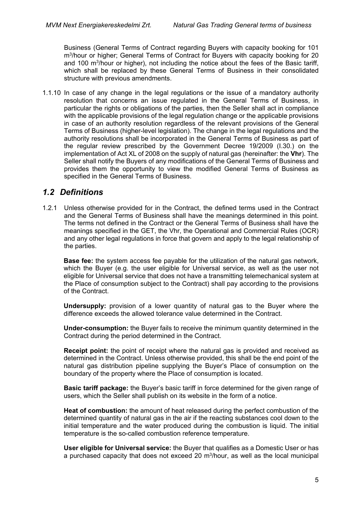Business (General Terms of Contract regarding Buyers with capacity booking for 101 m3/hour or higher; General Terms of Contract for Buyers with capacity booking for 20 and 100  $\mathrm{m}^3$ /hour or higher), not including the notice about the fees of the Basic tariff. which shall be replaced by these General Terms of Business in their consolidated structure with previous amendments.

1.1.10 In case of any change in the legal regulations or the issue of a mandatory authority resolution that concerns an issue regulated in the General Terms of Business, in particular the rights or obligations of the parties, then the Seller shall act in compliance with the applicable provisions of the legal regulation change or the applicable provisions in case of an authority resolution regardless of the relevant provisions of the General Terms of Business (higher-level legislation). The change in the legal regulations and the authority resolutions shall be incorporated in the General Terms of Business as part of the regular review prescribed by the Government Decree 19/2009 (I.30.) on the implementation of Act XL of 2008 on the supply of natural gas (hereinafter: the **Vhr**). The Seller shall notify the Buyers of any modifications of the General Terms of Business and provides them the opportunity to view the modified General Terms of Business as specified in the General Terms of Business.

## <span id="page-4-0"></span>*1.2 Definitions*

1.2.1 Unless otherwise provided for in the Contract, the defined terms used in the Contract and the General Terms of Business shall have the meanings determined in this point. The terms not defined in the Contract or the General Terms of Business shall have the meanings specified in the GET, the Vhr, the Operational and Commercial Rules (OCR) and any other legal regulations in force that govern and apply to the legal relationship of the parties.

**Base fee:** the system access fee payable for the utilization of the natural gas network, which the Buyer (e.g. the user eligible for Universal service, as well as the user not eligible for Universal service that does not have a transmitting telemechanical system at the Place of consumption subject to the Contract) shall pay according to the provisions of the Contract.

**Undersupply:** provision of a lower quantity of natural gas to the Buyer where the difference exceeds the allowed tolerance value determined in the Contract.

**Under-consumption:** the Buyer fails to receive the minimum quantity determined in the Contract during the period determined in the Contract.

**Receipt point:** the point of receipt where the natural gas is provided and received as determined in the Contract. Unless otherwise provided, this shall be the end point of the natural gas distribution pipeline supplying the Buyer's Place of consumption on the boundary of the property where the Place of consumption is located.

**Basic tariff package:** the Buyer's basic tariff in force determined for the given range of users, which the Seller shall publish on its website in the form of a notice.

**Heat of combustion:** the amount of heat released during the perfect combustion of the determined quantity of natural gas in the air if the reacting substances cool down to the initial temperature and the water produced during the combustion is liquid. The initial temperature is the so-called combustion reference temperature.

**User eligible for Universal service:** the Buyer that qualifies as a Domestic User or has a purchased capacity that does not exceed 20  $m<sup>3</sup>/hour$ , as well as the local municipal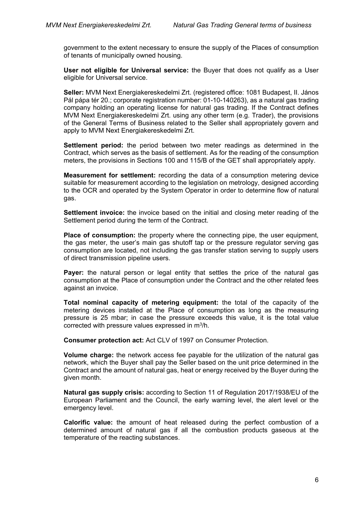government to the extent necessary to ensure the supply of the Places of consumption of tenants of municipally owned housing.

**User not eligible for Universal service:** the Buyer that does not qualify as a User eligible for Universal service.

**Seller:** MVM Next Energiakereskedelmi Zrt. (registered office: 1081 Budapest, II. János Pál pápa tér 20.; corporate registration number: 01-10-140263), as a natural gas trading company holding an operating license for natural gas trading. If the Contract defines MVM Next Energiakereskedelmi Zrt. using any other term (e.g. Trader), the provisions of the General Terms of Business related to the Seller shall appropriately govern and apply to MVM Next Energiakereskedelmi Zrt.

**Settlement period:** the period between two meter readings as determined in the Contract, which serves as the basis of settlement. As for the reading of the consumption meters, the provisions in Sections 100 and 115/B of the GET shall appropriately apply.

**Measurement for settlement:** recording the data of a consumption metering device suitable for measurement according to the legislation on metrology, designed according to the OCR and operated by the System Operator in order to determine flow of natural gas.

**Settlement invoice:** the invoice based on the initial and closing meter reading of the Settlement period during the term of the Contract.

**Place of consumption:** the property where the connecting pipe, the user equipment, the gas meter, the user's main gas shutoff tap or the pressure regulator serving gas consumption are located, not including the gas transfer station serving to supply users of direct transmission pipeline users.

**Payer:** the natural person or legal entity that settles the price of the natural gas consumption at the Place of consumption under the Contract and the other related fees against an invoice.

**Total nominal capacity of metering equipment:** the total of the capacity of the metering devices installed at the Place of consumption as long as the measuring pressure is 25 mbar; in case the pressure exceeds this value, it is the total value corrected with pressure values expressed in m3/h.

**Consumer protection act:** Act CLV of 1997 on Consumer Protection.

**Volume charge:** the network access fee payable for the utilization of the natural gas network, which the Buyer shall pay the Seller based on the unit price determined in the Contract and the amount of natural gas, heat or energy received by the Buyer during the given month.

**Natural gas supply crisis:** according to Section 11 of Regulation 2017/1938/EU of the European Parliament and the Council, the early warning level, the alert level or the emergency level.

**Calorific value:** the amount of heat released during the perfect combustion of a determined amount of natural gas if all the combustion products gaseous at the temperature of the reacting substances.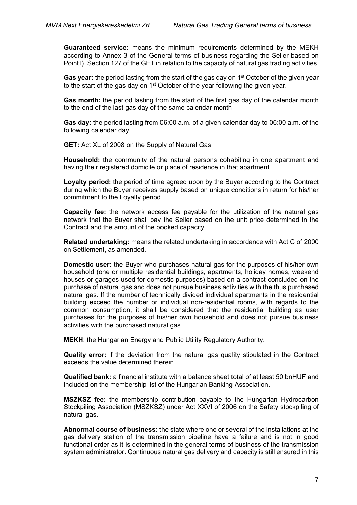**Guaranteed service:** means the minimum requirements determined by the MEKH according to Annex 3 of the General terms of business regarding the Seller based on Point l), Section 127 of the GET in relation to the capacity of natural gas trading activities.

Gas year: the period lasting from the start of the gas day on 1<sup>st</sup> October of the given year to the start of the gas day on  $1<sup>st</sup>$  October of the year following the given year.

**Gas month:** the period lasting from the start of the first gas day of the calendar month to the end of the last gas day of the same calendar month.

**Gas day:** the period lasting from 06:00 a.m. of a given calendar day to 06:00 a.m. of the following calendar day.

**GET:** Act XL of 2008 on the Supply of Natural Gas.

**Household:** the community of the natural persons cohabiting in one apartment and having their registered domicile or place of residence in that apartment.

**Loyalty period:** the period of time agreed upon by the Buyer according to the Contract during which the Buyer receives supply based on unique conditions in return for his/her commitment to the Loyalty period.

**Capacity fee:** the network access fee payable for the utilization of the natural gas network that the Buyer shall pay the Seller based on the unit price determined in the Contract and the amount of the booked capacity.

**Related undertaking:** means the related undertaking in accordance with Act C of 2000 on Settlement, as amended.

**Domestic user:** the Buyer who purchases natural gas for the purposes of his/her own household (one or multiple residential buildings, apartments, holiday homes, weekend houses or garages used for domestic purposes) based on a contract concluded on the purchase of natural gas and does not pursue business activities with the thus purchased natural gas. If the number of technically divided individual apartments in the residential building exceed the number or individual non-residential rooms, with regards to the common consumption, it shall be considered that the residential building as user purchases for the purposes of his/her own household and does not pursue business activities with the purchased natural gas.

**MEKH**: the Hungarian Energy and Public Utility Regulatory Authority.

**Quality error:** if the deviation from the natural gas quality stipulated in the Contract exceeds the value determined therein.

**Qualified bank:** a financial institute with a balance sheet total of at least 50 bnHUF and included on the membership list of the Hungarian Banking Association.

**MSZKSZ fee:** the membership contribution payable to the Hungarian Hydrocarbon Stockpiling Association (MSZKSZ) under Act XXVI of 2006 on the Safety stockpiling of natural gas.

**Abnormal course of business:** the state where one or several of the installations at the gas delivery station of the transmission pipeline have a failure and is not in good functional order as it is determined in the general terms of business of the transmission system administrator. Continuous natural gas delivery and capacity is still ensured in this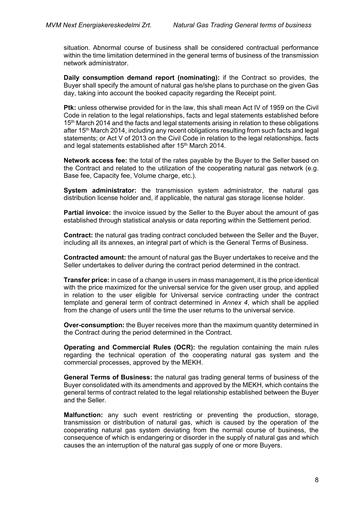situation. Abnormal course of business shall be considered contractual performance within the time limitation determined in the general terms of business of the transmission network administrator.

**Daily consumption demand report (nominating):** if the Contract so provides, the Buyer shall specify the amount of natural gas he/she plans to purchase on the given Gas day, taking into account the booked capacity regarding the Receipt point.

**Ptk:** unless otherwise provided for in the law, this shall mean Act IV of 1959 on the Civil Code in relation to the legal relationships, facts and legal statements established before 15<sup>th</sup> March 2014 and the facts and legal statements arising in relation to these obligations after 15<sup>th</sup> March 2014, including any recent obligations resulting from such facts and legal statements; or Act V of 2013 on the Civil Code in relation to the legal relationships, facts and legal statements established after 15<sup>th</sup> March 2014.

**Network access fee:** the total of the rates payable by the Buyer to the Seller based on the Contract and related to the utilization of the cooperating natural gas network (e.g. Base fee, Capacity fee, Volume charge, etc.).

**System administrator:** the transmission system administrator, the natural gas distribution license holder and, if applicable, the natural gas storage license holder.

**Partial invoice:** the invoice issued by the Seller to the Buyer about the amount of gas established through statistical analysis or data reporting within the Settlement period.

**Contract:** the natural gas trading contract concluded between the Seller and the Buyer, including all its annexes, an integral part of which is the General Terms of Business.

**Contracted amount:** the amount of natural gas the Buyer undertakes to receive and the Seller undertakes to deliver during the contract period determined in the contract.

**Transfer price:** in case of a change in users in mass management, it is the price identical with the price maximized for the universal service for the given user group, and applied in relation to the user eligible for Universal service contracting under the contract template and general term of contract determined in *Annex 4*, which shall be applied from the change of users until the time the user returns to the universal service.

**Over-consumption:** the Buyer receives more than the maximum quantity determined in the Contract during the period determined in the Contract.

**Operating and Commercial Rules (OCR):** the regulation containing the main rules regarding the technical operation of the cooperating natural gas system and the commercial processes, approved by the MEKH.

**General Terms of Business:** the natural gas trading general terms of business of the Buyer consolidated with its amendments and approved by the MEKH, which contains the general terms of contract related to the legal relationship established between the Buyer and the Seller.

**Malfunction:** any such event restricting or preventing the production, storage, transmission or distribution of natural gas, which is caused by the operation of the cooperating natural gas system deviating from the normal course of business, the consequence of which is endangering or disorder in the supply of natural gas and which causes the an interruption of the natural gas supply of one or more Buyers.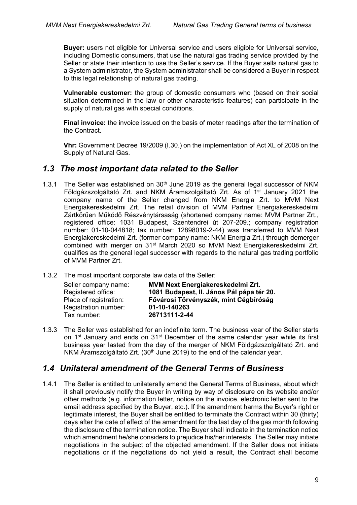**Buyer:** users not eligible for Universal service and users eligible for Universal service, including Domestic consumers, that use the natural gas trading service provided by the Seller or state their intention to use the Seller's service. If the Buyer sells natural gas to a System administrator, the System administrator shall be considered a Buyer in respect to this legal relationship of natural gas trading.

**Vulnerable customer:** the group of domestic consumers who (based on their social situation determined in the law or other characteristic features) can participate in the supply of natural gas with special conditions.

**Final invoice:** the invoice issued on the basis of meter readings after the termination of the Contract.

**Vhr:** Government Decree 19/2009 (I.30.) on the implementation of Act XL of 2008 on the Supply of Natural Gas.

### <span id="page-8-0"></span>*1.3 The most important data related to the Seller*

- 1.3.1 The Seller was established on  $30<sup>th</sup>$  June 2019 as the general legal successor of NKM Földgázszolgáltató Zrt. and NKM Áramszolgáltató Zrt. As of  $1<sup>st</sup>$  January 2021 the company name of the Seller changed from NKM Energia Zrt. to MVM Next Energiakereskedelmi Zrt. The retail division of MVM Partner Energiakereskedelmi Zártkörűen Működő Részvénytársaság (shortened company name: MVM Partner Zrt., registered office: 1031 Budapest, Szentendrei út 207-209.; company registration number: 01-10-044818; tax number: 12898019-2-44) was transferred to MVM Next Energiakereskedelmi Zrt. (former company name: NKM Energia Zrt.) through demerger combined with merger on 31st March 2020 so MVM Next Energiakereskedelmi Zrt. qualifies as the general legal successor with regards to the natural gas trading portfolio of MVM Partner Zrt.
- 1.3.2 The most important corporate law data of the Seller:

| Seller company name:   | MVM Next Energiakereskedelmi Zrt.         |
|------------------------|-------------------------------------------|
| Registered office:     | 1081 Budapest, II. János Pál pápa tér 20. |
| Place of registration: | Fővárosi Törvényszék, mint Cégbíróság     |
| Registration number:   | 01-10-140263                              |
| Tax number:            | 26713111-2-44                             |
|                        |                                           |

1.3.3 The Seller was established for an indefinite term. The business year of the Seller starts on  $1<sup>st</sup>$  January and ends on  $31<sup>st</sup>$  December of the same calendar year while its first business year lasted from the day of the merger of NKM Földgázszolgáltató Zrt. and NKM Áramszolgáltató Zrt. (30<sup>th</sup> June 2019) to the end of the calendar year.

## <span id="page-8-1"></span>*1.4 Unilateral amendment of the General Terms of Business*

1.4.1 The Seller is entitled to unilaterally amend the General Terms of Business, about which it shall previously notify the Buyer in writing by way of disclosure on its website and/or other methods (e.g. information letter, notice on the invoice, electronic letter sent to the email address specified by the Buyer, etc.). If the amendment harms the Buyer's right or legitimate interest, the Buyer shall be entitled to terminate the Contract within 30 (thirty) days after the date of effect of the amendment for the last day of the gas month following the disclosure of the termination notice. The Buyer shall indicate in the termination notice which amendment he/she considers to prejudice his/her interests. The Seller may initiate negotiations in the subject of the objected amendment. If the Seller does not initiate negotiations or if the negotiations do not yield a result, the Contract shall become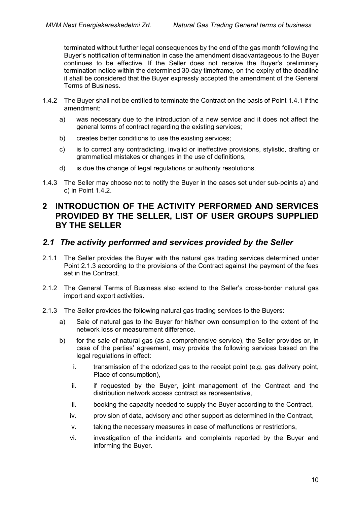terminated without further legal consequences by the end of the gas month following the Buyer's notification of termination in case the amendment disadvantageous to the Buyer continues to be effective. If the Seller does not receive the Buyer's preliminary termination notice within the determined 30-day timeframe, on the expiry of the deadline it shall be considered that the Buyer expressly accepted the amendment of the General Terms of Business.

- 1.4.2 The Buyer shall not be entitled to terminate the Contract on the basis of Point 1.4.1 if the amendment:
	- a) was necessary due to the introduction of a new service and it does not affect the general terms of contract regarding the existing services;
	- b) creates better conditions to use the existing services;
	- c) is to correct any contradicting, invalid or ineffective provisions, stylistic, drafting or grammatical mistakes or changes in the use of definitions,
	- d) is due the change of legal regulations or authority resolutions.
- 1.4.3 The Seller may choose not to notify the Buyer in the cases set under sub-points a) and c) in Point 1.4.2.

## <span id="page-9-0"></span>**2 INTRODUCTION OF THE ACTIVITY PERFORMED AND SERVICES PROVIDED BY THE SELLER, LIST OF USER GROUPS SUPPLIED BY THE SELLER**

### <span id="page-9-1"></span>*2.1 The activity performed and services provided by the Seller*

- 2.1.1 The Seller provides the Buyer with the natural gas trading services determined under Point 2.1.3 according to the provisions of the Contract against the payment of the fees set in the Contract.
- 2.1.2 The General Terms of Business also extend to the Seller's cross-border natural gas import and export activities.
- 2.1.3 The Seller provides the following natural gas trading services to the Buyers:
	- a) Sale of natural gas to the Buyer for his/her own consumption to the extent of the network loss or measurement difference.
	- b) for the sale of natural gas (as a comprehensive service), the Seller provides or, in case of the parties' agreement, may provide the following services based on the legal regulations in effect:
		- i. transmission of the odorized gas to the receipt point (e.g. gas delivery point, Place of consumption),
		- ii. if requested by the Buyer, joint management of the Contract and the distribution network access contract as representative,
		- iii. booking the capacity needed to supply the Buyer according to the Contract,
		- iv. provision of data, advisory and other support as determined in the Contract,
		- v. taking the necessary measures in case of malfunctions or restrictions,
		- vi. investigation of the incidents and complaints reported by the Buyer and informing the Buyer.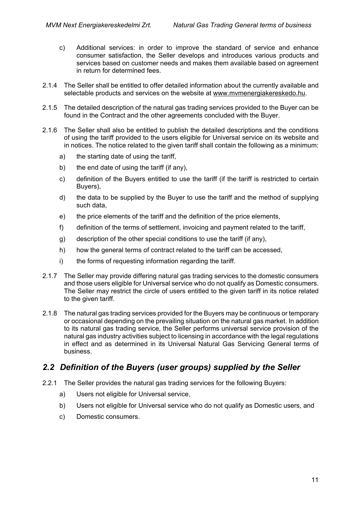- c) Additional services: in order to improve the standard of service and enhance consumer satisfaction, the Seller develops and introduces various products and services based on customer needs and makes them available based on agreement in return for determined fees.
- 2.1.4 The Seller shall be entitled to offer detailed information about the currently available and selectable products and services on the website at [www.mvmenergiakereskedo.hu.](http://www.mvmenergiakereskedo.hu/)
- 2.1.5 The detailed description of the natural gas trading services provided to the Buyer can be found in the Contract and the other agreements concluded with the Buyer.
- 2.1.6 The Seller shall also be entitled to publish the detailed descriptions and the conditions of using the tariff provided to the users eligible for Universal service on its website and in notices. The notice related to the given tariff shall contain the following as a minimum:
	- a) the starting date of using the tariff,
	- b) the end date of using the tariff (if any),
	- c) definition of the Buyers entitled to use the tariff (if the tariff is restricted to certain Buyers),
	- d) the data to be supplied by the Buyer to use the tariff and the method of supplying such data,
	- e) the price elements of the tariff and the definition of the price elements,
	- f) definition of the terms of settlement, invoicing and payment related to the tariff,
	- g) description of the other special conditions to use the tariff (if any),
	- h) how the general terms of contract related to the tariff can be accessed,
	- i) the forms of requesting information regarding the tariff.
- 2.1.7 The Seller may provide differing natural gas trading services to the domestic consumers and those users eligible for Universal service who do not qualify as Domestic consumers. The Seller may restrict the circle of users entitled to the given tariff in its notice related to the given tariff.
- 2.1.8 The natural gas trading services provided for the Buyers may be continuous or temporary or occasional depending on the prevailing situation on the natural gas market. In addition to its natural gas trading service, the Seller performs universal service provision of the natural gas industry activities subject to licensing in accordance with the legal regulations in effect and as determined in its Universal Natural Gas Servicing General terms of business.

## <span id="page-10-0"></span>*2.2 Definition of the Buyers (user groups) supplied by the Seller*

- 2.2.1 The Seller provides the natural gas trading services for the following Buyers:
	- a) Users not eligible for Universal service,
	- b) Users not eligible for Universal service who do not qualify as Domestic users, and
	- c) Domestic consumers.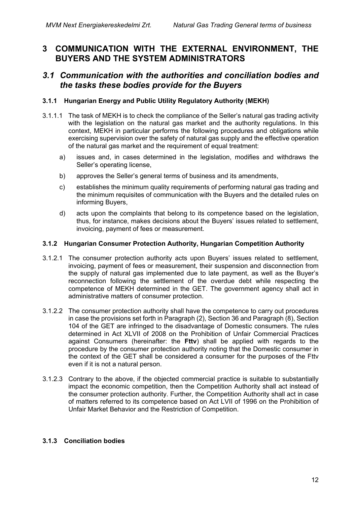## <span id="page-11-0"></span>**3 COMMUNICATION WITH THE EXTERNAL ENVIRONMENT, THE BUYERS AND THE SYSTEM ADMINISTRATORS**

### <span id="page-11-1"></span>*3.1 Communication with the authorities and conciliation bodies and the tasks these bodies provide for the Buyers*

#### **3.1.1 Hungarian Energy and Public Utility Regulatory Authority (MEKH)**

- 3.1.1.1 The task of MEKH is to check the compliance of the Seller's natural gas trading activity with the legislation on the natural gas market and the authority regulations. In this context, MEKH in particular performs the following procedures and obligations while exercising supervision over the safety of natural gas supply and the effective operation of the natural gas market and the requirement of equal treatment:
	- a) issues and, in cases determined in the legislation, modifies and withdraws the Seller's operating license,
	- b) approves the Seller's general terms of business and its amendments,
	- c) establishes the minimum quality requirements of performing natural gas trading and the minimum requisites of communication with the Buyers and the detailed rules on informing Buyers,
	- d) acts upon the complaints that belong to its competence based on the legislation, thus, for instance, makes decisions about the Buyers' issues related to settlement, invoicing, payment of fees or measurement.

#### **3.1.2 Hungarian Consumer Protection Authority, Hungarian Competition Authority**

- 3.1.2.1 The consumer protection authority acts upon Buyers' issues related to settlement, invoicing, payment of fees or measurement, their suspension and disconnection from the supply of natural gas implemented due to late payment, as well as the Buyer's reconnection following the settlement of the overdue debt while respecting the competence of MEKH determined in the GET. The government agency shall act in administrative matters of consumer protection.
- 3.1.2.2 The consumer protection authority shall have the competence to carry out procedures in case the provisions set forth in Paragraph (2), Section 36 and Paragraph (8), Section 104 of the GET are infringed to the disadvantage of Domestic consumers. The rules determined in Act XLVII of 2008 on the Prohibition of Unfair Commercial Practices against Consumers (hereinafter: the **Fttv**) shall be applied with regards to the procedure by the consumer protection authority noting that the Domestic consumer in the context of the GET shall be considered a consumer for the purposes of the Fttv even if it is not a natural person.
- 3.1.2.3 Contrary to the above, if the objected commercial practice is suitable to substantially impact the economic competition, then the Competition Authority shall act instead of the consumer protection authority. Further, the Competition Authority shall act in case of matters referred to its competence based on Act LVII of 1996 on the Prohibition of Unfair Market Behavior and the Restriction of Competition.

#### **3.1.3 Conciliation bodies**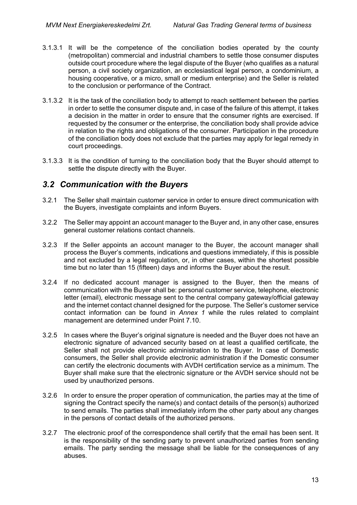- 3.1.3.1 It will be the competence of the conciliation bodies operated by the county (metropolitan) commercial and industrial chambers to settle those consumer disputes outside court procedure where the legal dispute of the Buyer (who qualifies as a natural person, a civil society organization, an ecclesiastical legal person, a condominium, a housing cooperative, or a micro, small or medium enterprise) and the Seller is related to the conclusion or performance of the Contract.
- 3.1.3.2 It is the task of the conciliation body to attempt to reach settlement between the parties in order to settle the consumer dispute and, in case of the failure of this attempt, it takes a decision in the matter in order to ensure that the consumer rights are exercised. If requested by the consumer or the enterprise, the conciliation body shall provide advice in relation to the rights and obligations of the consumer. Participation in the procedure of the conciliation body does not exclude that the parties may apply for legal remedy in court proceedings.
- 3.1.3.3 It is the condition of turning to the conciliation body that the Buyer should attempt to settle the dispute directly with the Buyer.

## <span id="page-12-0"></span>*3.2 Communication with the Buyers*

- 3.2.1 The Seller shall maintain customer service in order to ensure direct communication with the Buyers, investigate complaints and inform Buyers.
- 3.2.2 The Seller may appoint an account manager to the Buyer and, in any other case, ensures general customer relations contact channels.
- 3.2.3 If the Seller appoints an account manager to the Buyer, the account manager shall process the Buyer's comments, indications and questions immediately, if this is possible and not excluded by a legal regulation, or, in other cases, within the shortest possible time but no later than 15 (fifteen) days and informs the Buyer about the result.
- 3.2.4 If no dedicated account manager is assigned to the Buyer, then the means of communication with the Buyer shall be: personal customer service, telephone, electronic letter (email), electronic message sent to the central company gateway/official gateway and the internet contact channel designed for the purpose. The Seller's customer service contact information can be found in *Annex 1* while the rules related to complaint management are determined under Point [7.10.](#page-59-0)
- 3.2.5 In cases where the Buyer's original signature is needed and the Buyer does not have an electronic signature of advanced security based on at least a qualified certificate, the Seller shall not provide electronic administration to the Buyer. In case of Domestic consumers, the Seller shall provide electronic administration if the Domestic consumer can certify the electronic documents with AVDH certification service as a minimum. The Buyer shall make sure that the electronic signature or the AVDH service should not be used by unauthorized persons.
- 3.2.6 In order to ensure the proper operation of communication, the parties may at the time of signing the Contract specify the name(s) and contact details of the person(s) authorized to send emails. The parties shall immediately inform the other party about any changes in the persons of contact details of the authorized persons.
- 3.2.7 The electronic proof of the correspondence shall certify that the email has been sent. It is the responsibility of the sending party to prevent unauthorized parties from sending emails. The party sending the message shall be liable for the consequences of any abuses.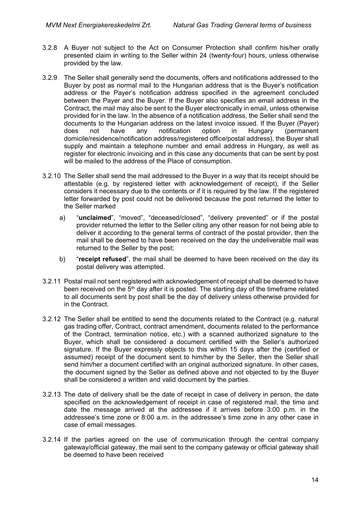- 3.2.8 A Buyer not subject to the Act on Consumer Protection shall confirm his/her orally presented claim in writing to the Seller within 24 (twenty-four) hours, unless otherwise provided by the law.
- 3.2.9 The Seller shall generally send the documents, offers and notifications addressed to the Buyer by post as normal mail to the Hungarian address that is the Buyer's notification address or the Payer's notification address specified in the agreement concluded between the Payer and the Buyer. If the Buyer also specifies an email address in the Contract, the mail may also be sent to the Buyer electronically in email, unless otherwise provided for in the law. In the absence of a notification address, the Seller shall send the documents to the Hungarian address on the latest invoice issued. If the Buyer (Payer) does not have any notification option in Hungary (permanent domicile/residence/notification address/registered office/postal address), the Buyer shall supply and maintain a telephone number and email address in Hungary, as well as register for electronic invoicing and in this case any documents that can be sent by post will be mailed to the address of the Place of consumption.
- 3.2.10 The Seller shall send the mail addressed to the Buyer in a way that its receipt should be attestable (e.g. by registered letter with acknowledgement of receipt), if the Seller considers it necessary due to the contents or if it is required by the law. If the registered letter forwarded by post could not be delivered because the post returned the letter to the Seller marked
	- a) "**unclaimed**", "moved", "deceased/closed", "delivery prevented" or if the postal provider returned the letter to the Seller citing any other reason for not being able to deliver it according to the general terms of contract of the postal provider, then the mail shall be deemed to have been received on the day the undeliverable mail was returned to the Seller by the post;
	- b) "**receipt refused**", the mail shall be deemed to have been received on the day its postal delivery was attempted.
- 3.2.11 Postal mail not sent registered with acknowledgement of receipt shall be deemed to have been received on the  $5<sup>th</sup>$  day after it is posted. The starting day of the timeframe related to all documents sent by post shall be the day of delivery unless otherwise provided for in the Contract.
- 3.2.12 The Seller shall be entitled to send the documents related to the Contract (e.g. natural gas trading offer, Contract, contract amendment, documents related to the performance of the Contract, termination notice, etc.) with a scanned authorized signature to the Buyer, which shall be considered a document certified with the Seller's authorized signature. If the Buyer expressly objects to this within 15 days after the (certified or assumed) receipt of the document sent to him/her by the Seller, then the Seller shall send him/her a document certified with an original authorized signature. In other cases, the document signed by the Seller as defined above and not objected to by the Buyer shall be considered a written and valid document by the parties.
- 3.2.13 The date of delivery shall be the date of receipt in case of delivery in person, the date specified on the acknowledgement of receipt in case of registered mail, the time and date the message arrived at the addressee if it arrives before 3:00 p.m. in the addressee's time zone or 8:00 a.m. in the addressee's time zone in any other case in case of email messages.
- 3.2.14 If the parties agreed on the use of communication through the central company gateway/official gateway, the mail sent to the company gateway or official gateway shall be deemed to have been received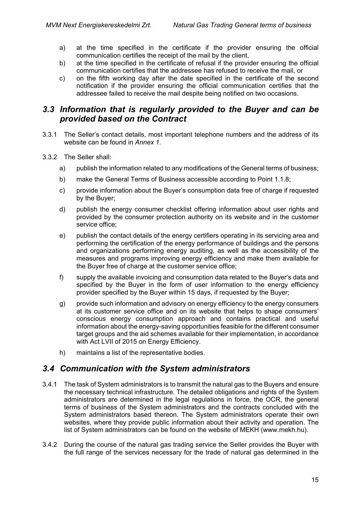- a) at the time specified in the certificate if the provider ensuring the official communication certifies the receipt of the mail by the client,
- b) at the time specified in the certificate of refusal if the provider ensuring the official communication certifies that the addressee has refused to receive the mail, or
- c) on the fifth working day after the date specified in the certificate of the second notification if the provider ensuring the official communication certifies that the addressee failed to receive the mail despite being notified on two occasions.

## <span id="page-14-0"></span>*3.3 Information that is regularly provided to the Buyer and can be provided based on the Contract*

- 3.3.1 The Seller's contact details, most important telephone numbers and the address of its website can be found in *Annex 1*.
- 3.3.2 The Seller shall:
	- a) publish the information related to any modifications of the General terms of business;
	- b) make the General Terms of Business accessible according to Point 1.1.8;
	- c) provide information about the Buyer's consumption data free of charge if requested by the Buyer;
	- d) publish the energy consumer checklist offering information about user rights and provided by the consumer protection authority on its website and in the customer service office;
	- e) publish the contact details of the energy certifiers operating in its servicing area and performing the certification of the energy performance of buildings and the persons and organizations performing energy auditing, as well as the accessibility of the measures and programs improving energy efficiency and make them available for the Buyer free of charge at the customer service office;
	- f) supply the available invoicing and consumption data related to the Buyer's data and specified by the Buyer in the form of user information to the energy efficiency provider specified by the Buyer within 15 days, if requested by the Buyer;
	- g) provide such information and advisory on energy efficiency to the energy consumers at its customer service office and on its website that helps to shape consumers' conscious energy consumption approach and contains practical and useful information about the energy-saving opportunities feasible for the different consumer target groups and the aid schemes available for their implementation, in accordance with Act LVII of 2015 on Energy Efficiency.
	- h) maintains a list of the representative bodies.

### <span id="page-14-1"></span>*3.4 Communication with the System administrators*

- 3.4.1 The task of System administrators is to transmit the natural gas to the Buyers and ensure the necessary technical infrastructure. The detailed obligations and rights of the System administrators are determined in the legal regulations in force, the OCR, the general terms of business of the System administrators and the contracts concluded with the System administrators based thereon. The System administrators operate their own websites, where they provide public information about their activity and operation. The list of System administrators can be found on the website of MEKH [\(www.mekh.hu\)](http://www.mekh.hu/).
- 3.4.2 During the course of the natural gas trading service the Seller provides the Buyer with the full range of the services necessary for the trade of natural gas determined in the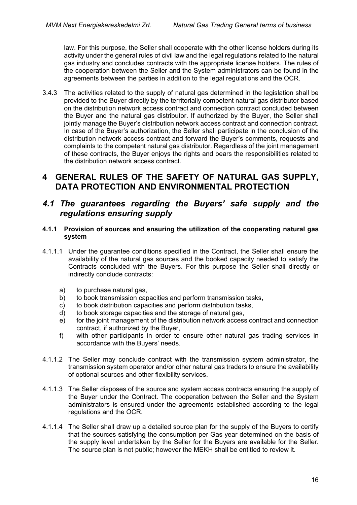law. For this purpose, the Seller shall cooperate with the other license holders during its activity under the general rules of civil law and the legal regulations related to the natural gas industry and concludes contracts with the appropriate license holders. The rules of the cooperation between the Seller and the System administrators can be found in the agreements between the parties in addition to the legal regulations and the OCR.

3.4.3 The activities related to the supply of natural gas determined in the legislation shall be provided to the Buyer directly by the territorially competent natural gas distributor based on the distribution network access contract and connection contract concluded between the Buyer and the natural gas distributor. If authorized by the Buyer, the Seller shall jointly manage the Buyer's distribution network access contract and connection contract. In case of the Buyer's authorization, the Seller shall participate in the conclusion of the distribution network access contract and forward the Buyer's comments, requests and complaints to the competent natural gas distributor. Regardless of the joint management of these contracts, the Buyer enjoys the rights and bears the responsibilities related to the distribution network access contract.

## <span id="page-15-0"></span>**4 GENERAL RULES OF THE SAFETY OF NATURAL GAS SUPPLY, DATA PROTECTION AND ENVIRONMENTAL PROTECTION**

## <span id="page-15-1"></span>*4.1 The guarantees regarding the Buyers' safe supply and the regulations ensuring supply*

#### **4.1.1 Provision of sources and ensuring the utilization of the cooperating natural gas system**

- 4.1.1.1 Under the guarantee conditions specified in the Contract, the Seller shall ensure the availability of the natural gas sources and the booked capacity needed to satisfy the Contracts concluded with the Buyers. For this purpose the Seller shall directly or indirectly conclude contracts:
	- a) to purchase natural gas,
	- b) to book transmission capacities and perform transmission tasks,
	- c) to book distribution capacities and perform distribution tasks,
	- d) to book storage capacities and the storage of natural gas,
	- e) for the joint management of the distribution network access contract and connection contract, if authorized by the Buyer,
	- f) with other participants in order to ensure other natural gas trading services in accordance with the Buyers' needs.
- 4.1.1.2 The Seller may conclude contract with the transmission system administrator, the transmission system operator and/or other natural gas traders to ensure the availability of optional sources and other flexibility services.
- 4.1.1.3 The Seller disposes of the source and system access contracts ensuring the supply of the Buyer under the Contract. The cooperation between the Seller and the System administrators is ensured under the agreements established according to the legal regulations and the OCR.
- 4.1.1.4 The Seller shall draw up a detailed source plan for the supply of the Buyers to certify that the sources satisfying the consumption per Gas year determined on the basis of the supply level undertaken by the Seller for the Buyers are available for the Seller. The source plan is not public; however the MEKH shall be entitled to review it.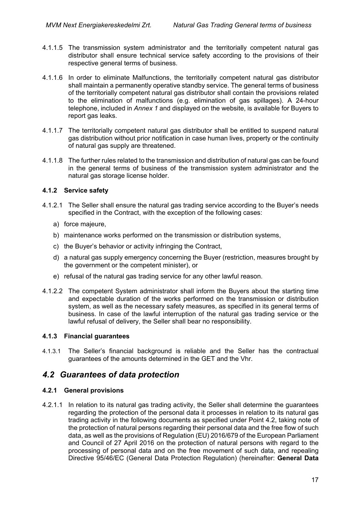- 4.1.1.5 The transmission system administrator and the territorially competent natural gas distributor shall ensure technical service safety according to the provisions of their respective general terms of business.
- 4.1.1.6 In order to eliminate Malfunctions, the territorially competent natural gas distributor shall maintain a permanently operative standby service. The general terms of business of the territorially competent natural gas distributor shall contain the provisions related to the elimination of malfunctions (e.g. elimination of gas spillages). A 24-hour telephone, included in *Annex 1* and displayed on the website, is available for Buyers to report gas leaks.
- 4.1.1.7 The territorially competent natural gas distributor shall be entitled to suspend natural gas distribution without prior notification in case human lives, property or the continuity of natural gas supply are threatened.
- 4.1.1.8 The further rules related to the transmission and distribution of natural gas can be found in the general terms of business of the transmission system administrator and the natural gas storage license holder.

#### **4.1.2 Service safety**

- 4.1.2.1 The Seller shall ensure the natural gas trading service according to the Buyer's needs specified in the Contract, with the exception of the following cases:
	- a) force majeure,
	- b) maintenance works performed on the transmission or distribution systems,
	- c) the Buyer's behavior or activity infringing the Contract,
	- d) a natural gas supply emergency concerning the Buyer (restriction, measures brought by the government or the competent minister), or
	- e) refusal of the natural gas trading service for any other lawful reason.
- 4.1.2.2 The competent System administrator shall inform the Buyers about the starting time and expectable duration of the works performed on the transmission or distribution system, as well as the necessary safety measures, as specified in its general terms of business. In case of the lawful interruption of the natural gas trading service or the lawful refusal of delivery, the Seller shall bear no responsibility.

#### **4.1.3 Financial guarantees**

4.1.3.1 The Seller's financial background is reliable and the Seller has the contractual guarantees of the amounts determined in the GET and the Vhr.

## <span id="page-16-0"></span>*4.2 Guarantees of data protection*

#### **4.2.1 General provisions**

4.2.1.1 In relation to its natural gas trading activity, the Seller shall determine the guarantees regarding the protection of the personal data it processes in relation to its natural gas trading activity in the following documents as specified under Point 4.2, taking note of the protection of natural persons regarding their personal data and the free flow of such data, as well as the provisions of Regulation (EU) 2016/679 of the European Parliament and Council of 27 April 2016 on the protection of natural persons with regard to the processing of personal data and on the free movement of such data, and repealing Directive 95/46/EC (General Data Protection Regulation) (hereinafter: **General Data**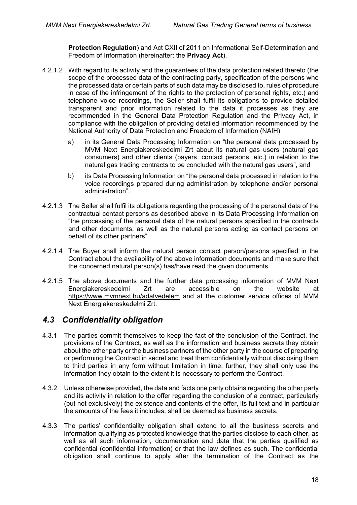**Protection Regulation**) and Act CXII of 2011 on Informational Self-Determination and Freedom of Information (hereinafter: the **Privacy Act**).

- 4.2.1.2 With regard to its activity and the guarantees of the data protection related thereto (the scope of the processed data of the contracting party, specification of the persons who the processed data or certain parts of such data may be disclosed to, rules of procedure in case of the infringement of the rights to the protection of personal rights, etc.) and telephone voice recordings, the Seller shall fulfil its obligations to provide detailed transparent and prior information related to the data it processes as they are recommended in the General Data Protection Regulation and the Privacy Act, in compliance with the obligation of providing detailed information recommended by the National Authority of Data Protection and Freedom of Information (NAIH)
	- a) in its General Data Processing Information on "the personal data processed by MVM Next Energiakereskedelmi Zrt about its natural gas users (natural gas consumers) and other clients (payers, contact persons, etc.) in relation to the natural gas trading contracts to be concluded with the natural gas users", and
	- b) its Data Processing Information on "the personal data processed in relation to the voice recordings prepared during administration by telephone and/or personal administration".
- 4.2.1.3 The Seller shall fulfil its obligations regarding the processing of the personal data of the contractual contact persons as described above in its Data Processing Information on "the processing of the personal data of the natural persons specified in the contracts and other documents, as well as the natural persons acting as contact persons on behalf of its other partners".
- 4.2.1.4 The Buyer shall inform the natural person contact person/persons specified in the Contract about the availability of the above information documents and make sure that the concerned natural person(s) has/have read the given documents.
- 4.2.1.5 The above documents and the further data processing information of MVM Next Energiakereskedelmi Zrt are accessible on the website at <https://www.mvmnext.hu/adatvedelem> and at the customer service offices of MVM Next Energiakereskedelmi Zrt.

## <span id="page-17-0"></span>*4.3 Confidentiality obligation*

- 4.3.1 The parties commit themselves to keep the fact of the conclusion of the Contract, the provisions of the Contract, as well as the information and business secrets they obtain about the other party or the business partners of the other party in the course of preparing or performing the Contract in secret and treat them confidentially without disclosing them to third parties in any form without limitation in time; further, they shall only use the information they obtain to the extent it is necessary to perform the Contract.
- 4.3.2 Unless otherwise provided, the data and facts one party obtains regarding the other party and its activity in relation to the offer regarding the conclusion of a contract, particularly (but not exclusively) the existence and contents of the offer, its full text and in particular the amounts of the fees it includes, shall be deemed as business secrets.
- 4.3.3 The parties' confidentiality obligation shall extend to all the business secrets and information qualifying as protected knowledge that the parties disclose to each other, as well as all such information, documentation and data that the parties qualified as confidential (confidential information) or that the law defines as such. The confidential obligation shall continue to apply after the termination of the Contract as the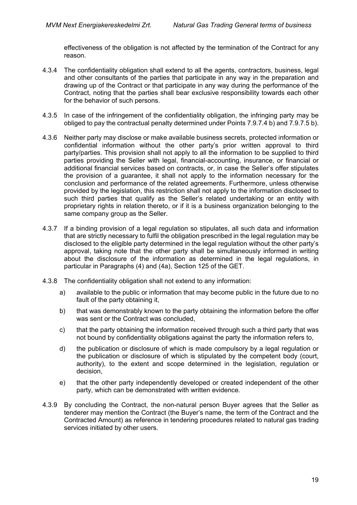effectiveness of the obligation is not affected by the termination of the Contract for any reason.

- 4.3.4 The confidentiality obligation shall extend to all the agents, contractors, business, legal and other consultants of the parties that participate in any way in the preparation and drawing up of the Contract or that participate in any way during the performance of the Contract, noting that the parties shall bear exclusive responsibility towards each other for the behavior of such persons.
- 4.3.5 In case of the infringement of the confidentiality obligation, the infringing party may be obliged to pay the contractual penalty determined under Points 7.9.7.4 b) and 7.9.7.5 b).
- 4.3.6 Neither party may disclose or make available business secrets, protected information or confidential information without the other party's prior written approval to third party/parties. This provision shall not apply to all the information to be supplied to third parties providing the Seller with legal, financial-accounting, insurance, or financial or additional financial services based on contracts, or, in case the Seller's offer stipulates the provision of a guarantee, it shall not apply to the information necessary for the conclusion and performance of the related agreements. Furthermore, unless otherwise provided by the legislation, this restriction shall not apply to the information disclosed to such third parties that qualify as the Seller's related undertaking or an entity with proprietary rights in relation thereto, or if it is a business organization belonging to the same company group as the Seller.
- 4.3.7 If a binding provision of a legal regulation so stipulates, all such data and information that are strictly necessary to fulfil the obligation prescribed in the legal regulation may be disclosed to the eligible party determined in the legal regulation without the other party's approval, taking note that the other party shall be simultaneously informed in writing about the disclosure of the information as determined in the legal regulations, in particular in Paragraphs (4) and (4a), Section 125 of the GET.
- 4.3.8 The confidentiality obligation shall not extend to any information:
	- a) available to the public or information that may become public in the future due to no fault of the party obtaining it,
	- b) that was demonstrably known to the party obtaining the information before the offer was sent or the Contract was concluded,
	- c) that the party obtaining the information received through such a third party that was not bound by confidentiality obligations against the party the information refers to,
	- d) the publication or disclosure of which is made compulsory by a legal regulation or the publication or disclosure of which is stipulated by the competent body (court, authority), to the extent and scope determined in the legislation, regulation or decision,
	- e) that the other party independently developed or created independent of the other party, which can be demonstrated with written evidence.
- 4.3.9 By concluding the Contract, the non-natural person Buyer agrees that the Seller as tenderer may mention the Contract (the Buyer's name, the term of the Contract and the Contracted Amount) as reference in tendering procedures related to natural gas trading services initiated by other users.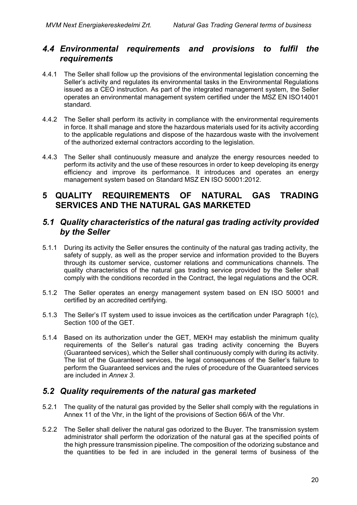## <span id="page-19-0"></span>*4.4 Environmental requirements and provisions to fulfil the requirements*

- 4.4.1 The Seller shall follow up the provisions of the environmental legislation concerning the Seller's activity and regulates its environmental tasks in the Environmental Regulations issued as a CEO instruction. As part of the integrated management system, the Seller operates an environmental management system certified under the MSZ EN ISO14001 standard.
- 4.4.2 The Seller shall perform its activity in compliance with the environmental requirements in force. It shall manage and store the hazardous materials used for its activity according to the applicable regulations and dispose of the hazardous waste with the involvement of the authorized external contractors according to the legislation.
- 4.4.3 The Seller shall continuously measure and analyze the energy resources needed to perform its activity and the use of these resources in order to keep developing its energy efficiency and improve its performance. It introduces and operates an energy management system based on Standard MSZ EN ISO 50001:2012.

## <span id="page-19-1"></span>**5 QUALITY REQUIREMENTS OF NATURAL GAS TRADING SERVICES AND THE NATURAL GAS MARKETED**

### <span id="page-19-2"></span>*5.1 Quality characteristics of the natural gas trading activity provided by the Seller*

- 5.1.1 During its activity the Seller ensures the continuity of the natural gas trading activity, the safety of supply, as well as the proper service and information provided to the Buyers through its customer service, customer relations and communications channels. The quality characteristics of the natural gas trading service provided by the Seller shall comply with the conditions recorded in the Contract, the legal regulations and the OCR.
- 5.1.2 The Seller operates an energy management system based on EN ISO 50001 and certified by an accredited certifying.
- 5.1.3 The Seller's IT system used to issue invoices as the certification under Paragraph 1(c), Section 100 of the GET.
- 5.1.4 Based on its authorization under the GET, MEKH may establish the minimum quality requirements of the Seller's natural gas trading activity concerning the Buyers (Guaranteed services), which the Seller shall continuously comply with during its activity. The list of the Guaranteed services, the legal consequences of the Seller's failure to perform the Guaranteed services and the rules of procedure of the Guaranteed services are included in *Annex 3*.

## <span id="page-19-3"></span>*5.2 Quality requirements of the natural gas marketed*

- <span id="page-19-4"></span>5.2.1 The quality of the natural gas provided by the Seller shall comply with the regulations in Annex 11 of the Vhr, in the light of the provisions of Section 66/A of the Vhr.
- 5.2.2 The Seller shall deliver the natural gas odorized to the Buyer. The transmission system administrator shall perform the odorization of the natural gas at the specified points of the high pressure transmission pipeline. The composition of the odorizing substance and the quantities to be fed in are included in the general terms of business of the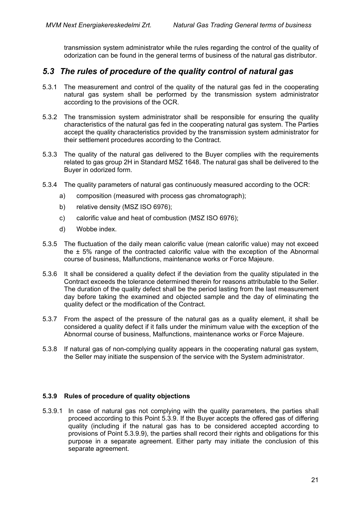transmission system administrator while the rules regarding the control of the quality of odorization can be found in the general terms of business of the natural gas distributor.

## <span id="page-20-0"></span>*5.3 The rules of procedure of the quality control of natural gas*

- 5.3.1 The measurement and control of the quality of the natural gas fed in the cooperating natural gas system shall be performed by the transmission system administrator according to the provisions of the OCR.
- 5.3.2 The transmission system administrator shall be responsible for ensuring the quality characteristics of the natural gas fed in the cooperating natural gas system. The Parties accept the quality characteristics provided by the transmission system administrator for their settlement procedures according to the Contract.
- 5.3.3 The quality of the natural gas delivered to the Buyer complies with the requirements related to gas group 2H in Standard MSZ 1648. The natural gas shall be delivered to the Buyer in odorized form.
- 5.3.4 The quality parameters of natural gas continuously measured according to the OCR:
	- a) composition (measured with process gas chromatograph);
	- b) relative density (MSZ ISO 6976);
	- c) calorific value and heat of combustion (MSZ ISO 6976);
	- d) Wobbe index.
- 5.3.5 The fluctuation of the daily mean calorific value (mean calorific value) may not exceed the ± 5% range of the contracted calorific value with the exception of the Abnormal course of business, Malfunctions, maintenance works or Force Majeure.
- 5.3.6 It shall be considered a quality defect if the deviation from the quality stipulated in the Contract exceeds the tolerance determined therein for reasons attributable to the Seller. The duration of the quality defect shall be the period lasting from the last measurement day before taking the examined and objected sample and the day of eliminating the quality defect or the modification of the Contract.
- 5.3.7 From the aspect of the pressure of the natural gas as a quality element, it shall be considered a quality defect if it falls under the minimum value with the exception of the Abnormal course of business, Malfunctions, maintenance works or Force Majeure.
- <span id="page-20-1"></span>5.3.8 If natural gas of non-complying quality appears in the cooperating natural gas system, the Seller may initiate the suspension of the service with the System administrator.

#### **5.3.9 Rules of procedure of quality objections**

<span id="page-20-2"></span>5.3.9.1 In case of natural gas not complying with the quality parameters, the parties shall proceed according to this Point 5.3.9. If the Buyer accepts the offered gas of differing quality (including if the natural gas has to be considered accepted according to provisions of Point 5.3.9.9), the parties shall record their rights and obligations for this purpose in a separate agreement. Either party may initiate the conclusion of this separate agreement.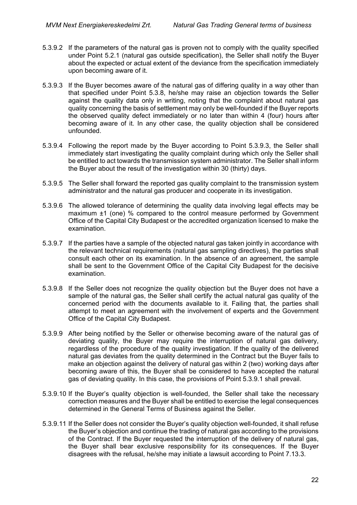- 5.3.9.2 If the parameters of the natural gas is proven not to comply with the quality specified under Point [5.2.1](#page-19-4) (natural gas outside specification), the Seller shall notify the Buyer about the expected or actual extent of the deviance from the specification immediately upon becoming aware of it.
- <span id="page-21-0"></span>5.3.9.3 If the Buyer becomes aware of the natural gas of differing quality in a way other than that specified under Point [5.3.8,](#page-20-1) he/she may raise an objection towards the Seller against the quality data only in writing, noting that the complaint about natural gas quality concerning the basis of settlement may only be well-founded if the Buyer reports the observed quality defect immediately or no later than within 4 (four) hours after becoming aware of it. In any other case, the quality objection shall be considered unfounded.
- 5.3.9.4 Following the report made by the Buyer according to Point [5.3.9.3,](#page-21-0) the Seller shall immediately start investigating the quality complaint during which only the Seller shall be entitled to act towards the transmission system administrator. The Seller shall inform the Buyer about the result of the investigation within 30 (thirty) days.
- 5.3.9.5 The Seller shall forward the reported gas quality complaint to the transmission system administrator and the natural gas producer and cooperate in its investigation.
- 5.3.9.6 The allowed tolerance of determining the quality data involving legal effects may be maximum ±1 (one) % compared to the control measure performed by Government Office of the Capital City Budapest or the accredited organization licensed to make the examination.
- 5.3.9.7 If the parties have a sample of the objected natural gas taken jointly in accordance with the relevant technical requirements (natural gas sampling directives), the parties shall consult each other on its examination. In the absence of an agreement, the sample shall be sent to the Government Office of the Capital City Budapest for the decisive examination.
- 5.3.9.8 If the Seller does not recognize the quality objection but the Buyer does not have a sample of the natural gas, the Seller shall certify the actual natural gas quality of the concerned period with the documents available to it. Failing that, the parties shall attempt to meet an agreement with the involvement of experts and the Government Office of the Capital City Budapest.
- 5.3.9.9 After being notified by the Seller or otherwise becoming aware of the natural gas of deviating quality, the Buyer may require the interruption of natural gas delivery, regardless of the procedure of the quality investigation. If the quality of the delivered natural gas deviates from the quality determined in the Contract but the Buyer fails to make an objection against the delivery of natural gas within 2 (two) working days after becoming aware of this, the Buyer shall be considered to have accepted the natural gas of deviating quality. In this case, the provisions of Point [5.3.9.1](#page-20-2) shall prevail.
- 5.3.9.10 If the Buyer's quality objection is well-founded, the Seller shall take the necessary correction measures and the Buyer shall be entitled to exercise the legal consequences determined in the General Terms of Business against the Seller.
- 5.3.9.11 If the Seller does not consider the Buyer's quality objection well-founded, it shall refuse the Buyer's objection and continue the trading of natural gas according to the provisions of the Contract. If the Buyer requested the interruption of the delivery of natural gas, the Buyer shall bear exclusive responsibility for its consequences. If the Buyer disagrees with the refusal, he/she may initiate a lawsuit according to Point [7.13.3.](#page-65-1)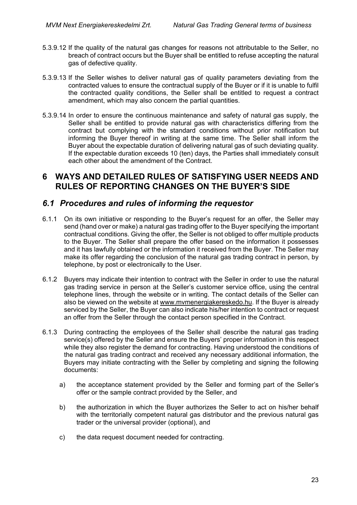- 5.3.9.12 If the quality of the natural gas changes for reasons not attributable to the Seller, no breach of contract occurs but the Buyer shall be entitled to refuse accepting the natural gas of defective quality.
- 5.3.9.13 If the Seller wishes to deliver natural gas of quality parameters deviating from the contracted values to ensure the contractual supply of the Buyer or if it is unable to fulfil the contracted quality conditions, the Seller shall be entitled to request a contract amendment, which may also concern the partial quantities.
- 5.3.9.14 In order to ensure the continuous maintenance and safety of natural gas supply, the Seller shall be entitled to provide natural gas with characteristics differing from the contract but complying with the standard conditions without prior notification but informing the Buyer thereof in writing at the same time. The Seller shall inform the Buyer about the expectable duration of delivering natural gas of such deviating quality. If the expectable duration exceeds 10 (ten) days, the Parties shall immediately consult each other about the amendment of the Contract.

### <span id="page-22-0"></span>**6 WAYS AND DETAILED RULES OF SATISFYING USER NEEDS AND RULES OF REPORTING CHANGES ON THE BUYER'S SIDE**

### <span id="page-22-1"></span>*6.1 Procedures and rules of informing the requestor*

- 6.1.1 On its own initiative or responding to the Buyer's request for an offer, the Seller may send (hand over or make) a natural gas trading offer to the Buyer specifying the important contractual conditions. Giving the offer, the Seller is not obliged to offer multiple products to the Buyer. The Seller shall prepare the offer based on the information it possesses and it has lawfully obtained or the information it received from the Buyer. The Seller may make its offer regarding the conclusion of the natural gas trading contract in person, by telephone, by post or electronically to the User.
- 6.1.2 Buyers may indicate their intention to contract with the Seller in order to use the natural gas trading service in person at the Seller's customer service office, using the central telephone lines, through the website or in writing. The contact details of the Seller can also be viewed on the website at [www.mvmenergiakereskedo.hu.](http://www.mvmenergiakereskedo.hu/) If the Buyer is already serviced by the Seller, the Buyer can also indicate his/her intention to contract or request an offer from the Seller through the contact person specified in the Contract.
- 6.1.3 During contracting the employees of the Seller shall describe the natural gas trading service(s) offered by the Seller and ensure the Buyers' proper information in this respect while they also register the demand for contracting. Having understood the conditions of the natural gas trading contract and received any necessary additional information, the Buyers may initiate contracting with the Seller by completing and signing the following documents:
	- a) the acceptance statement provided by the Seller and forming part of the Seller's offer or the sample contract provided by the Seller, and
	- b) the authorization in which the Buyer authorizes the Seller to act on his/her behalf with the territorially competent natural gas distributor and the previous natural gas trader or the universal provider (optional), and
	- c) the data request document needed for contracting.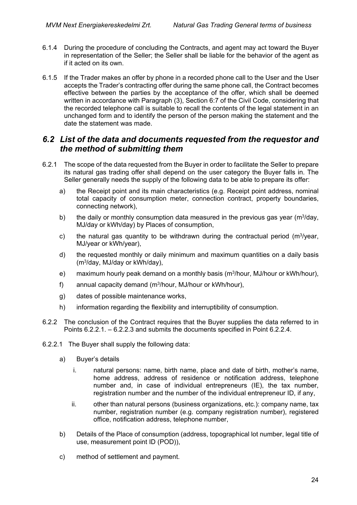- 6.1.4 During the procedure of concluding the Contracts, and agent may act toward the Buyer in representation of the Seller; the Seller shall be liable for the behavior of the agent as if it acted on its own.
- 6.1.5 If the Trader makes an offer by phone in a recorded phone call to the User and the User accepts the Trader's contracting offer during the same phone call, the Contract becomes effective between the parties by the acceptance of the offer, which shall be deemed written in accordance with Paragraph (3), Section 6:7 of the Civil Code, considering that the recorded telephone call is suitable to recall the contents of the legal statement in an unchanged form and to identify the person of the person making the statement and the date the statement was made.

### <span id="page-23-0"></span>*6.2 List of the data and documents requested from the requestor and the method of submitting them*

- 6.2.1 The scope of the data requested from the Buyer in order to facilitate the Seller to prepare its natural gas trading offer shall depend on the user category the Buyer falls in. The Seller generally needs the supply of the following data to be able to prepare its offer:
	- a) the Receipt point and its main characteristics (e.g. Receipt point address, nominal total capacity of consumption meter, connection contract, property boundaries, connecting network),
	- b) the daily or monthly consumption data measured in the previous gas year ( $m<sup>3</sup>/day$ , MJ/day or kWh/day) by Places of consumption,
	- c) the natural gas quantity to be withdrawn during the contractual period  $(m<sup>3</sup>/year,$ MJ/year or kWh/year),
	- d) the requested monthly or daily minimum and maximum quantities on a daily basis (m3/day, MJ/day or kWh/day),
	- e) maximum hourly peak demand on a monthly basis (m3/hour, MJ/hour or kWh/hour),
	- f) annual capacity demand (m3/hour, MJ/hour or kWh/hour),
	- g) dates of possible maintenance works,
	- h) information regarding the flexibility and interruptibility of consumption.
- 6.2.2 The conclusion of the Contract requires that the Buyer supplies the data referred to in Points [6.2.2.1.](#page-23-1) – [6.2.2.3](#page-24-0) and submits the documents specified in Point [6.2.2.4.](#page-24-1)
- <span id="page-23-1"></span>6.2.2.1 The Buyer shall supply the following data:
	- a) Buyer's details
		- i. natural persons: name, birth name, place and date of birth, mother's name, home address, address of residence or notification address, telephone number and, in case of individual entrepreneurs (IE), the tax number, registration number and the number of the individual entrepreneur ID, if any,
		- ii. other than natural persons (business organizations, etc.): company name, tax number, registration number (e.g. company registration number), registered office, notification address, telephone number,
	- b) Details of the Place of consumption (address, topographical lot number, legal title of use, measurement point ID (POD)),
	- c) method of settlement and payment.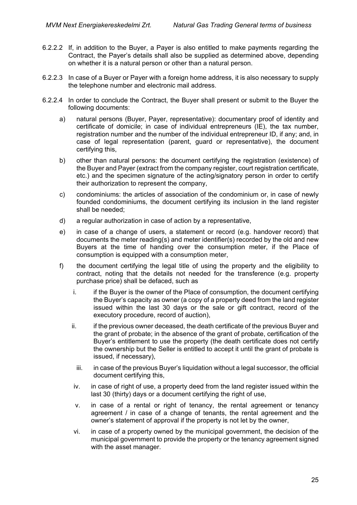- 6.2.2.2 If, in addition to the Buyer, a Payer is also entitled to make payments regarding the Contract, the Payer's details shall also be supplied as determined above, depending on whether it is a natural person or other than a natural person.
- <span id="page-24-0"></span>6.2.2.3 In case of a Buyer or Payer with a foreign home address, it is also necessary to supply the telephone number and electronic mail address.
- <span id="page-24-1"></span>6.2.2.4 In order to conclude the Contract, the Buyer shall present or submit to the Buyer the following documents:
	- a) natural persons (Buyer, Payer, representative): documentary proof of identity and certificate of domicile; in case of individual entrepreneurs (IE), the tax number, registration number and the number of the individual entrepreneur ID, if any; and, in case of legal representation (parent, guard or representative), the document certifying this,
	- b) other than natural persons: the document certifying the registration (existence) of the Buyer and Payer (extract from the company register, court registration certificate, etc.) and the specimen signature of the acting/signatory person in order to certify their authorization to represent the company,
	- c) condominiums: the articles of association of the condominium or, in case of newly founded condominiums, the document certifying its inclusion in the land register shall be needed;
	- d) a regular authorization in case of action by a representative,
	- e) in case of a change of users, a statement or record (e.g. handover record) that documents the meter reading(s) and meter identifier(s) recorded by the old and new Buyers at the time of handing over the consumption meter, if the Place of consumption is equipped with a consumption meter,
	- f) the document certifying the legal title of using the property and the eligibility to contract, noting that the details not needed for the transference (e.g. property purchase price) shall be defaced, such as
		- i. if the Buyer is the owner of the Place of consumption, the document certifying the Buyer's capacity as owner (a copy of a property deed from the land register issued within the last 30 days or the sale or gift contract, record of the executory procedure, record of auction),
		- ii. if the previous owner deceased, the death certificate of the previous Buyer and the grant of probate; in the absence of the grant of probate, certification of the Buyer's entitlement to use the property (the death certificate does not certify the ownership but the Seller is entitled to accept it until the grant of probate is issued, if necessary),
			- iii. in case of the previous Buyer's liquidation without a legal successor, the official document certifying this,
		- iv. in case of right of use, a property deed from the land register issued within the last 30 (thirty) days or a document certifying the right of use,
		- v. in case of a rental or right of tenancy, the rental agreement or tenancy agreement / in case of a change of tenants, the rental agreement and the owner's statement of approval if the property is not let by the owner,
		- vi. in case of a property owned by the municipal government, the decision of the municipal government to provide the property or the tenancy agreement signed with the asset manager.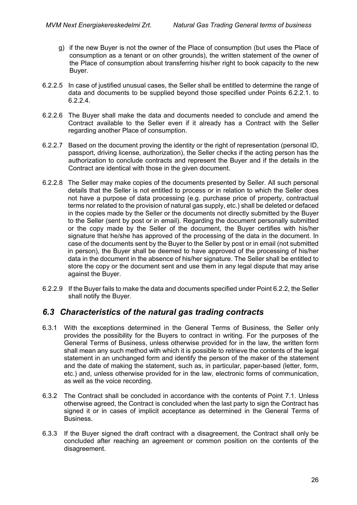- g) if the new Buyer is not the owner of the Place of consumption (but uses the Place of consumption as a tenant or on other grounds), the written statement of the owner of the Place of consumption about transferring his/her right to book capacity to the new Buyer.
- 6.2.2.5 In case of justified unusual cases, the Seller shall be entitled to determine the range of data and documents to be supplied beyond those specified under Points [6.2.2.1.](#page-23-1) to [6.2.2.4.](#page-24-1)
- 6.2.2.6 The Buyer shall make the data and documents needed to conclude and amend the Contract available to the Seller even if it already has a Contract with the Seller regarding another Place of consumption.
- 6.2.2.7 Based on the document proving the identity or the right of representation (personal ID, passport, driving license, authorization), the Seller checks if the acting person has the authorization to conclude contracts and represent the Buyer and if the details in the Contract are identical with those in the given document.
- 6.2.2.8 The Seller may make copies of the documents presented by Seller. All such personal details that the Seller is not entitled to process or in relation to which the Seller does not have a purpose of data processing (e.g. purchase price of property, contractual terms nor related to the provision of natural gas supply, etc.) shall be deleted or defaced in the copies made by the Seller or the documents not directly submitted by the Buyer to the Seller (sent by post or in email). Regarding the document personally submitted or the copy made by the Seller of the document, the Buyer certifies with his/her signature that he/she has approved of the processing of the data in the document. In case of the documents sent by the Buyer to the Seller by post or in email (not submitted in person), the Buyer shall be deemed to have approved of the processing of his/her data in the document in the absence of his/her signature. The Seller shall be entitled to store the copy or the document sent and use them in any legal dispute that may arise against the Buyer.
- 6.2.2.9 If the Buyer fails to make the data and documents specified under Point 6.2.2, the Seller shall notify the Buyer.

## <span id="page-25-0"></span>*6.3 Characteristics of the natural gas trading contracts*

- 6.3.1 With the exceptions determined in the General Terms of Business, the Seller only provides the possibility for the Buyers to contract in writing. For the purposes of the General Terms of Business, unless otherwise provided for in the law, the written form shall mean any such method with which it is possible to retrieve the contents of the legal statement in an unchanged form and identify the person of the maker of the statement and the date of making the statement, such as, in particular, paper-based (letter, form, etc.) and, unless otherwise provided for in the law, electronic forms of communication, as well as the voice recording.
- 6.3.2 The Contract shall be concluded in accordance with the contents of Point 7.1. Unless otherwise agreed, the Contract is concluded when the last party to sign the Contract has signed it or in cases of implicit acceptance as determined in the General Terms of Business.
- 6.3.3 If the Buyer signed the draft contract with a disagreement, the Contract shall only be concluded after reaching an agreement or common position on the contents of the disagreement.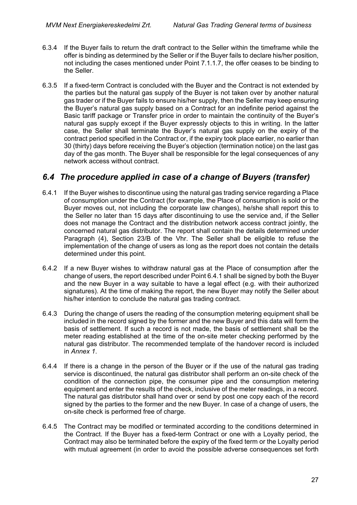- 6.3.4 If the Buyer fails to return the draft contract to the Seller within the timeframe while the offer is binding as determined by the Seller or if the Buyer fails to declare his/her position, not including the cases mentioned under Point 7.1.1.7, the offer ceases to be binding to the Seller.
- 6.3.5 If a fixed-term Contract is concluded with the Buyer and the Contract is not extended by the parties but the natural gas supply of the Buyer is not taken over by another natural gas trader or if the Buyer fails to ensure his/her supply, then the Seller may keep ensuring the Buyer's natural gas supply based on a Contract for an indefinite period against the Basic tariff package or Transfer price in order to maintain the continuity of the Buyer's natural gas supply except if the Buyer expressly objects to this in writing. In the latter case, the Seller shall terminate the Buyer's natural gas supply on the expiry of the contract period specified in the Contract or, if the expiry took place earlier, no earlier than 30 (thirty) days before receiving the Buyer's objection (termination notice) on the last gas day of the gas month. The Buyer shall be responsible for the legal consequences of any network access without contract.

## <span id="page-26-0"></span>*6.4 The procedure applied in case of a change of Buyers (transfer)*

- 6.4.1 If the Buyer wishes to discontinue using the natural gas trading service regarding a Place of consumption under the Contract (for example, the Place of consumption is sold or the Buyer moves out, not including the corporate law changes), he/she shall report this to the Seller no later than 15 days after discontinuing to use the service and, if the Seller does not manage the Contract and the distribution network access contract jointly, the concerned natural gas distributor. The report shall contain the details determined under Paragraph (4), Section 23/B of the Vhr. The Seller shall be eligible to refuse the implementation of the change of users as long as the report does not contain the details determined under this point.
- 6.4.2 If a new Buyer wishes to withdraw natural gas at the Place of consumption after the change of users, the report described under Point 6.4.1 shall be signed by both the Buyer and the new Buyer in a way suitable to have a legal effect (e.g. with their authorized signatures). At the time of making the report, the new Buyer may notify the Seller about his/her intention to conclude the natural gas trading contract.
- 6.4.3 During the change of users the reading of the consumption metering equipment shall be included in the record signed by the former and the new Buyer and this data will form the basis of settlement. If such a record is not made, the basis of settlement shall be the meter reading established at the time of the on-site meter checking performed by the natural gas distributor. The recommended template of the handover record is included in *Annex 1*.
- 6.4.4 If there is a change in the person of the Buyer or if the use of the natural gas trading service is discontinued, the natural gas distributor shall perform an on-site check of the condition of the connection pipe, the consumer pipe and the consumption metering equipment and enter the results of the check, inclusive of the meter readings, in a record. The natural gas distributor shall hand over or send by post one copy each of the record signed by the parties to the former and the new Buyer. In case of a change of users, the on-site check is performed free of charge.
- 6.4.5 The Contract may be modified or terminated according to the conditions determined in the Contract. If the Buyer has a fixed-term Contract or one with a Loyalty period, the Contract may also be terminated before the expiry of the fixed term or the Loyalty period with mutual agreement (in order to avoid the possible adverse consequences set forth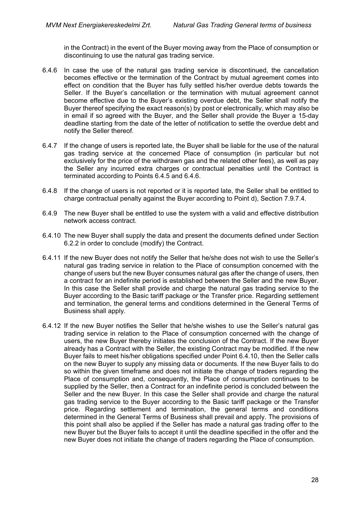in the Contract) in the event of the Buyer moving away from the Place of consumption or discontinuing to use the natural gas trading service.

- 6.4.6 In case the use of the natural gas trading service is discontinued, the cancellation becomes effective or the termination of the Contract by mutual agreement comes into effect on condition that the Buyer has fully settled his/her overdue debts towards the Seller. If the Buyer's cancellation or the termination with mutual agreement cannot become effective due to the Buyer's existing overdue debt, the Seller shall notify the Buyer thereof specifying the exact reason(s) by post or electronically, which may also be in email if so agreed with the Buyer, and the Seller shall provide the Buyer a 15-day deadline starting from the date of the letter of notification to settle the overdue debt and notify the Seller thereof.
- 6.4.7 If the change of users is reported late, the Buyer shall be liable for the use of the natural gas trading service at the concerned Place of consumption (in particular but not exclusively for the price of the withdrawn gas and the related other fees), as well as pay the Seller any incurred extra charges or contractual penalties until the Contract is terminated according to Points 6.4.5 and 6.4.6.
- 6.4.8 If the change of users is not reported or it is reported late, the Seller shall be entitled to charge contractual penalty against the Buyer according to Point d), Section 7.9.7.4.
- 6.4.9 The new Buyer shall be entitled to use the system with a valid and effective distribution network access contract.
- 6.4.10 The new Buyer shall supply the data and present the documents defined under Section 6.2.2 in order to conclude (modify) the Contract.
- 6.4.11 If the new Buyer does not notify the Seller that he/she does not wish to use the Seller's natural gas trading service in relation to the Place of consumption concerned with the change of users but the new Buyer consumes natural gas after the change of users, then a contract for an indefinite period is established between the Seller and the new Buyer. In this case the Seller shall provide and charge the natural gas trading service to the Buyer according to the Basic tariff package or the Transfer price. Regarding settlement and termination, the general terms and conditions determined in the General Terms of Business shall apply.
- 6.4.12 If the new Buyer notifies the Seller that he/she wishes to use the Seller's natural gas trading service in relation to the Place of consumption concerned with the change of users, the new Buyer thereby initiates the conclusion of the Contract. If the new Buyer already has a Contract with the Seller, the existing Contract may be modified. If the new Buyer fails to meet his/her obligations specified under Point 6.4.10, then the Seller calls on the new Buyer to supply any missing data or documents. If the new Buyer fails to do so within the given timeframe and does not initiate the change of traders regarding the Place of consumption and, consequently, the Place of consumption continues to be supplied by the Seller, then a Contract for an indefinite period is concluded between the Seller and the new Buyer. In this case the Seller shall provide and charge the natural gas trading service to the Buyer according to the Basic tariff package or the Transfer price. Regarding settlement and termination, the general terms and conditions determined in the General Terms of Business shall prevail and apply. The provisions of this point shall also be applied if the Seller has made a natural gas trading offer to the new Buyer but the Buyer fails to accept it until the deadline specified in the offer and the new Buyer does not initiate the change of traders regarding the Place of consumption.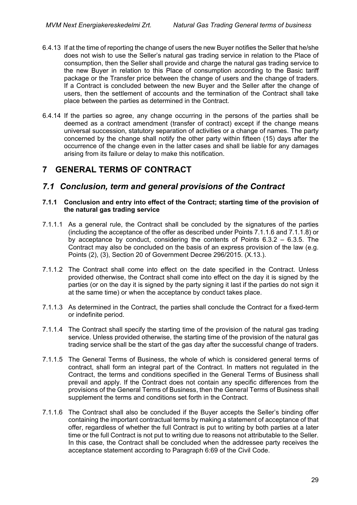- 6.4.13 If at the time of reporting the change of users the new Buyer notifies the Seller that he/she does not wish to use the Seller's natural gas trading service in relation to the Place of consumption, then the Seller shall provide and charge the natural gas trading service to the new Buyer in relation to this Place of consumption according to the Basic tariff package or the Transfer price between the change of users and the change of traders. If a Contract is concluded between the new Buyer and the Seller after the change of users, then the settlement of accounts and the termination of the Contract shall take place between the parties as determined in the Contract.
- 6.4.14 If the parties so agree, any change occurring in the persons of the parties shall be deemed as a contract amendment (transfer of contract) except if the change means universal succession, statutory separation of activities or a change of names. The party concerned by the change shall notify the other party within fifteen (15) days after the occurrence of the change even in the latter cases and shall be liable for any damages arising from its failure or delay to make this notification.

## <span id="page-28-0"></span>**7 GENERAL TERMS OF CONTRACT**

## <span id="page-28-1"></span>*7.1 Conclusion, term and general provisions of the Contract*

#### **7.1.1 Conclusion and entry into effect of the Contract; starting time of the provision of the natural gas trading service**

- 7.1.1.1 As a general rule, the Contract shall be concluded by the signatures of the parties (including the acceptance of the offer as described under Points 7.1.1.6 and 7.1.1.8) or by acceptance by conduct, considering the contents of Points 6.3.2 – 6.3.5. The Contract may also be concluded on the basis of an express provision of the law (e.g. Points (2), (3), Section 20 of Government Decree 296/2015. (X.13.).
- 7.1.1.2 The Contract shall come into effect on the date specified in the Contract. Unless provided otherwise, the Contract shall come into effect on the day it is signed by the parties (or on the day it is signed by the party signing it last if the parties do not sign it at the same time) or when the acceptance by conduct takes place.
- 7.1.1.3 As determined in the Contract, the parties shall conclude the Contract for a fixed-term or indefinite period.
- 7.1.1.4 The Contract shall specify the starting time of the provision of the natural gas trading service. Unless provided otherwise, the starting time of the provision of the natural gas trading service shall be the start of the gas day after the successful change of traders.
- 7.1.1.5 The General Terms of Business, the whole of which is considered general terms of contract, shall form an integral part of the Contract. In matters not regulated in the Contract, the terms and conditions specified in the General Terms of Business shall prevail and apply. If the Contract does not contain any specific differences from the provisions of the General Terms of Business, then the General Terms of Business shall supplement the terms and conditions set forth in the Contract.
- 7.1.1.6 The Contract shall also be concluded if the Buyer accepts the Seller's binding offer containing the important contractual terms by making a statement of acceptance of that offer, regardless of whether the full Contract is put to writing by both parties at a later time or the full Contract is not put to writing due to reasons not attributable to the Seller. In this case, the Contract shall be concluded when the addressee party receives the acceptance statement according to Paragraph 6:69 of the Civil Code.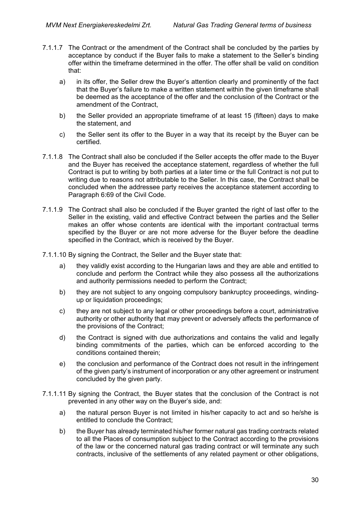- 7.1.1.7 The Contract or the amendment of the Contract shall be concluded by the parties by acceptance by conduct if the Buyer fails to make a statement to the Seller's binding offer within the timeframe determined in the offer. The offer shall be valid on condition that:
	- a) in its offer, the Seller drew the Buyer's attention clearly and prominently of the fact that the Buyer's failure to make a written statement within the given timeframe shall be deemed as the acceptance of the offer and the conclusion of the Contract or the amendment of the Contract,
	- b) the Seller provided an appropriate timeframe of at least 15 (fifteen) days to make the statement, and
	- c) the Seller sent its offer to the Buyer in a way that its receipt by the Buyer can be certified.
- 7.1.1.8 The Contract shall also be concluded if the Seller accepts the offer made to the Buyer and the Buyer has received the acceptance statement, regardless of whether the full Contract is put to writing by both parties at a later time or the full Contract is not put to writing due to reasons not attributable to the Seller. In this case, the Contract shall be concluded when the addressee party receives the acceptance statement according to Paragraph 6:69 of the Civil Code.
- 7.1.1.9 The Contract shall also be concluded if the Buyer granted the right of last offer to the Seller in the existing, valid and effective Contract between the parties and the Seller makes an offer whose contents are identical with the important contractual terms specified by the Buyer or are not more adverse for the Buyer before the deadline specified in the Contract, which is received by the Buyer.
- 7.1.1.10 By signing the Contract, the Seller and the Buyer state that:
	- a) they validly exist according to the Hungarian laws and they are able and entitled to conclude and perform the Contract while they also possess all the authorizations and authority permissions needed to perform the Contract;
	- b) they are not subject to any ongoing compulsory bankruptcy proceedings, windingup or liquidation proceedings;
	- c) they are not subject to any legal or other proceedings before a court, administrative authority or other authority that may prevent or adversely affects the performance of the provisions of the Contract;
	- d) the Contract is signed with due authorizations and contains the valid and legally binding commitments of the parties, which can be enforced according to the conditions contained therein;
	- e) the conclusion and performance of the Contract does not result in the infringement of the given party's instrument of incorporation or any other agreement or instrument concluded by the given party.
- 7.1.1.11 By signing the Contract, the Buyer states that the conclusion of the Contract is not prevented in any other way on the Buyer's side, and:
	- a) the natural person Buyer is not limited in his/her capacity to act and so he/she is entitled to conclude the Contract;
	- b) the Buyer has already terminated his/her former natural gas trading contracts related to all the Places of consumption subject to the Contract according to the provisions of the law or the concerned natural gas trading contract or will terminate any such contracts, inclusive of the settlements of any related payment or other obligations,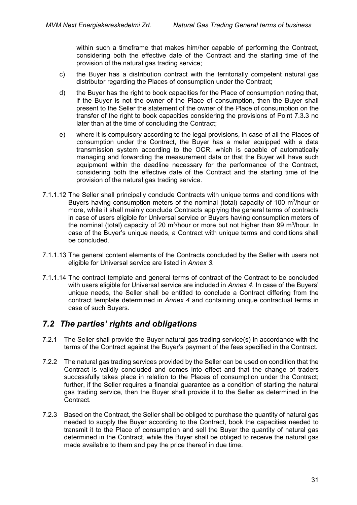within such a timeframe that makes him/her capable of performing the Contract, considering both the effective date of the Contract and the starting time of the provision of the natural gas trading service;

- c) the Buyer has a distribution contract with the territorially competent natural gas distributor regarding the Places of consumption under the Contract;
- d) the Buyer has the right to book capacities for the Place of consumption noting that, if the Buyer is not the owner of the Place of consumption, then the Buyer shall present to the Seller the statement of the owner of the Place of consumption on the transfer of the right to book capacities considering the provisions of Point [7.3.3](#page-33-0) no later than at the time of concluding the Contract;
- e) where it is compulsory according to the legal provisions, in case of all the Places of consumption under the Contract, the Buyer has a meter equipped with a data transmission system according to the OCR, which is capable of automatically managing and forwarding the measurement data or that the Buyer will have such equipment within the deadline necessary for the performance of the Contract, considering both the effective date of the Contract and the starting time of the provision of the natural gas trading service.
- 7.1.1.12 The Seller shall principally conclude Contracts with unique terms and conditions with Buyers having consumption meters of the nominal (total) capacity of 100  $\text{m}^3$ /hour or more, while it shall mainly conclude Contracts applying the general terms of contracts in case of users eligible for Universal service or Buyers having consumption meters of the nominal (total) capacity of 20 m<sup>3</sup>/hour or more but not higher than 99 m<sup>3</sup>/hour. In case of the Buyer's unique needs, a Contract with unique terms and conditions shall be concluded.
- 7.1.1.13 The general content elements of the Contracts concluded by the Seller with users not eligible for Universal service are listed in *Annex 3*.
- 7.1.1.14 The contract template and general terms of contract of the Contract to be concluded with users eligible for Universal service are included in *Annex 4*. In case of the Buyers' unique needs, the Seller shall be entitled to conclude a Contract differing from the contract template determined in *Annex 4* and containing unique contractual terms in case of such Buyers.

## <span id="page-30-0"></span>*7.2 The parties' rights and obligations*

- 7.2.1 The Seller shall provide the Buyer natural gas trading service(s) in accordance with the terms of the Contract against the Buyer's payment of the fees specified in the Contract.
- 7.2.2 The natural gas trading services provided by the Seller can be used on condition that the Contract is validly concluded and comes into effect and that the change of traders successfully takes place in relation to the Places of consumption under the Contract; further, if the Seller requires a financial quarantee as a condition of starting the natural gas trading service, then the Buyer shall provide it to the Seller as determined in the Contract.
- 7.2.3 Based on the Contract, the Seller shall be obliged to purchase the quantity of natural gas needed to supply the Buyer according to the Contract, book the capacities needed to transmit it to the Place of consumption and sell the Buyer the quantity of natural gas determined in the Contract, while the Buyer shall be obliged to receive the natural gas made available to them and pay the price thereof in due time.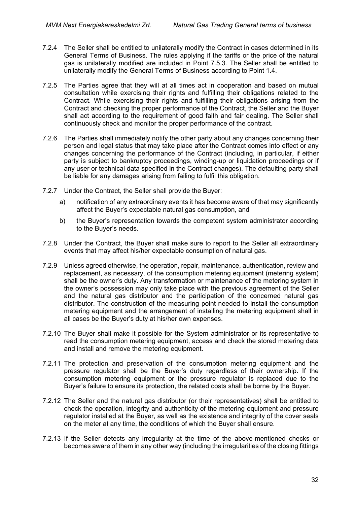- 7.2.4 The Seller shall be entitled to unilaterally modify the Contract in cases determined in its General Terms of Business. The rules applying if the tariffs or the price of the natural gas is unilaterally modified are included in Point 7.5.3. The Seller shall be entitled to unilaterally modify the General Terms of Business according to Point 1.4.
- 7.2.5 The Parties agree that they will at all times act in cooperation and based on mutual consultation while exercising their rights and fulfilling their obligations related to the Contract. While exercising their rights and fulfilling their obligations arising from the Contract and checking the proper performance of the Contract, the Seller and the Buyer shall act according to the requirement of good faith and fair dealing. The Seller shall continuously check and monitor the proper performance of the contract.
- 7.2.6 The Parties shall immediately notify the other party about any changes concerning their person and legal status that may take place after the Contract comes into effect or any changes concerning the performance of the Contract (including, in particular, if either party is subject to bankruptcy proceedings, winding-up or liquidation proceedings or if any user or technical data specified in the Contract changes). The defaulting party shall be liable for any damages arising from failing to fulfil this obligation.
- 7.2.7 Under the Contract, the Seller shall provide the Buyer:
	- a) notification of any extraordinary events it has become aware of that may significantly affect the Buyer's expectable natural gas consumption, and
	- b) the Buyer's representation towards the competent system administrator according to the Buyer's needs.
- 7.2.8 Under the Contract, the Buyer shall make sure to report to the Seller all extraordinary events that may affect his/her expectable consumption of natural gas.
- 7.2.9 Unless agreed otherwise, the operation, repair, maintenance, authentication, review and replacement, as necessary, of the consumption metering equipment (metering system) shall be the owner's duty. Any transformation or maintenance of the metering system in the owner's possession may only take place with the previous agreement of the Seller and the natural gas distributor and the participation of the concerned natural gas distributor. The construction of the measuring point needed to install the consumption metering equipment and the arrangement of installing the metering equipment shall in all cases be the Buyer's duty at his/her own expenses.
- 7.2.10 The Buyer shall make it possible for the System administrator or its representative to read the consumption metering equipment, access and check the stored metering data and install and remove the metering equipment.
- 7.2.11 The protection and preservation of the consumption metering equipment and the pressure regulator shall be the Buyer's duty regardless of their ownership. If the consumption metering equipment or the pressure regulator is replaced due to the Buyer's failure to ensure its protection, the related costs shall be borne by the Buyer.
- 7.2.12 The Seller and the natural gas distributor (or their representatives) shall be entitled to check the operation, integrity and authenticity of the metering equipment and pressure regulator installed at the Buyer, as well as the existence and integrity of the cover seals on the meter at any time, the conditions of which the Buyer shall ensure.
- 7.2.13 If the Seller detects any irregularity at the time of the above-mentioned checks or becomes aware of them in any other way (including the irregularities of the closing fittings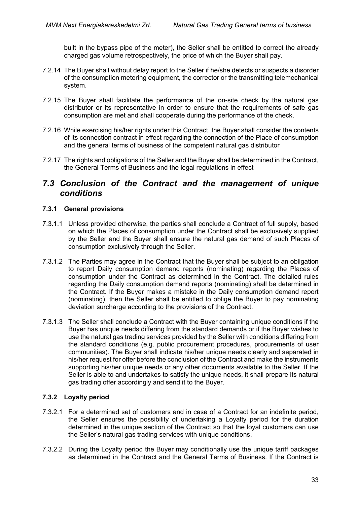built in the bypass pipe of the meter), the Seller shall be entitled to correct the already charged gas volume retrospectively, the price of which the Buyer shall pay.

- 7.2.14 The Buyer shall without delay report to the Seller if he/she detects or suspects a disorder of the consumption metering equipment, the corrector or the transmitting telemechanical system.
- 7.2.15 The Buyer shall facilitate the performance of the on-site check by the natural gas distributor or its representative in order to ensure that the requirements of safe gas consumption are met and shall cooperate during the performance of the check.
- 7.2.16 While exercising his/her rights under this Contract, the Buyer shall consider the contents of its connection contract in effect regarding the connection of the Place of consumption and the general terms of business of the competent natural gas distributor
- 7.2.17 The rights and obligations of the Seller and the Buyer shall be determined in the Contract, the General Terms of Business and the legal regulations in effect

### <span id="page-32-0"></span>*7.3 Conclusion of the Contract and the management of unique conditions*

#### **7.3.1 General provisions**

- 7.3.1.1 Unless provided otherwise, the parties shall conclude a Contract of full supply, based on which the Places of consumption under the Contract shall be exclusively supplied by the Seller and the Buyer shall ensure the natural gas demand of such Places of consumption exclusively through the Seller.
- 7.3.1.2 The Parties may agree in the Contract that the Buyer shall be subject to an obligation to report Daily consumption demand reports (nominating) regarding the Places of consumption under the Contract as determined in the Contract. The detailed rules regarding the Daily consumption demand reports (nominating) shall be determined in the Contract. If the Buyer makes a mistake in the Daily consumption demand report (nominating), then the Seller shall be entitled to oblige the Buyer to pay nominating deviation surcharge according to the provisions of the Contract.
- 7.3.1.3 The Seller shall conclude a Contract with the Buyer containing unique conditions if the Buyer has unique needs differing from the standard demands or if the Buyer wishes to use the natural gas trading services provided by the Seller with conditions differing from the standard conditions (e.g. public procurement procedures, procurements of user communities). The Buyer shall indicate his/her unique needs clearly and separated in his/her request for offer before the conclusion of the Contract and make the instruments supporting his/her unique needs or any other documents available to the Seller. If the Seller is able to and undertakes to satisfy the unique needs, it shall prepare its natural gas trading offer accordingly and send it to the Buyer.

### **7.3.2 Loyalty period**

- 7.3.2.1 For a determined set of customers and in case of a Contract for an indefinite period, the Seller ensures the possibility of undertaking a Loyalty period for the duration determined in the unique section of the Contract so that the loyal customers can use the Seller's natural gas trading services with unique conditions.
- 7.3.2.2 During the Loyalty period the Buyer may conditionally use the unique tariff packages as determined in the Contract and the General Terms of Business. If the Contract is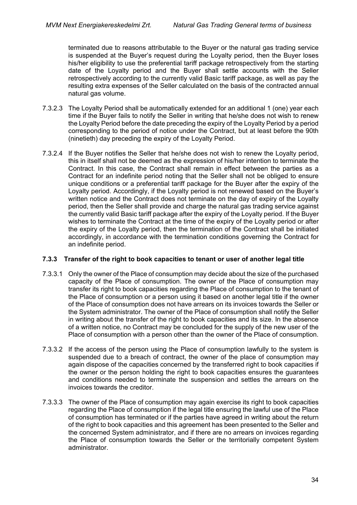terminated due to reasons attributable to the Buyer or the natural gas trading service is suspended at the Buyer's request during the Loyalty period, then the Buyer loses his/her eligibility to use the preferential tariff package retrospectively from the starting date of the Loyalty period and the Buyer shall settle accounts with the Seller retrospectively according to the currently valid Basic tariff package, as well as pay the resulting extra expenses of the Seller calculated on the basis of the contracted annual natural gas volume.

- 7.3.2.3 The Loyalty Period shall be automatically extended for an additional 1 (one) year each time if the Buyer fails to notify the Seller in writing that he/she does not wish to renew the Loyalty Period before the date preceding the expiry of the Loyalty Period by a period corresponding to the period of notice under the Contract, but at least before the 90th (ninetieth) day preceding the expiry of the Loyalty Period.
- 7.3.2.4 If the Buyer notifies the Seller that he/she does not wish to renew the Loyalty period, this in itself shall not be deemed as the expression of his/her intention to terminate the Contract. In this case, the Contract shall remain in effect between the parties as a Contract for an indefinite period noting that the Seller shall not be obliged to ensure unique conditions or a preferential tariff package for the Buyer after the expiry of the Loyalty period. Accordingly, if the Loyalty period is not renewed based on the Buyer's written notice and the Contract does not terminate on the day of expiry of the Loyalty period, then the Seller shall provide and charge the natural gas trading service against the currently valid Basic tariff package after the expiry of the Loyalty period. If the Buyer wishes to terminate the Contract at the time of the expiry of the Loyalty period or after the expiry of the Loyalty period, then the termination of the Contract shall be initiated accordingly, in accordance with the termination conditions governing the Contract for an indefinite period.

#### <span id="page-33-0"></span>**7.3.3 Transfer of the right to book capacities to tenant or user of another legal title**

- 7.3.3.1 Only the owner of the Place of consumption may decide about the size of the purchased capacity of the Place of consumption. The owner of the Place of consumption may transfer its right to book capacities regarding the Place of consumption to the tenant of the Place of consumption or a person using it based on another legal title if the owner of the Place of consumption does not have arrears on its invoices towards the Seller or the System administrator. The owner of the Place of consumption shall notify the Seller in writing about the transfer of the right to book capacities and its size. In the absence of a written notice, no Contract may be concluded for the supply of the new user of the Place of consumption with a person other than the owner of the Place of consumption.
- 7.3.3.2 If the access of the person using the Place of consumption lawfully to the system is suspended due to a breach of contract, the owner of the place of consumption may again dispose of the capacities concerned by the transferred right to book capacities if the owner or the person holding the right to book capacities ensures the guarantees and conditions needed to terminate the suspension and settles the arrears on the invoices towards the creditor.
- 7.3.3.3 The owner of the Place of consumption may again exercise its right to book capacities regarding the Place of consumption if the legal title ensuring the lawful use of the Place of consumption has terminated or if the parties have agreed in writing about the return of the right to book capacities and this agreement has been presented to the Seller and the concerned System administrator, and if there are no arrears on invoices regarding the Place of consumption towards the Seller or the territorially competent System administrator.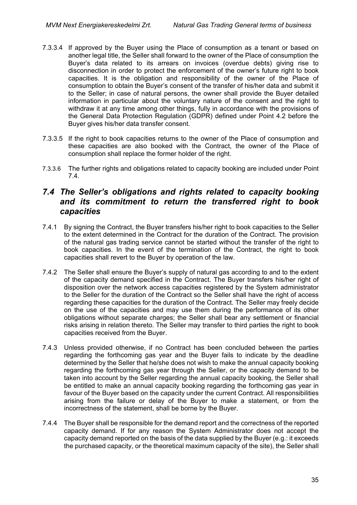- 7.3.3.4 If approved by the Buyer using the Place of consumption as a tenant or based on another legal title, the Seller shall forward to the owner of the Place of consumption the Buyer's data related to its arrears on invoices (overdue debts) giving rise to disconnection in order to protect the enforcement of the owner's future right to book capacities. It is the obligation and responsibility of the owner of the Place of consumption to obtain the Buyer's consent of the transfer of his/her data and submit it to the Seller; in case of natural persons, the owner shall provide the Buyer detailed information in particular about the voluntary nature of the consent and the right to withdraw it at any time among other things, fully in accordance with the provisions of the General Data Protection Regulation (GDPR) defined under Point 4.2 before the Buyer gives his/her data transfer consent.
- 7.3.3.5 If the right to book capacities returns to the owner of the Place of consumption and these capacities are also booked with the Contract, the owner of the Place of consumption shall replace the former holder of the right.
- 7.3.3.6 The further rights and obligations related to capacity booking are included under Point [7.4.](#page-34-0)

## <span id="page-34-0"></span>*7.4 The Seller's obligations and rights related to capacity booking and its commitment to return the transferred right to book capacities*

- 7.4.1 By signing the Contract, the Buyer transfers his/her right to book capacities to the Seller to the extent determined in the Contract for the duration of the Contract. The provision of the natural gas trading service cannot be started without the transfer of the right to book capacities. In the event of the termination of the Contract, the right to book capacities shall revert to the Buyer by operation of the law.
- 7.4.2 The Seller shall ensure the Buyer's supply of natural gas according to and to the extent of the capacity demand specified in the Contract. The Buyer transfers his/her right of disposition over the network access capacities registered by the System administrator to the Seller for the duration of the Contract so the Seller shall have the right of access regarding these capacities for the duration of the Contract. The Seller may freely decide on the use of the capacities and may use them during the performance of its other obligations without separate charges; the Seller shall bear any settlement or financial risks arising in relation thereto. The Seller may transfer to third parties the right to book capacities received from the Buyer.
- 7.4.3 Unless provided otherwise, if no Contract has been concluded between the parties regarding the forthcoming gas year and the Buyer fails to indicate by the deadline determined by the Seller that he/she does not wish to make the annual capacity booking regarding the forthcoming gas year through the Seller, or the capacity demand to be taken into account by the Seller regarding the annual capacity booking, the Seller shall be entitled to make an annual capacity booking regarding the forthcoming gas year in favour of the Buyer based on the capacity under the current Contract. All responsibilities arising from the failure or delay of the Buyer to make a statement, or from the incorrectness of the statement, shall be borne by the Buyer.
- 7.4.4 The Buyer shall be responsible for the demand report and the correctness of the reported capacity demand. If for any reason the System Administrator does not accept the capacity demand reported on the basis of the data supplied by the Buyer (e.g.: it exceeds the purchased capacity, or the theoretical maximum capacity of the site), the Seller shall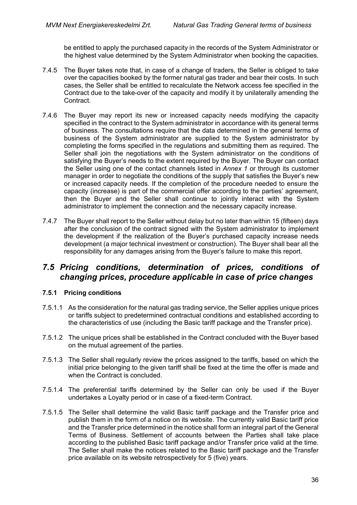be entitled to apply the purchased capacity in the records of the System Administrator or the highest value determined by the System Administrator when booking the capacities.

- 7.4.5 The Buyer takes note that, in case of a change of traders, the Seller is obliged to take over the capacities booked by the former natural gas trader and bear their costs. In such cases, the Seller shall be entitled to recalculate the Network access fee specified in the Contract due to the take-over of the capacity and modify it by unilaterally amending the Contract.
- 7.4.6 The Buyer may report its new or increased capacity needs modifying the capacity specified in the contract to the System administrator in accordance with its general terms of business. The consultations require that the data determined in the general terms of business of the System administrator are supplied to the System administrator by completing the forms specified in the regulations and submitting them as required. The Seller shall join the negotiations with the System administrator on the conditions of satisfying the Buyer's needs to the extent required by the Buyer. The Buyer can contact the Seller using one of the contact channels listed in *Annex 1* or through its customer manager in order to negotiate the conditions of the supply that satisfies the Buyer's new or increased capacity needs. If the completion of the procedure needed to ensure the capacity (increase) is part of the commercial offer according to the parties' agreement, then the Buyer and the Seller shall continue to jointly interact with the System administrator to implement the connection and the necessary capacity increase.
- 7.4.7 The Buyer shall report to the Seller without delay but no later than within 15 (fifteen) days after the conclusion of the contract signed with the System administrator to implement the development if the realization of the Buyer's purchased capacity increase needs development (a major technical investment or construction). The Buyer shall bear all the responsibility for any damages arising from the Buyer's failure to make this report.

## <span id="page-35-0"></span>*7.5 Pricing conditions, determination of prices, conditions of changing prices, procedure applicable in case of price changes*

#### **7.5.1 Pricing conditions**

- 7.5.1.1 As the consideration for the natural gas trading service, the Seller applies unique prices or tariffs subject to predetermined contractual conditions and established according to the characteristics of use (including the Basic tariff package and the Transfer price).
- 7.5.1.2 The unique prices shall be established in the Contract concluded with the Buyer based on the mutual agreement of the parties.
- 7.5.1.3 The Seller shall regularly review the prices assigned to the tariffs, based on which the initial price belonging to the given tariff shall be fixed at the time the offer is made and when the Contract is concluded.
- 7.5.1.4 The preferential tariffs determined by the Seller can only be used if the Buyer undertakes a Loyalty period or in case of a fixed-term Contract.
- 7.5.1.5 The Seller shall determine the valid Basic tariff package and the Transfer price and publish them in the form of a notice on its website. The currently valid Basic tariff price and the Transfer price determined in the notice shall form an integral part of the General Terms of Business. Settlement of accounts between the Parties shall take place according to the published Basic tariff package and/or Transfer price valid at the time. The Seller shall make the notices related to the Basic tariff package and the Transfer price available on its website retrospectively for 5 (five) years.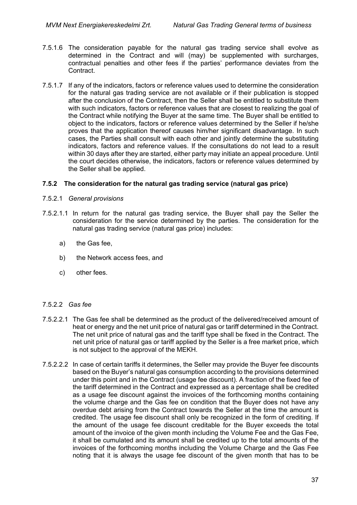- 7.5.1.6 The consideration payable for the natural gas trading service shall evolve as determined in the Contract and will (may) be supplemented with surcharges, contractual penalties and other fees if the parties' performance deviates from the **Contract**
- 7.5.1.7 If any of the indicators, factors or reference values used to determine the consideration for the natural gas trading service are not available or if their publication is stopped after the conclusion of the Contract, then the Seller shall be entitled to substitute them with such indicators, factors or reference values that are closest to realizing the goal of the Contract while notifying the Buyer at the same time. The Buyer shall be entitled to object to the indicators, factors or reference values determined by the Seller if he/she proves that the application thereof causes him/her significant disadvantage. In such cases, the Parties shall consult with each other and jointly determine the substituting indicators, factors and reference values. If the consultations do not lead to a result within 30 days after they are started, either party may initiate an appeal procedure. Until the court decides otherwise, the indicators, factors or reference values determined by the Seller shall be applied.

#### **7.5.2 The consideration for the natural gas trading service (natural gas price)**

- 7.5.2.1 *General provisions*
- 7.5.2.1.1 In return for the natural gas trading service, the Buyer shall pay the Seller the consideration for the service determined by the parties. The consideration for the natural gas trading service (natural gas price) includes:
	- a) the Gas fee,
	- b) the Network access fees, and
	- c) other fees.

#### 7.5.2.2 *Gas fee*

- 7.5.2.2.1 The Gas fee shall be determined as the product of the delivered/received amount of heat or energy and the net unit price of natural gas or tariff determined in the Contract. The net unit price of natural gas and the tariff type shall be fixed in the Contract. The net unit price of natural gas or tariff applied by the Seller is a free market price, which is not subject to the approval of the MEKH.
- 7.5.2.2.2 In case of certain tariffs it determines, the Seller may provide the Buyer fee discounts based on the Buyer's natural gas consumption according to the provisions determined under this point and in the Contract (usage fee discount). A fraction of the fixed fee of the tariff determined in the Contract and expressed as a percentage shall be credited as a usage fee discount against the invoices of the forthcoming months containing the volume charge and the Gas fee on condition that the Buyer does not have any overdue debt arising from the Contract towards the Seller at the time the amount is credited. The usage fee discount shall only be recognized in the form of crediting. If the amount of the usage fee discount creditable for the Buyer exceeds the total amount of the invoice of the given month including the Volume Fee and the Gas Fee, it shall be cumulated and its amount shall be credited up to the total amounts of the invoices of the forthcoming months including the Volume Charge and the Gas Fee noting that it is always the usage fee discount of the given month that has to be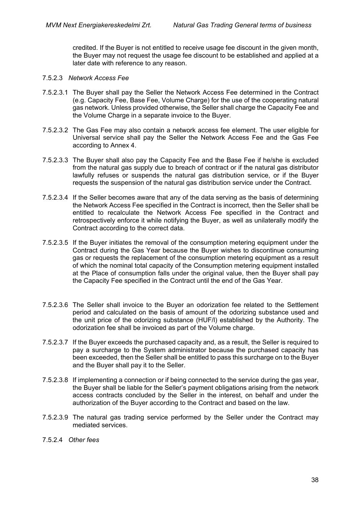credited. If the Buyer is not entitled to receive usage fee discount in the given month, the Buyer may not request the usage fee discount to be established and applied at a later date with reference to any reason.

#### 7.5.2.3 *Network Access Fee*

- 7.5.2.3.1 The Buyer shall pay the Seller the Network Access Fee determined in the Contract (e.g. Capacity Fee, Base Fee, Volume Charge) for the use of the cooperating natural gas network. Unless provided otherwise, the Seller shall charge the Capacity Fee and the Volume Charge in a separate invoice to the Buyer.
- 7.5.2.3.2 The Gas Fee may also contain a network access fee element. The user eligible for Universal service shall pay the Seller the Network Access Fee and the Gas Fee according to Annex 4.
- 7.5.2.3.3 The Buyer shall also pay the Capacity Fee and the Base Fee if he/she is excluded from the natural gas supply due to breach of contract or if the natural gas distributor lawfully refuses or suspends the natural gas distribution service, or if the Buyer requests the suspension of the natural gas distribution service under the Contract.
- 7.5.2.3.4 If the Seller becomes aware that any of the data serving as the basis of determining the Network Access Fee specified in the Contract is incorrect, then the Seller shall be entitled to recalculate the Network Access Fee specified in the Contract and retrospectively enforce it while notifying the Buyer, as well as unilaterally modify the Contract according to the correct data.
- 7.5.2.3.5 If the Buyer initiates the removal of the consumption metering equipment under the Contract during the Gas Year because the Buyer wishes to discontinue consuming gas or requests the replacement of the consumption metering equipment as a result of which the nominal total capacity of the Consumption metering equipment installed at the Place of consumption falls under the original value, then the Buyer shall pay the Capacity Fee specified in the Contract until the end of the Gas Year.
- 7.5.2.3.6 The Seller shall invoice to the Buyer an odorization fee related to the Settlement period and calculated on the basis of amount of the odorizing substance used and the unit price of the odorizing substance (HUF/l) established by the Authority. The odorization fee shall be invoiced as part of the Volume charge.
- 7.5.2.3.7 If the Buyer exceeds the purchased capacity and, as a result, the Seller is required to pay a surcharge to the System administrator because the purchased capacity has been exceeded, then the Seller shall be entitled to pass this surcharge on to the Buyer and the Buyer shall pay it to the Seller.
- 7.5.2.3.8 If implementing a connection or if being connected to the service during the gas year, the Buyer shall be liable for the Seller's payment obligations arising from the network access contracts concluded by the Seller in the interest, on behalf and under the authorization of the Buyer according to the Contract and based on the law.
- 7.5.2.3.9 The natural gas trading service performed by the Seller under the Contract may mediated services.
- 7.5.2.4 *Other fees*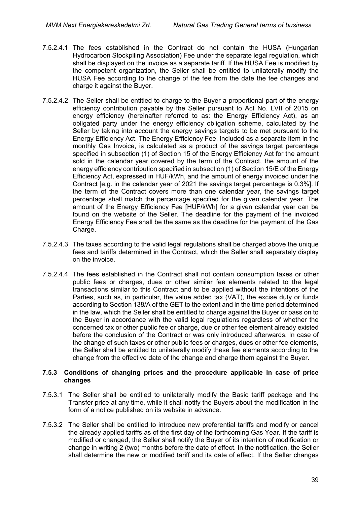- 7.5.2.4.1 The fees established in the Contract do not contain the HUSA (Hungarian Hydrocarbon Stockpiling Association) Fee under the separate legal regulation, which shall be displayed on the invoice as a separate tariff. If the HUSA Fee is modified by the competent organization, the Seller shall be entitled to unilaterally modify the HUSA Fee according to the change of the fee from the date the fee changes and charge it against the Buyer.
- 7.5.2.4.2 The Seller shall be entitled to charge to the Buyer a proportional part of the energy efficiency contribution payable by the Seller pursuant to Act No. LVII of 2015 on energy efficiency (hereinafter referred to as: the Energy Efficiency Act), as an obligated party under the energy efficiency obligation scheme, calculated by the Seller by taking into account the energy savings targets to be met pursuant to the Energy Efficiency Act. The Energy Efficiency Fee, included as a separate item in the monthly Gas Invoice, is calculated as a product of the savings target percentage specified in subsection (1) of Section 15 of the Energy Efficiency Act for the amount sold in the calendar year covered by the term of the Contract, the amount of the energy efficiency contribution specified in subsection (1) of Section 15/E of the Energy Efficiency Act, expressed in HUF/kWh, and the amount of energy invoiced under the Contract [e.g. in the calendar year of 2021 the savings target percentage is 0.3%]. If the term of the Contract covers more than one calendar year, the savings target percentage shall match the percentage specified for the given calendar year. The amount of the Energy Efficiency Fee [HUF/kWh] for a given calendar year can be found on the website of the Seller. The deadline for the payment of the invoiced Energy Efficiency Fee shall be the same as the deadline for the payment of the Gas Charge.
- 7.5.2.4.3 The taxes according to the valid legal regulations shall be charged above the unique fees and tariffs determined in the Contract, which the Seller shall separately display on the invoice.
- 7.5.2.4.4 The fees established in the Contract shall not contain consumption taxes or other public fees or charges, dues or other similar fee elements related to the legal transactions similar to this Contract and to be applied without the intentions of the Parties, such as, in particular, the value added tax (VAT), the excise duty or funds according to Section 138/A of the GET to the extent and in the time period determined in the law, which the Seller shall be entitled to charge against the Buyer or pass on to the Buyer in accordance with the valid legal regulations regardless of whether the concerned tax or other public fee or charge, due or other fee element already existed before the conclusion of the Contract or was only introduced afterwards. In case of the change of such taxes or other public fees or charges, dues or other fee elements, the Seller shall be entitled to unilaterally modify these fee elements according to the change from the effective date of the change and charge them against the Buyer.

#### **7.5.3 Conditions of changing prices and the procedure applicable in case of price changes**

- 7.5.3.1 The Seller shall be entitled to unilaterally modify the Basic tariff package and the Transfer price at any time, while it shall notify the Buyers about the modification in the form of a notice published on its website in advance.
- 7.5.3.2 The Seller shall be entitled to introduce new preferential tariffs and modify or cancel the already applied tariffs as of the first day of the forthcoming Gas Year. If the tariff is modified or changed, the Seller shall notify the Buyer of its intention of modification or change in writing 2 (two) months before the date of effect. In the notification, the Seller shall determine the new or modified tariff and its date of effect. If the Seller changes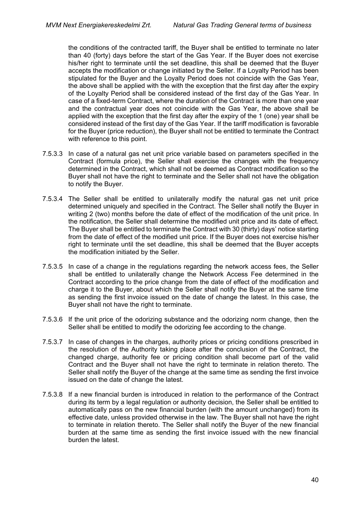the conditions of the contracted tariff, the Buyer shall be entitled to terminate no later than 40 (forty) days before the start of the Gas Year. If the Buyer does not exercise his/her right to terminate until the set deadline, this shall be deemed that the Buyer accepts the modification or change initiated by the Seller. If a Loyalty Period has been stipulated for the Buyer and the Loyalty Period does not coincide with the Gas Year, the above shall be applied with the with the exception that the first day after the expiry of the Loyalty Period shall be considered instead of the first day of the Gas Year. In case of a fixed-term Contract, where the duration of the Contract is more than one year and the contractual year does not coincide with the Gas Year, the above shall be applied with the exception that the first day after the expiry of the 1 (one) year shall be considered instead of the first day of the Gas Year. If the tariff modification is favorable for the Buyer (price reduction), the Buyer shall not be entitled to terminate the Contract with reference to this point.

- 7.5.3.3 In case of a natural gas net unit price variable based on parameters specified in the Contract (formula price), the Seller shall exercise the changes with the frequency determined in the Contract, which shall not be deemed as Contract modification so the Buyer shall not have the right to terminate and the Seller shall not have the obligation to notify the Buyer.
- 7.5.3.4 The Seller shall be entitled to unilaterally modify the natural gas net unit price determined uniquely and specified in the Contract. The Seller shall notify the Buyer in writing 2 (two) months before the date of effect of the modification of the unit price. In the notification, the Seller shall determine the modified unit price and its date of effect. The Buyer shall be entitled to terminate the Contract with 30 (thirty) days' notice starting from the date of effect of the modified unit price. If the Buyer does not exercise his/her right to terminate until the set deadline, this shall be deemed that the Buyer accepts the modification initiated by the Seller.
- 7.5.3.5 In case of a change in the regulations regarding the network access fees, the Seller shall be entitled to unilaterally change the Network Access Fee determined in the Contract according to the price change from the date of effect of the modification and charge it to the Buyer, about which the Seller shall notify the Buyer at the same time as sending the first invoice issued on the date of change the latest. In this case, the Buyer shall not have the right to terminate.
- 7.5.3.6 If the unit price of the odorizing substance and the odorizing norm change, then the Seller shall be entitled to modify the odorizing fee according to the change.
- 7.5.3.7 In case of changes in the charges, authority prices or pricing conditions prescribed in the resolution of the Authority taking place after the conclusion of the Contract, the changed charge, authority fee or pricing condition shall become part of the valid Contract and the Buyer shall not have the right to terminate in relation thereto. The Seller shall notify the Buyer of the change at the same time as sending the first invoice issued on the date of change the latest.
- 7.5.3.8 If a new financial burden is introduced in relation to the performance of the Contract during its term by a legal regulation or authority decision, the Seller shall be entitled to automatically pass on the new financial burden (with the amount unchanged) from its effective date, unless provided otherwise in the law. The Buyer shall not have the right to terminate in relation thereto. The Seller shall notify the Buyer of the new financial burden at the same time as sending the first invoice issued with the new financial burden the latest.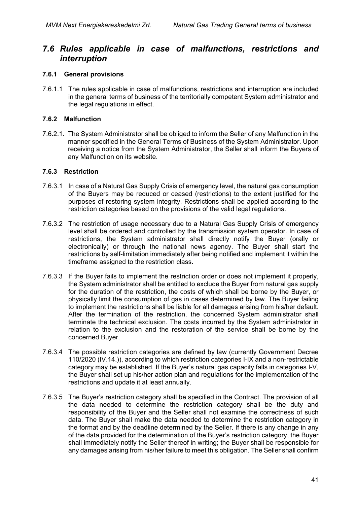# *7.6 Rules applicable in case of malfunctions, restrictions and interruption*

### **7.6.1 General provisions**

7.6.1.1 The rules applicable in case of malfunctions, restrictions and interruption are included in the general terms of business of the territorially competent System administrator and the legal regulations in effect.

### **7.6.2 Malfunction**

7.6.2.1. The System Administrator shall be obliged to inform the Seller of any Malfunction in the manner specified in the General Terms of Business of the System Administrator. Upon receiving a notice from the System Administrator, the Seller shall inform the Buyers of any Malfunction on its website.

### **7.6.3 Restriction**

- 7.6.3.1 In case of a Natural Gas Supply Crisis of emergency level, the natural gas consumption of the Buyers may be reduced or ceased (restrictions) to the extent justified for the purposes of restoring system integrity. Restrictions shall be applied according to the restriction categories based on the provisions of the valid legal regulations.
- 7.6.3.2 The restriction of usage necessary due to a Natural Gas Supply Crisis of emergency level shall be ordered and controlled by the transmission system operator. In case of restrictions, the System administrator shall directly notify the Buyer (orally or electronically) or through the national news agency. The Buyer shall start the restrictions by self-limitation immediately after being notified and implement it within the timeframe assigned to the restriction class.
- 7.6.3.3 If the Buyer fails to implement the restriction order or does not implement it properly, the System administrator shall be entitled to exclude the Buyer from natural gas supply for the duration of the restriction, the costs of which shall be borne by the Buyer, or physically limit the consumption of gas in cases determined by law. The Buyer failing to implement the restrictions shall be liable for all damages arising from his/her default. After the termination of the restriction, the concerned System administrator shall terminate the technical exclusion. The costs incurred by the System administrator in relation to the exclusion and the restoration of the service shall be borne by the concerned Buyer.
- 7.6.3.4 The possible restriction categories are defined by law (currently Government Decree 110/2020 (IV.14.)), according to which restriction categories I-IX and a non-restrictable category may be established. If the Buyer's natural gas capacity falls in categories I-V, the Buyer shall set up his/her action plan and regulations for the implementation of the restrictions and update it at least annually.
- 7.6.3.5 The Buyer's restriction category shall be specified in the Contract. The provision of all the data needed to determine the restriction category shall be the duty and responsibility of the Buyer and the Seller shall not examine the correctness of such data. The Buyer shall make the data needed to determine the restriction category in the format and by the deadline determined by the Seller. If there is any change in any of the data provided for the determination of the Buyer's restriction category, the Buyer shall immediately notify the Seller thereof in writing; the Buyer shall be responsible for any damages arising from his/her failure to meet this obligation. The Seller shall confirm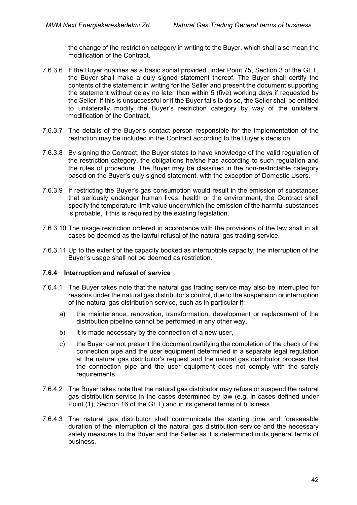the change of the restriction category in writing to the Buyer, which shall also mean the modification of the Contract.

- 7.6.3.6 If the Buyer qualifies as a basic social provided under Point 75, Section 3 of the GET, the Buyer shall make a duly signed statement thereof. The Buyer shall certify the contents of the statement in writing for the Seller and present the document supporting the statement without delay no later than within 5 (five) working days if requested by the Seller. If this is unsuccessful or if the Buyer fails to do so, the Seller shall be entitled to unilaterally modify the Buyer's restriction category by way of the unilateral modification of the Contract.
- 7.6.3.7 The details of the Buyer's contact person responsible for the implementation of the restriction may be included in the Contract according to the Buyer's decision.
- 7.6.3.8 By signing the Contract, the Buyer states to have knowledge of the valid regulation of the restriction category, the obligations he/she has according to such regulation and the rules of procedure. The Buyer may be classified in the non-restrictable category based on the Buyer's duly signed statement, with the exception of Domestic Users.
- 7.6.3.9 If restricting the Buyer's gas consumption would result in the emission of substances that seriously endanger human lives, health or the environment, the Contract shall specify the temperature limit value under which the emission of the harmful substances is probable, if this is required by the existing legislation.
- 7.6.3.10 The usage restriction ordered in accordance with the provisions of the law shall in all cases be deemed as the lawful refusal of the natural gas trading service.
- 7.6.3.11 Up to the extent of the capacity booked as interruptible capacity, the interruption of the Buyer's usage shall not be deemed as restriction.

### **7.6.4 Interruption and refusal of service**

- <span id="page-41-0"></span>7.6.4.1 The Buyer takes note that the natural gas trading service may also be interrupted for reasons under the natural gas distributor's control, due to the suspension or interruption of the natural gas distribution service, such as in particular if:
	- a) the maintenance, renovation, transformation, development or replacement of the distribution pipeline cannot be performed in any other way,
	- b) it is made necessary by the connection of a new user,
	- c) the Buyer cannot present the document certifying the completion of the check of the connection pipe and the user equipment determined in a separate legal regulation at the natural gas distributor's request and the natural gas distributor process that the connection pipe and the user equipment does not comply with the safety requirements.
- 7.6.4.2 The Buyer takes note that the natural gas distributor may refuse or suspend the natural gas distribution service in the cases determined by law (e.g. in cases defined under Point (1), Section 16 of the GET) and in its general terms of business.
- 7.6.4.3 The natural gas distributor shall communicate the starting time and foreseeable duration of the interruption of the natural gas distribution service and the necessary safety measures to the Buyer and the Seller as it is determined in its general terms of business.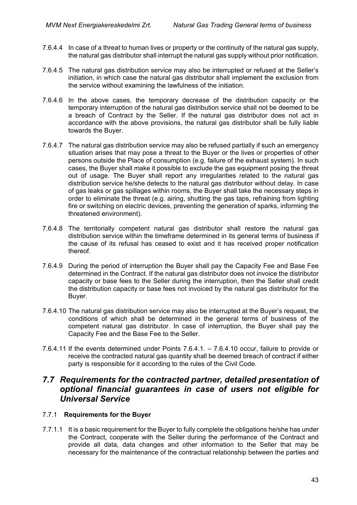- 7.6.4.4 In case of a threat to human lives or property or the continuity of the natural gas supply, the natural gas distributor shall interrupt the natural gas supply without prior notification.
- 7.6.4.5 The natural gas distribution service may also be interrupted or refused at the Seller's initiation, in which case the natural gas distributor shall implement the exclusion from the service without examining the lawfulness of the initiation.
- 7.6.4.6 In the above cases, the temporary decrease of the distribution capacity or the temporary interruption of the natural gas distribution service shall not be deemed to be a breach of Contract by the Seller. If the natural gas distributor does not act in accordance with the above provisions, the natural gas distributor shall be fully liable towards the Buyer.
- 7.6.4.7 The natural gas distribution service may also be refused partially if such an emergency situation arises that may pose a threat to the Buyer or the lives or properties of other persons outside the Place of consumption (e.g. failure of the exhaust system). In such cases, the Buyer shall make it possible to exclude the gas equipment posing the threat out of usage. The Buyer shall report any irregularities related to the natural gas distribution service he/she detects to the natural gas distributor without delay. In case of gas leaks or gas spillages within rooms, the Buyer shall take the necessary steps in order to eliminate the threat (e.g. airing, shutting the gas taps, refraining from lighting fire or switching on electric devices, preventing the generation of sparks, informing the threatened environment).
- 7.6.4.8 The territorially competent natural gas distributor shall restore the natural gas distribution service within the timeframe determined in its general terms of business if the cause of its refusal has ceased to exist and it has received proper notification thereof.
- 7.6.4.9 During the period of interruption the Buyer shall pay the Capacity Fee and Base Fee determined in the Contract. If the natural gas distributor does not invoice the distributor capacity or base fees to the Seller during the interruption, then the Seller shall credit the distribution capacity or base fees not invoiced by the natural gas distributor for the Buyer.
- <span id="page-42-0"></span>7.6.4.10 The natural gas distribution service may also be interrupted at the Buyer's request, the conditions of which shall be determined in the general terms of business of the competent natural gas distributor. In case of interruption, the Buyer shall pay the Capacity Fee and the Base Fee to the Seller.
- 7.6.4.11 If the events determined under Points [7.6.4.1.](#page-41-0) [7.6.4.10](#page-42-0) occur, failure to provide or receive the contracted natural gas quantity shall be deemed breach of contract if either party is responsible for it according to the rules of the Civil Code.

## *7.7 Requirements for the contracted partner, detailed presentation of optional financial guarantees in case of users not eligible for Universal Service*

### 7.7.1 **Requirements for the Buyer**

7.7.1.1 It is a basic requirement for the Buyer to fully complete the obligations he/she has under the Contract, cooperate with the Seller during the performance of the Contract and provide all data, data changes and other information to the Seller that may be necessary for the maintenance of the contractual relationship between the parties and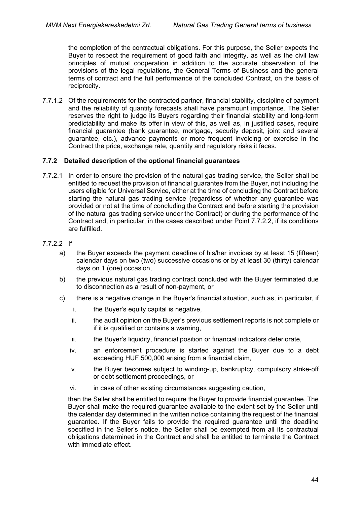the completion of the contractual obligations. For this purpose, the Seller expects the Buyer to respect the requirement of good faith and integrity, as well as the civil law principles of mutual cooperation in addition to the accurate observation of the provisions of the legal regulations, the General Terms of Business and the general terms of contract and the full performance of the concluded Contract, on the basis of reciprocity.

7.7.1.2 Of the requirements for the contracted partner, financial stability, discipline of payment and the reliability of quantity forecasts shall have paramount importance. The Seller reserves the right to judge its Buyers regarding their financial stability and long-term predictability and make its offer in view of this, as well as, in justified cases, require financial guarantee (bank guarantee, mortgage, security deposit, joint and several guarantee, etc.), advance payments or more frequent invoicing or exercise in the Contract the price, exchange rate, quantity and regulatory risks it faces.

### **7.7.2 Detailed description of the optional financial guarantees**

7.7.2.1 In order to ensure the provision of the natural gas trading service, the Seller shall be entitled to request the provision of financial guarantee from the Buyer, not including the users eligible for Universal Service, either at the time of concluding the Contract before starting the natural gas trading service (regardless of whether any guarantee was provided or not at the time of concluding the Contract and before starting the provision of the natural gas trading service under the Contract) or during the performance of the Contract and, in particular, in the cases described under Point 7.7.2.2, if its conditions are fulfilled.

### 7.7.2.2 If

- a) the Buyer exceeds the payment deadline of his/her invoices by at least 15 (fifteen) calendar days on two (two) successive occasions or by at least 30 (thirty) calendar days on 1 (one) occasion,
- b) the previous natural gas trading contract concluded with the Buyer terminated due to disconnection as a result of non-payment, or
- c) there is a negative change in the Buyer's financial situation, such as, in particular, if
	- i. the Buyer's equity capital is negative,
	- ii. the audit opinion on the Buyer's previous settlement reports is not complete or if it is qualified or contains a warning,
	- iii. the Buyer's liquidity, financial position or financial indicators deteriorate,
	- iv. an enforcement procedure is started against the Buyer due to a debt exceeding HUF 500,000 arising from a financial claim,
	- v. the Buyer becomes subject to winding-up, bankruptcy, compulsory strike-off or debt settlement proceedings, or
	- vi. in case of other existing circumstances suggesting caution,

then the Seller shall be entitled to require the Buyer to provide financial guarantee. The Buyer shall make the required guarantee available to the extent set by the Seller until the calendar day determined in the written notice containing the request of the financial guarantee. If the Buyer fails to provide the required guarantee until the deadline specified in the Seller's notice, the Seller shall be exempted from all its contractual obligations determined in the Contract and shall be entitled to terminate the Contract with immediate effect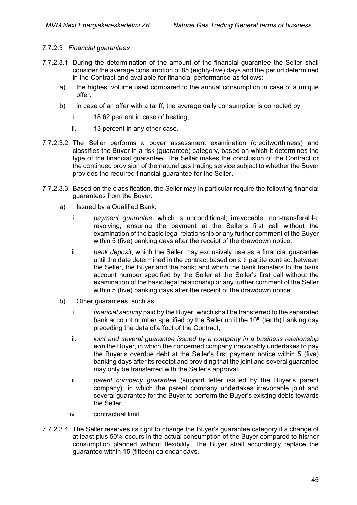### 7.7.2.3 *Financial guarantees*

- 7.7.2.3.1 During the determination of the amount of the financial guarantee the Seller shall consider the average consumption of 85 (eighty-five) days and the period determined in the Contract and available for financial performance as follows:
	- a) the highest volume used compared to the annual consumption in case of a unique offer.
	- b) in case of an offer with a tariff, the average daily consumption is corrected by
		- i. 18.62 percent in case of heating,
		- ii. 13 percent in any other case.
- 7.7.2.3.2 The Seller performs a buyer assessment examination (creditworthiness) and classifies the Buyer in a risk (guarantee) category, based on which it determines the type of the financial guarantee. The Seller makes the conclusion of the Contract or the continued provision of the natural gas trading service subject to whether the Buyer provides the required financial guarantee for the Seller.
- 7.7.2.3.3 Based on the classification, the Seller may in particular require the following financial guarantees from the Buyer.
	- a) Issued by a Qualified Bank:
		- i. *payment guarantee*, which is unconditional; irrevocable; non-transferable; revolving; ensuring the payment at the Seller's first call without the examination of the basic legal relationship or any further comment of the Buyer within 5 (five) banking days after the receipt of the drawdown notice;
		- ii. *bank deposit*, which the Seller may exclusively use as a financial guarantee until the date determined in the contract based on a tripartite contract between the Seller, the Buyer and the bank; and which the bank transfers to the bank account number specified by the Seller at the Seller's first call without the examination of the basic legal relationship or any further comment of the Seller within 5 (five) banking days after the receipt of the drawdown notice.
	- b) Other guarantees, such as:
		- i. *financial security* paid by the Buyer, which shall be transferred to the separated bank account number specified by the Seller until the  $10<sup>th</sup>$  (tenth) banking day preceding the data of effect of the Contract,
		- ii. *joint and several guarantee issued by a company in a business relationship*  with the Buyer, in which the concerned company irrevocably undertakes to pay the Buyer's overdue debt at the Seller's first payment notice within 5 (five) banking days after its receipt and providing that the joint and several guarantee may only be transferred with the Seller's approval,
		- iii. *parent company guarantee* (support letter issued by the Buyer's parent company), in which the parent company undertakes irrevocable joint and several guarantee for the Buyer to perform the Buyer's existing debts towards the Seller,
		- iv. contractual limit.
- 7.7.2.3.4 The Seller reserves its right to change the Buyer's guarantee category if a change of at least plus 50% occurs in the actual consumption of the Buyer compared to his/her consumption planned without flexibility. The Buyer shall accordingly replace the guarantee within 15 (fifteen) calendar days.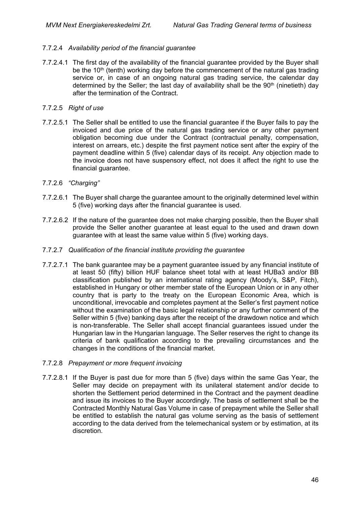### 7.7.2.4 *Availability period of the financial guarantee*

7.7.2.4.1 The first day of the availability of the financial guarantee provided by the Buyer shall be the 10<sup>th</sup> (tenth) working day before the commencement of the natural gas trading service or, in case of an ongoing natural gas trading service, the calendar day determined by the Seller; the last day of availability shall be the  $90<sup>th</sup>$  (ninetieth) day after the termination of the Contract.

### 7.7.2.5 *Right of use*

7.7.2.5.1 The Seller shall be entitled to use the financial guarantee if the Buyer fails to pay the invoiced and due price of the natural gas trading service or any other payment obligation becoming due under the Contract (contractual penalty, compensation, interest on arrears, etc.) despite the first payment notice sent after the expiry of the payment deadline within 5 (five) calendar days of its receipt. Any objection made to the invoice does not have suspensory effect, not does it affect the right to use the financial guarantee.

### 7.7.2.6 *"Charging"*

- 7.7.2.6.1 The Buyer shall charge the guarantee amount to the originally determined level within 5 (five) working days after the financial guarantee is used.
- 7.7.2.6.2 If the nature of the guarantee does not make charging possible, then the Buyer shall provide the Seller another guarantee at least equal to the used and drawn down guarantee with at least the same value within 5 (five) working days.

### 7.7.2.7 *Qualification of the financial institute providing the guarantee*

- 7.7.2.7.1 The bank guarantee may be a payment guarantee issued by any financial institute of at least 50 (fifty) billion HUF balance sheet total with at least HUBa3 and/or BB classification published by an international rating agency (Moody's, S&P, Fitch), established in Hungary or other member state of the European Union or in any other country that is party to the treaty on the European Economic Area, which is unconditional, irrevocable and completes payment at the Seller's first payment notice without the examination of the basic legal relationship or any further comment of the Seller within 5 (five) banking days after the receipt of the drawdown notice and which is non-transferable. The Seller shall accept financial guarantees issued under the Hungarian law in the Hungarian language. The Seller reserves the right to change its criteria of bank qualification according to the prevailing circumstances and the changes in the conditions of the financial market.
- 7.7.2.8 *Prepayment or more frequent invoicing*
- 7.7.2.8.1 If the Buyer is past due for more than 5 (five) days within the same Gas Year, the Seller may decide on prepayment with its unilateral statement and/or decide to shorten the Settlement period determined in the Contract and the payment deadline and issue its invoices to the Buyer accordingly. The basis of settlement shall be the Contracted Monthly Natural Gas Volume in case of prepayment while the Seller shall be entitled to establish the natural gas volume serving as the basis of settlement according to the data derived from the telemechanical system or by estimation, at its discretion.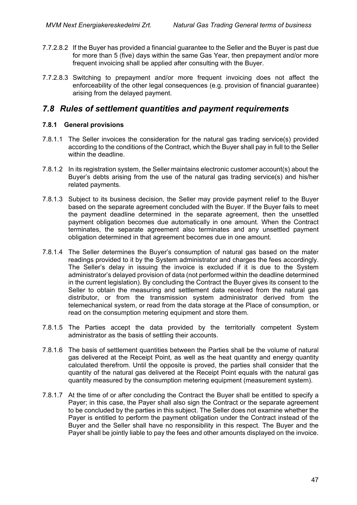- 7.7.2.8.2 If the Buyer has provided a financial guarantee to the Seller and the Buyer is past due for more than 5 (five) days within the same Gas Year, then prepayment and/or more frequent invoicing shall be applied after consulting with the Buyer.
- 7.7.2.8.3 Switching to prepayment and/or more frequent invoicing does not affect the enforceability of the other legal consequences (e.g. provision of financial guarantee) arising from the delayed payment.

## *7.8 Rules of settlement quantities and payment requirements*

### **7.8.1 General provisions**

- 7.8.1.1 The Seller invoices the consideration for the natural gas trading service(s) provided according to the conditions of the Contract, which the Buyer shall pay in full to the Seller within the deadline.
- 7.8.1.2 In its registration system, the Seller maintains electronic customer account(s) about the Buyer's debts arising from the use of the natural gas trading service(s) and his/her related payments.
- 7.8.1.3 Subject to its business decision, the Seller may provide payment relief to the Buyer based on the separate agreement concluded with the Buyer. If the Buyer fails to meet the payment deadline determined in the separate agreement, then the unsettled payment obligation becomes due automatically in one amount. When the Contract terminates, the separate agreement also terminates and any unsettled payment obligation determined in that agreement becomes due in one amount.
- 7.8.1.4 The Seller determines the Buyer's consumption of natural gas based on the mater readings provided to it by the System administrator and charges the fees accordingly. The Seller's delay in issuing the invoice is excluded if it is due to the System administrator's delayed provision of data (not performed within the deadline determined in the current legislation). By concluding the Contract the Buyer gives its consent to the Seller to obtain the measuring and settlement data received from the natural gas distributor, or from the transmission system administrator derived from the telemechanical system, or read from the data storage at the Place of consumption, or read on the consumption metering equipment and store them.
- 7.8.1.5 The Parties accept the data provided by the territorially competent System administrator as the basis of settling their accounts.
- 7.8.1.6 The basis of settlement quantities between the Parties shall be the volume of natural gas delivered at the Receipt Point, as well as the heat quantity and energy quantity calculated therefrom. Until the opposite is proved, the parties shall consider that the quantity of the natural gas delivered at the Receipt Point equals with the natural gas quantity measured by the consumption metering equipment (measurement system).
- 7.8.1.7 At the time of or after concluding the Contract the Buyer shall be entitled to specify a Payer; in this case, the Payer shall also sign the Contract or the separate agreement to be concluded by the parties in this subject. The Seller does not examine whether the Payer is entitled to perform the payment obligation under the Contract instead of the Buyer and the Seller shall have no responsibility in this respect. The Buyer and the Payer shall be jointly liable to pay the fees and other amounts displayed on the invoice.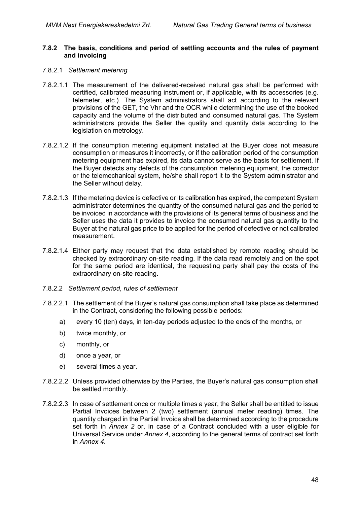#### **7.8.2 The basis, conditions and period of settling accounts and the rules of payment and invoicing**

#### 7.8.2.1 *Settlement metering*

- 7.8.2.1.1 The measurement of the delivered-received natural gas shall be performed with certified, calibrated measuring instrument or, if applicable, with its accessories (e.g. telemeter, etc.). The System administrators shall act according to the relevant provisions of the GET, the Vhr and the OCR while determining the use of the booked capacity and the volume of the distributed and consumed natural gas. The System administrators provide the Seller the quality and quantity data according to the legislation on metrology.
- 7.8.2.1.2 If the consumption metering equipment installed at the Buyer does not measure consumption or measures it incorrectly, or if the calibration period of the consumption metering equipment has expired, its data cannot serve as the basis for settlement. If the Buyer detects any defects of the consumption metering equipment, the corrector or the telemechanical system, he/she shall report it to the System administrator and the Seller without delay.
- 7.8.2.1.3 If the metering device is defective or its calibration has expired, the competent System administrator determines the quantity of the consumed natural gas and the period to be invoiced in accordance with the provisions of its general terms of business and the Seller uses the data it provides to invoice the consumed natural gas quantity to the Buyer at the natural gas price to be applied for the period of defective or not calibrated measurement.
- 7.8.2.1.4 Either party may request that the data established by remote reading should be checked by extraordinary on-site reading. If the data read remotely and on the spot for the same period are identical, the requesting party shall pay the costs of the extraordinary on-site reading.
- 7.8.2.2 *Settlement period, rules of settlement*
- 7.8.2.2.1 The settlement of the Buyer's natural gas consumption shall take place as determined in the Contract, considering the following possible periods:
	- a) every 10 (ten) days, in ten-day periods adjusted to the ends of the months, or
	- b) twice monthly, or
	- c) monthly, or
	- d) once a year, or
	- e) several times a year.
- 7.8.2.2.2 Unless provided otherwise by the Parties, the Buyer's natural gas consumption shall be settled monthly.
- 7.8.2.2.3 In case of settlement once or multiple times a year, the Seller shall be entitled to issue Partial Invoices between 2 (two) settlement (annual meter reading) times. The quantity charged in the Partial Invoice shall be determined according to the procedure set forth in *Annex 2* or, in case of a Contract concluded with a user eligible for Universal Service under *Annex 4*, according to the general terms of contract set forth in *Annex 4*.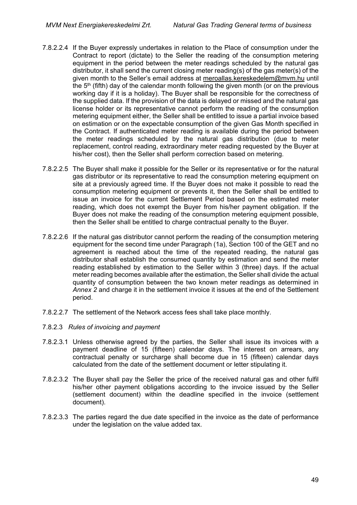- 7.8.2.2.4 If the Buyer expressly undertakes in relation to the Place of consumption under the Contract to report (dictate) to the Seller the reading of the consumption metering equipment in the period between the meter readings scheduled by the natural gas distributor, it shall send the current closing meter reading(s) of the gas meter(s) of the given month to the Seller's email address at [meroallas.kereskedelem@mvm.hu](mailto:meroallas.kereskedelem@mvm.hu) until the  $5<sup>th</sup>$  (fifth) day of the calendar month following the given month (or on the previous working day if it is a holiday). The Buyer shall be responsible for the correctness of the supplied data. If the provision of the data is delayed or missed and the natural gas license holder or its representative cannot perform the reading of the consumption metering equipment either, the Seller shall be entitled to issue a partial invoice based on estimation or on the expectable consumption of the given Gas Month specified in the Contract. If authenticated meter reading is available during the period between the meter readings scheduled by the natural gas distribution (due to meter replacement, control reading, extraordinary meter reading requested by the Buyer at his/her cost), then the Seller shall perform correction based on metering.
- 7.8.2.2.5 The Buyer shall make it possible for the Seller or its representative or for the natural gas distributor or its representative to read the consumption metering equipment on site at a previously agreed time. If the Buyer does not make it possible to read the consumption metering equipment or prevents it, then the Seller shall be entitled to issue an invoice for the current Settlement Period based on the estimated meter reading, which does not exempt the Buyer from his/her payment obligation. If the Buyer does not make the reading of the consumption metering equipment possible, then the Seller shall be entitled to charge contractual penalty to the Buyer.
- 7.8.2.2.6 If the natural gas distributor cannot perform the reading of the consumption metering equipment for the second time under Paragraph (1a), Section 100 of the GET and no agreement is reached about the time of the repeated reading, the natural gas distributor shall establish the consumed quantity by estimation and send the meter reading established by estimation to the Seller within 3 (three) days. If the actual meter reading becomes available after the estimation, the Seller shall divide the actual quantity of consumption between the two known meter readings as determined in *Annex 2* and charge it in the settlement invoice it issues at the end of the Settlement period.
- 7.8.2.2.7 The settlement of the Network access fees shall take place monthly.
- 7.8.2.3 *Rules of invoicing and payment*
- 7.8.2.3.1 Unless otherwise agreed by the parties, the Seller shall issue its invoices with a payment deadline of 15 (fifteen) calendar days. The interest on arrears, any contractual penalty or surcharge shall become due in 15 (fifteen) calendar days calculated from the date of the settlement document or letter stipulating it.
- 7.8.2.3.2 The Buyer shall pay the Seller the price of the received natural gas and other fulfil his/her other payment obligations according to the invoice issued by the Seller (settlement document) within the deadline specified in the invoice (settlement document).
- 7.8.2.3.3 The parties regard the due date specified in the invoice as the date of performance under the legislation on the value added tax.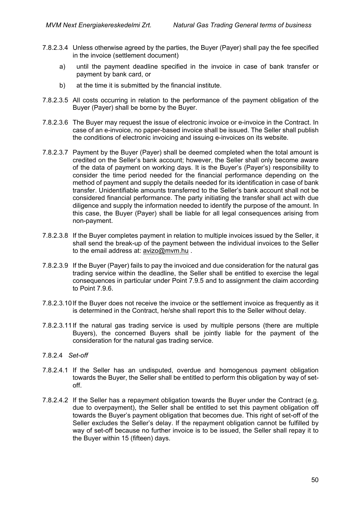- 7.8.2.3.4 Unless otherwise agreed by the parties, the Buyer (Payer) shall pay the fee specified in the invoice (settlement document)
	- a) until the payment deadline specified in the invoice in case of bank transfer or payment by bank card, or
	- b) at the time it is submitted by the financial institute.
- 7.8.2.3.5 All costs occurring in relation to the performance of the payment obligation of the Buyer (Payer) shall be borne by the Buyer.
- 7.8.2.3.6 The Buyer may request the issue of electronic invoice or e-invoice in the Contract. In case of an e-invoice, no paper-based invoice shall be issued. The Seller shall publish the conditions of electronic invoicing and issuing e-invoices on its website.
- 7.8.2.3.7 Payment by the Buyer (Payer) shall be deemed completed when the total amount is credited on the Seller's bank account; however, the Seller shall only become aware of the data of payment on working days. It is the Buyer's (Payer's) responsibility to consider the time period needed for the financial performance depending on the method of payment and supply the details needed for its identification in case of bank transfer. Unidentifiable amounts transferred to the Seller's bank account shall not be considered financial performance. The party initiating the transfer shall act with due diligence and supply the information needed to identify the purpose of the amount. In this case, the Buyer (Payer) shall be liable for all legal consequences arising from non-payment.
- 7.8.2.3.8 If the Buyer completes payment in relation to multiple invoices issued by the Seller, it shall send the break-up of the payment between the individual invoices to the Seller to the email address at: [avizo@mvm.hu](mailto:avizo@mvm.hu) .
- 7.8.2.3.9 If the Buyer (Payer) fails to pay the invoiced and due consideration for the natural gas trading service within the deadline, the Seller shall be entitled to exercise the legal consequences in particular under Point 7.9.5 and to assignment the claim according to Point [7.9.6.](#page-55-0)
- 7.8.2.3.10If the Buyer does not receive the invoice or the settlement invoice as frequently as it is determined in the Contract, he/she shall report this to the Seller without delay.
- 7.8.2.3.11If the natural gas trading service is used by multiple persons (there are multiple Buyers), the concerned Buyers shall be jointly liable for the payment of the consideration for the natural gas trading service.
- 7.8.2.4 *Set-off*
- 7.8.2.4.1 If the Seller has an undisputed, overdue and homogenous payment obligation towards the Buyer, the Seller shall be entitled to perform this obligation by way of setoff.
- 7.8.2.4.2 If the Seller has a repayment obligation towards the Buyer under the Contract (e.g. due to overpayment), the Seller shall be entitled to set this payment obligation off towards the Buyer's payment obligation that becomes due. This right of set-off of the Seller excludes the Seller's delay. If the repayment obligation cannot be fulfilled by way of set-off because no further invoice is to be issued, the Seller shall repay it to the Buyer within 15 (fifteen) days.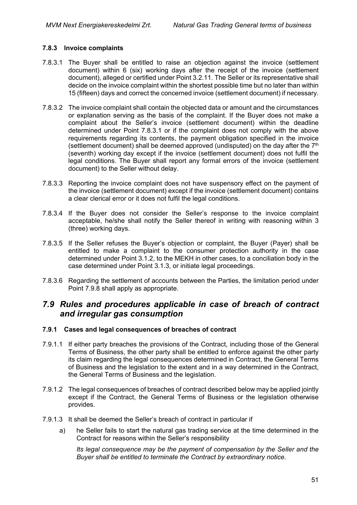### **7.8.3 Invoice complaints**

- 7.8.3.1 The Buyer shall be entitled to raise an objection against the invoice (settlement document) within 6 (six) working days after the receipt of the invoice (settlement document), alleged or certified under Point 3.2.11. The Seller or its representative shall decide on the invoice complaint within the shortest possible time but no later than within 15 (fifteen) days and correct the concerned invoice (settlement document) if necessary.
- 7.8.3.2 The invoice complaint shall contain the objected data or amount and the circumstances or explanation serving as the basis of the complaint. If the Buyer does not make a complaint about the Seller's invoice (settlement document) within the deadline determined under Point 7.8.3.1 or if the complaint does not comply with the above requirements regarding its contents, the payment obligation specified in the invoice (settlement document) shall be deemed approved (undisputed) on the day after the  $7<sup>th</sup>$ (seventh) working day except if the invoice (settlement document) does not fulfil the legal conditions. The Buyer shall report any formal errors of the invoice (settlement document) to the Seller without delay.
- 7.8.3.3 Reporting the invoice complaint does not have suspensory effect on the payment of the invoice (settlement document) except if the invoice (settlement document) contains a clear clerical error or it does not fulfil the legal conditions.
- 7.8.3.4 If the Buyer does not consider the Seller's response to the invoice complaint acceptable, he/she shall notify the Seller thereof in writing with reasoning within 3 (three) working days.
- 7.8.3.5 If the Seller refuses the Buyer's objection or complaint, the Buyer (Payer) shall be entitled to make a complaint to the consumer protection authority in the case determined under Point 3.1.2, to the MEKH in other cases, to a conciliation body in the case determined under Point 3.1.3, or initiate legal proceedings.
- 7.8.3.6 Regarding the settlement of accounts between the Parties, the limitation period under Point 7.9.8 shall apply as appropriate.

## *7.9 Rules and procedures applicable in case of breach of contract and irregular gas consumption*

### **7.9.1 Cases and legal consequences of breaches of contract**

- 7.9.1.1 If either party breaches the provisions of the Contract, including those of the General Terms of Business, the other party shall be entitled to enforce against the other party its claim regarding the legal consequences determined in Contract, the General Terms of Business and the legislation to the extent and in a way determined in the Contract, the General Terms of Business and the legislation.
- 7.9.1.2 The legal consequences of breaches of contract described below may be applied jointly except if the Contract, the General Terms of Business or the legislation otherwise provides.
- 7.9.1.3 It shall be deemed the Seller's breach of contract in particular if
	- a) he Seller fails to start the natural gas trading service at the time determined in the Contract for reasons within the Seller's responsibility

*Its legal consequence may be the payment of compensation by the Seller and the Buyer shall be entitled to terminate the Contract by extraordinary notice.*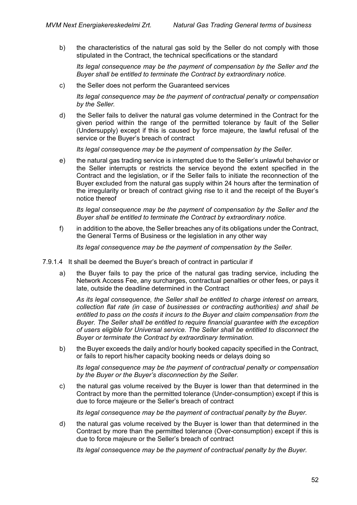b) the characteristics of the natural gas sold by the Seller do not comply with those stipulated in the Contract, the technical specifications or the standard

*Its legal consequence may be the payment of compensation by the Seller and the Buyer shall be entitled to terminate the Contract by extraordinary notice.*

c) the Seller does not perform the Guaranteed services

*Its legal consequence may be the payment of contractual penalty or compensation by the Seller.*

d) the Seller fails to deliver the natural gas volume determined in the Contract for the given period within the range of the permitted tolerance by fault of the Seller (Undersupply) except if this is caused by force majeure, the lawful refusal of the service or the Buyer's breach of contract

*Its legal consequence may be the payment of compensation by the Seller.*

e) the natural gas trading service is interrupted due to the Seller's unlawful behavior or the Seller interrupts or restricts the service beyond the extent specified in the Contract and the legislation, or if the Seller fails to initiate the reconnection of the Buyer excluded from the natural gas supply within 24 hours after the termination of the irregularity or breach of contract giving rise to it and the receipt of the Buyer's notice thereof

*Its legal consequence may be the payment of compensation by the Seller and the Buyer shall be entitled to terminate the Contract by extraordinary notice.*

f) in addition to the above, the Seller breaches any of its obligations under the Contract, the General Terms of Business or the legislation in any other way

*Its legal consequence may be the payment of compensation by the Seller.*

- 7.9.1.4 It shall be deemed the Buyer's breach of contract in particular if
	- a) the Buyer fails to pay the price of the natural gas trading service, including the Network Access Fee, any surcharges, contractual penalties or other fees, or pays it late, outside the deadline determined in the Contract

*As its legal consequence, the Seller shall be entitled to charge interest on arrears, collection flat rate (in case of businesses or contracting authorities) and shall be entitled to pass on the costs it incurs to the Buyer and claim compensation from the Buyer. The Seller shall be entitled to require financial guarantee with the exception of users eligible for Universal service. The Seller shall be entitled to disconnect the Buyer or terminate the Contract by extraordinary termination.*

b) the Buyer exceeds the daily and/or hourly booked capacity specified in the Contract, or fails to report his/her capacity booking needs or delays doing so

*Its legal consequence may be the payment of contractual penalty or compensation by the Buyer or the Buyer's disconnection by the Seller.*

c) the natural gas volume received by the Buyer is lower than that determined in the Contract by more than the permitted tolerance (Under-consumption) except if this is due to force majeure or the Seller's breach of contract

*Its legal consequence may be the payment of contractual penalty by the Buyer.*

d) the natural gas volume received by the Buyer is lower than that determined in the Contract by more than the permitted tolerance (Over-consumption) except if this is due to force majeure or the Seller's breach of contract

*Its legal consequence may be the payment of contractual penalty by the Buyer.*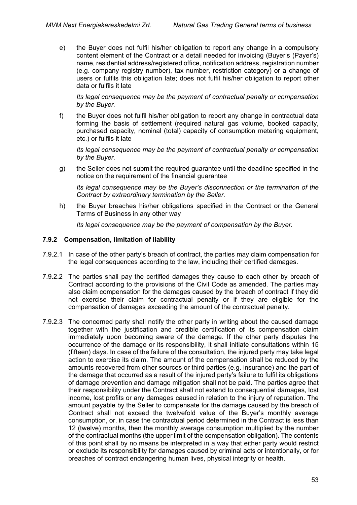e) the Buyer does not fulfil his/her obligation to report any change in a compulsory content element of the Contract or a detail needed for invoicing (Buyer's (Payer's) name, residential address/registered office, notification address, registration number (e.g. company registry number), tax number, restriction category) or a change of users or fulfils this obligation late; does not fulfil his/her obligation to report other data or fulfils it late

*Its legal consequence may be the payment of contractual penalty or compensation by the Buyer.*

f) the Buyer does not fulfil his/her obligation to report any change in contractual data forming the basis of settlement (required natural gas volume, booked capacity, purchased capacity, nominal (total) capacity of consumption metering equipment, etc.) or fulfils it late

*Its legal consequence may be the payment of contractual penalty or compensation by the Buyer.*

g) the Seller does not submit the required guarantee until the deadline specified in the notice on the requirement of the financial guarantee

*Its legal consequence may be the Buyer's disconnection or the termination of the Contract by extraordinary termination by the Seller.*

h) the Buyer breaches his/her obligations specified in the Contract or the General Terms of Business in any other way

*Its legal consequence may be the payment of compensation by the Buyer.*

### **7.9.2 Compensation, limitation of liability**

- 7.9.2.1 In case of the other party's breach of contract, the parties may claim compensation for the legal consequences according to the law, including their certified damages.
- 7.9.2.2 The parties shall pay the certified damages they cause to each other by breach of Contract according to the provisions of the Civil Code as amended. The parties may also claim compensation for the damages caused by the breach of contract if they did not exercise their claim for contractual penalty or if they are eligible for the compensation of damages exceeding the amount of the contractual penalty.
- 7.9.2.3 The concerned party shall notify the other party in writing about the caused damage together with the justification and credible certification of its compensation claim immediately upon becoming aware of the damage. If the other party disputes the occurrence of the damage or its responsibility, it shall initiate consultations within 15 (fifteen) days. In case of the failure of the consultation, the injured party may take legal action to exercise its claim. The amount of the compensation shall be reduced by the amounts recovered from other sources or third parties (e.g. insurance) and the part of the damage that occurred as a result of the injured party's failure to fulfil its obligations of damage prevention and damage mitigation shall not be paid. The parties agree that their responsibility under the Contract shall not extend to consequential damages, lost income, lost profits or any damages caused in relation to the injury of reputation. The amount payable by the Seller to compensate for the damage caused by the breach of Contract shall not exceed the twelvefold value of the Buyer's monthly average consumption, or, in case the contractual period determined in the Contract is less than 12 (twelve) months, then the monthly average consumption multiplied by the number of the contractual months (the upper limit of the compensation obligation). The contents of this point shall by no means be interpreted in a way that either party would restrict or exclude its responsibility for damages caused by criminal acts or intentionally, or for breaches of contract endangering human lives, physical integrity or health.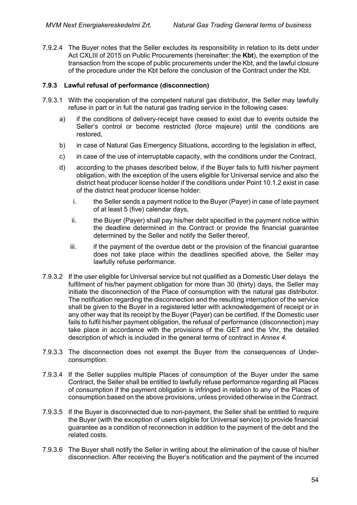7.9.2.4 The Buyer notes that the Seller excludes its responsibility in relation to its debt under Act CXLIII of 2015 on Public Procurements (hereinafter: the **Kbt**), the exemption of the transaction from the scope of public procurements under the Kbt, and the lawful closure of the procedure under the Kbt before the conclusion of the Contract under the Kbt.

### **7.9.3 Lawful refusal of performance (disconnection)**

- 7.9.3.1 With the cooperation of the competent natural gas distributor, the Seller may lawfully refuse in part or in full the natural gas trading service in the following cases:
	- a) if the conditions of delivery-receipt have ceased to exist due to events outside the Seller's control or become restricted (force majeure) until the conditions are restored,
	- b) in case of Natural Gas Emergency Situations, according to the legislation in effect,
	- c) in case of the use of interruptable capacity, with the conditions under the Contract,
	- d) according to the phases described below, if the Buyer fails to fulfil his/her payment obligation, with the exception of the users eligible for Universal service and also the district heat producer license holder if the conditions under Point 10.1.2 exist in case of the district heat producer license holder:
		- i. the Seller sends a payment notice to the Buyer (Payer) in case of late payment of at least 5 (five) calendar days,
		- ii. the Buyer (Payer) shall pay his/her debt specified in the payment notice within the deadline determined in the Contract or provide the financial guarantee determined by the Seller and notify the Seller thereof,
		- $iii.$  if the payment of the overdue debt or the provision of the financial guarantee does not take place within the deadlines specified above, the Seller may lawfully refuse performance.
- 7.9.3.2 If the user eligible for Universal service but not qualified as a Domestic User delays the fulfilment of his/her payment obligation for more than 30 (thirty) days, the Seller may initiate the disconnection of the Place of consumption with the natural gas distributor. The notification regarding the disconnection and the resulting interruption of the service shall be given to the Buyer in a registered letter with acknowledgement of receipt or in any other way that its receipt by the Buyer (Payer) can be certified. If the Domestic user fails to fulfil his/her payment obligation, the refusal of performance (disconnection) may take place in accordance with the provisions of the GET and the Vhr, the detailed description of which is included in the general terms of contract in *Annex 4*.
- 7.9.3.3 The disconnection does not exempt the Buyer from the consequences of Underconsumption.
- 7.9.3.4 If the Seller supplies multiple Places of consumption of the Buyer under the same Contract, the Seller shall be entitled to lawfully refuse performance regarding all Places of consumption if the payment obligation is infringed in relation to any of the Places of consumption based on the above provisions, unless provided otherwise in the Contract.
- 7.9.3.5 If the Buyer is disconnected due to non-payment, the Seller shall be entitled to require the Buyer (with the exception of users eligible for Universal service) to provide financial guarantee as a condition of reconnection in addition to the payment of the debt and the related costs.
- 7.9.3.6 The Buyer shall notify the Seller in writing about the elimination of the cause of his/her disconnection. After receiving the Buyer's notification and the payment of the incurred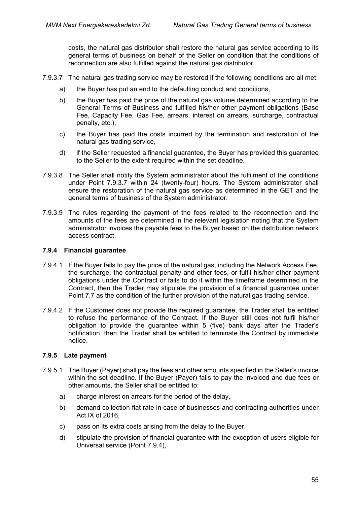costs, the natural gas distributor shall restore the natural gas service according to its general terms of business on behalf of the Seller on condition that the conditions of reconnection are also fulfilled against the natural gas distributor.

- 7.9.3.7 The natural gas trading service may be restored if the following conditions are all met:
	- a) the Buyer has put an end to the defaulting conduct and conditions,
	- b) the Buyer has paid the price of the natural gas volume determined according to the General Terms of Business and fulfilled his/her other payment obligations (Base Fee, Capacity Fee, Gas Fee, arrears, interest on arrears, surcharge, contractual penalty, etc.),
	- c) the Buyer has paid the costs incurred by the termination and restoration of the natural gas trading service,
	- d) if the Seller requested a financial guarantee, the Buyer has provided this guarantee to the Seller to the extent required within the set deadline.
- 7.9.3.8 The Seller shall notify the System administrator about the fulfilment of the conditions under Point 7.9.3.7 within 24 (twenty-four) hours. The System administrator shall ensure the restoration of the natural gas service as determined in the GET and the general terms of business of the System administrator.
- 7.9.3.9 The rules regarding the payment of the fees related to the reconnection and the amounts of the fees are determined in the relevant legislation noting that the System administrator invoices the payable fees to the Buyer based on the distribution network access contract.

#### **7.9.4 Financial guarantee**

- 7.9.4.1 If the Buyer fails to pay the price of the natural gas, including the Network Access Fee, the surcharge, the contractual penalty and other fees, or fulfil his/her other payment obligations under the Contract or fails to do it within the timeframe determined in the Contract, then the Trader may stipulate the provision of a financial guarantee under Point 7.7 as the condition of the further provision of the natural gas trading service.
- 7.9.4.2 If the Customer does not provide the required guarantee, the Trader shall be entitled to refuse the performance of the Contract. If the Buyer still does not fulfil his/her obligation to provide the guarantee within 5 (five) bank days after the Trader's notification, then the Trader shall be entitled to terminate the Contract by immediate notice.

### **7.9.5 Late payment**

- 7.9.5.1 The Buyer (Payer) shall pay the fees and other amounts specified in the Seller's invoice within the set deadline. If the Buyer (Payer) fails to pay the invoiced and due fees or other amounts, the Seller shall be entitled to:
	- a) charge interest on arrears for the period of the delay,
	- b) demand collection flat rate in case of businesses and contracting authorities under Act IX of 2016,
	- c) pass on its extra costs arising from the delay to the Buyer,
	- d) stipulate the provision of financial guarantee with the exception of users eligible for Universal service (Point 7.9.4),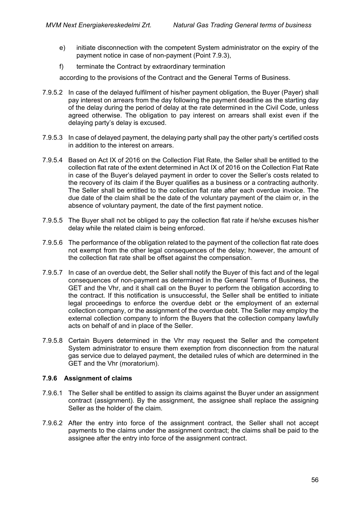- e) initiate disconnection with the competent System administrator on the expiry of the payment notice in case of non-payment (Point 7.9.3),
- f) terminate the Contract by extraordinary termination

according to the provisions of the Contract and the General Terms of Business.

- 7.9.5.2 In case of the delayed fulfilment of his/her payment obligation, the Buyer (Payer) shall pay interest on arrears from the day following the payment deadline as the starting day of the delay during the period of delay at the rate determined in the Civil Code, unless agreed otherwise. The obligation to pay interest on arrears shall exist even if the delaying party's delay is excused.
- 7.9.5.3 In case of delayed payment, the delaying party shall pay the other party's certified costs in addition to the interest on arrears.
- 7.9.5.4 Based on Act IX of 2016 on the Collection Flat Rate, the Seller shall be entitled to the collection flat rate of the extent determined in Act IX of 2016 on the Collection Flat Rate in case of the Buyer's delayed payment in order to cover the Seller's costs related to the recovery of its claim if the Buyer qualifies as a business or a contracting authority. The Seller shall be entitled to the collection flat rate after each overdue invoice. The due date of the claim shall be the date of the voluntary payment of the claim or, in the absence of voluntary payment, the date of the first payment notice.
- 7.9.5.5 The Buyer shall not be obliged to pay the collection flat rate if he/she excuses his/her delay while the related claim is being enforced.
- 7.9.5.6 The performance of the obligation related to the payment of the collection flat rate does not exempt from the other legal consequences of the delay; however, the amount of the collection flat rate shall be offset against the compensation.
- 7.9.5.7 In case of an overdue debt, the Seller shall notify the Buyer of this fact and of the legal consequences of non-payment as determined in the General Terms of Business, the GET and the Vhr, and it shall call on the Buyer to perform the obligation according to the contract. If this notification is unsuccessful, the Seller shall be entitled to initiate legal proceedings to enforce the overdue debt or the employment of an external collection company, or the assignment of the overdue debt. The Seller may employ the external collection company to inform the Buyers that the collection company lawfully acts on behalf of and in place of the Seller.
- 7.9.5.8 Certain Buyers determined in the Vhr may request the Seller and the competent System administrator to ensure them exemption from disconnection from the natural gas service due to delayed payment, the detailed rules of which are determined in the GET and the Vhr (moratorium).

### <span id="page-55-0"></span>**7.9.6 Assignment of claims**

- 7.9.6.1 The Seller shall be entitled to assign its claims against the Buyer under an assignment contract (assignment). By the assignment, the assignee shall replace the assigning Seller as the holder of the claim.
- 7.9.6.2 After the entry into force of the assignment contract, the Seller shall not accept payments to the claims under the assignment contract; the claims shall be paid to the assignee after the entry into force of the assignment contract.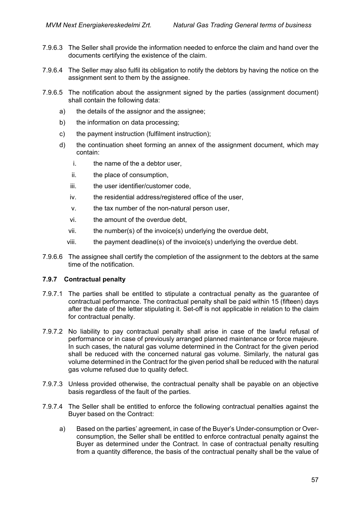- 7.9.6.3 The Seller shall provide the information needed to enforce the claim and hand over the documents certifying the existence of the claim.
- 7.9.6.4 The Seller may also fulfil its obligation to notify the debtors by having the notice on the assignment sent to them by the assignee.
- 7.9.6.5 The notification about the assignment signed by the parties (assignment document) shall contain the following data:
	- a) the details of the assignor and the assignee;
	- b) the information on data processing;
	- c) the payment instruction (fulfilment instruction);
	- d) the continuation sheet forming an annex of the assignment document, which may contain:
		- i. the name of the a debtor user,
		- ii. the place of consumption,
		- iii. the user identifier/customer code,
		- iv. the residential address/registered office of the user,
		- v. the tax number of the non-natural person user,
		- vi. the amount of the overdue debt,
		- vii. the number(s) of the invoice(s) underlying the overdue debt,
		- viii. the payment deadline(s) of the invoice(s) underlying the overdue debt.
- 7.9.6.6 The assignee shall certify the completion of the assignment to the debtors at the same time of the notification.

### **7.9.7 Contractual penalty**

- 7.9.7.1 The parties shall be entitled to stipulate a contractual penalty as the guarantee of contractual performance. The contractual penalty shall be paid within 15 (fifteen) days after the date of the letter stipulating it. Set-off is not applicable in relation to the claim for contractual penalty.
- 7.9.7.2 No liability to pay contractual penalty shall arise in case of the lawful refusal of performance or in case of previously arranged planned maintenance or force majeure. In such cases, the natural gas volume determined in the Contract for the given period shall be reduced with the concerned natural gas volume. Similarly, the natural gas volume determined in the Contract for the given period shall be reduced with the natural gas volume refused due to quality defect.
- 7.9.7.3 Unless provided otherwise, the contractual penalty shall be payable on an objective basis regardless of the fault of the parties.
- 7.9.7.4 The Seller shall be entitled to enforce the following contractual penalties against the Buyer based on the Contract:
	- a) Based on the parties' agreement, in case of the Buyer's Under-consumption or Overconsumption, the Seller shall be entitled to enforce contractual penalty against the Buyer as determined under the Contract. In case of contractual penalty resulting from a quantity difference, the basis of the contractual penalty shall be the value of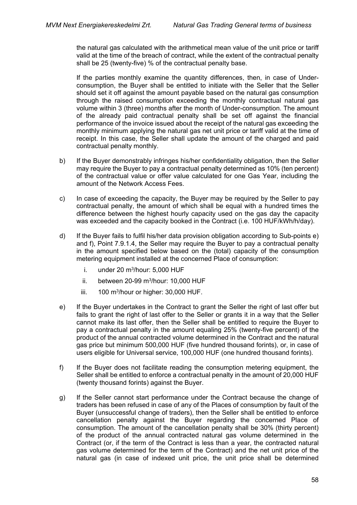the natural gas calculated with the arithmetical mean value of the unit price or tariff valid at the time of the breach of contract, while the extent of the contractual penalty shall be 25 (twenty-five) % of the contractual penalty base.

If the parties monthly examine the quantity differences, then, in case of Underconsumption, the Buyer shall be entitled to initiate with the Seller that the Seller should set it off against the amount payable based on the natural gas consumption through the raised consumption exceeding the monthly contractual natural gas volume within 3 (three) months after the month of Under-consumption. The amount of the already paid contractual penalty shall be set off against the financial performance of the invoice issued about the receipt of the natural gas exceeding the monthly minimum applying the natural gas net unit price or tariff valid at the time of receipt. In this case, the Seller shall update the amount of the charged and paid contractual penalty monthly.

- b) If the Buyer demonstrably infringes his/her confidentiality obligation, then the Seller may require the Buyer to pay a contractual penalty determined as 10% (ten percent) of the contractual value or offer value calculated for one Gas Year, including the amount of the Network Access Fees.
- c) In case of exceeding the capacity, the Buyer may be required by the Seller to pay contractual penalty, the amount of which shall be equal with a hundred times the difference between the highest hourly capacity used on the gas day the capacity was exceeded and the capacity booked in the Contract (i.e. 100 HUF/kWh/h/day).
- d) If the Buyer fails to fulfil his/her data provision obligation according to Sub-points e) and f), Point 7.9.1.4, the Seller may require the Buyer to pay a contractual penalty in the amount specified below based on the (total) capacity of the consumption metering equipment installed at the concerned Place of consumption:
	- i. under 20  $m^3$ /hour: 5,000 HUF
	- ii. between 20-99 m3/hour: 10,000 HUF
	- iii.  $100 \text{ m}^3$ /hour or higher: 30,000 HUF.
- e) If the Buyer undertakes in the Contract to grant the Seller the right of last offer but fails to grant the right of last offer to the Seller or grants it in a way that the Seller cannot make its last offer, then the Seller shall be entitled to require the Buyer to pay a contractual penalty in the amount equaling 25% (twenty-five percent) of the product of the annual contracted volume determined in the Contract and the natural gas price but minimum 500,000 HUF (five hundred thousand forints), or, in case of users eligible for Universal service, 100,000 HUF (one hundred thousand forints).
- f) If the Buyer does not facilitate reading the consumption metering equipment, the Seller shall be entitled to enforce a contractual penalty in the amount of 20,000 HUF (twenty thousand forints) against the Buyer.
- g) If the Seller cannot start performance under the Contract because the change of traders has been refused in case of any of the Places of consumption by fault of the Buyer (unsuccessful change of traders), then the Seller shall be entitled to enforce cancellation penalty against the Buyer regarding the concerned Place of consumption. The amount of the cancellation penalty shall be 30% (thirty percent) of the product of the annual contracted natural gas volume determined in the Contract (or, if the term of the Contract is less than a year, the contracted natural gas volume determined for the term of the Contract) and the net unit price of the natural gas (in case of indexed unit price, the unit price shall be determined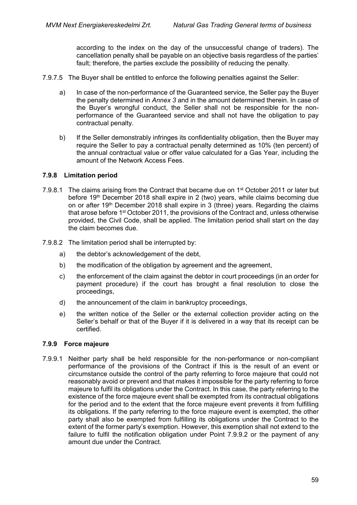according to the index on the day of the unsuccessful change of traders). The cancellation penalty shall be payable on an objective basis regardless of the parties' fault; therefore, the parties exclude the possibility of reducing the penalty.

- 7.9.7.5 The Buyer shall be entitled to enforce the following penalties against the Seller:
	- a) In case of the non-performance of the Guaranteed service, the Seller pay the Buyer the penalty determined in *Annex 3* and in the amount determined therein. In case of the Buyer's wrongful conduct, the Seller shall not be responsible for the nonperformance of the Guaranteed service and shall not have the obligation to pay contractual penalty.
	- b) If the Seller demonstrably infringes its confidentiality obligation, then the Buyer may require the Seller to pay a contractual penalty determined as 10% (ten percent) of the annual contractual value or offer value calculated for a Gas Year, including the amount of the Network Access Fees.

#### **7.9.8 Limitation period**

- 7.9.8.1 The claims arising from the Contract that became due on 1<sup>st</sup> October 2011 or later but before 19<sup>th</sup> December 2018 shall expire in 2 (two) years, while claims becoming due on or after 19th December 2018 shall expire in 3 (three) years. Regarding the claims that arose before 1<sup>st</sup> October 2011, the provisions of the Contract and, unless otherwise provided, the Civil Code, shall be applied. The limitation period shall start on the day the claim becomes due.
- 7.9.8.2 The limitation period shall be interrupted by:
	- a) the debtor's acknowledgement of the debt,
	- b) the modification of the obligation by agreement and the agreement,
	- c) the enforcement of the claim against the debtor in court proceedings (in an order for payment procedure) if the court has brought a final resolution to close the proceedings,
	- d) the announcement of the claim in bankruptcy proceedings,
	- e) the written notice of the Seller or the external collection provider acting on the Seller's behalf or that of the Buyer if it is delivered in a way that its receipt can be certified.

### **7.9.9 Force majeure**

7.9.9.1 Neither party shall be held responsible for the non-performance or non-compliant performance of the provisions of the Contract if this is the result of an event or circumstance outside the control of the party referring to force majeure that could not reasonably avoid or prevent and that makes it impossible for the party referring to force majeure to fulfil its obligations under the Contract. In this case, the party referring to the existence of the force majeure event shall be exempted from its contractual obligations for the period and to the extent that the force majeure event prevents it from fulfilling its obligations. If the party referring to the force majeure event is exempted, the other party shall also be exempted from fulfilling its obligations under the Contract to the extent of the former party's exemption. However, this exemption shall not extend to the failure to fulfil the notification obligation under Point [7.9.9.2](#page-59-0) or the payment of any amount due under the Contract.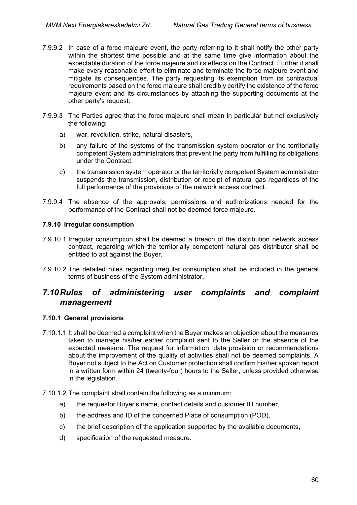- <span id="page-59-0"></span>7.9.9.2 In case of a force majeure event, the party referring to it shall notify the other party within the shortest time possible and at the same time give information about the expectable duration of the force majeure and its effects on the Contract. Further it shall make every reasonable effort to eliminate and terminate the force majeure event and mitigate its consequences. The party requesting its exemption from its contractual requirements based on the force majeure shall credibly certify the existence of the force majeure event and its circumstances by attaching the supporting documents at the other party's request.
- 7.9.9.3 The Parties agree that the force majeure shall mean in particular but not exclusively the following:
	- a) war, revolution, strike, natural disasters,
	- b) any failure of the systems of the transmission system operator or the territorially competent System administrators that prevent the party from fulfilling its obligations under the Contract,
	- c) the transmission system operator or the territorially competent System administrator suspends the transmission, distribution or receipt of natural gas regardless of the full performance of the provisions of the network access contract.
- 7.9.9.4 The absence of the approvals, permissions and authorizations needed for the performance of the Contract shall not be deemed force majeure.

### **7.9.10 Irregular consumption**

- 7.9.10.1 Irregular consumption shall be deemed a breach of the distribution network access contract, regarding which the territorially competent natural gas distributor shall be entitled to act against the Buyer.
- 7.9.10.2 The detailed rules regarding irregular consumption shall be included in the general terms of business of the System administrator.

## *7.10Rules of administering user complaints and complaint management*

### **7.10.1 General provisions**

- 7.10.1.1 It shall be deemed a complaint when the Buyer makes an objection about the measures taken to manage his/her earlier complaint sent to the Seller or the absence of the expected measure. The request for information, data provision or recommendations about the improvement of the quality of activities shall not be deemed complaints. A Buyer not subject to the Act on Customer protection shall confirm his/her spoken report in a written form within 24 (twenty-four) hours to the Seller, unless provided otherwise in the legislation.
- 7.10.1.2 The complaint shall contain the following as a minimum:
	- a) the requestor Buyer's name, contact details and customer ID number,
	- b) the address and ID of the concerned Place of consumption (POD),
	- c) the brief description of the application supported by the available documents,
	- d) specification of the requested measure.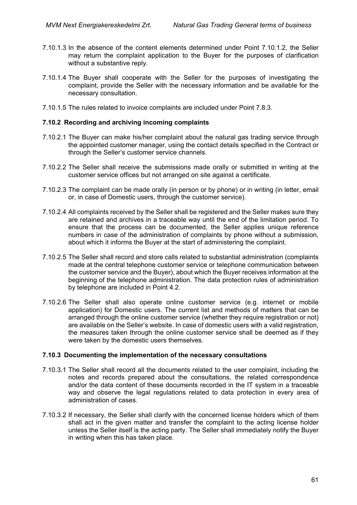- 7.10.1.3 In the absence of the content elements determined under Point 7.10.1.2, the Seller may return the complaint application to the Buyer for the purposes of clarification without a substantive reply.
- 7.10.1.4 The Buyer shall cooperate with the Seller for the purposes of investigating the complaint, provide the Seller with the necessary information and be available for the necessary consultation.
- 7.10.1.5 The rules related to invoice complaints are included under Point 7.8.3.

#### **7.10.2 Recording and archiving incoming complaints**

- 7.10.2.1 The Buyer can make his/her complaint about the natural gas trading service through the appointed customer manager, using the contact details specified in the Contract or through the Seller's customer service channels.
- 7.10.2.2 The Seller shall receive the submissions made orally or submitted in writing at the customer service offices but not arranged on site against a certificate.
- 7.10.2.3 The complaint can be made orally (in person or by phone) or in writing (in letter, email or, in case of Domestic users, through the customer service).
- 7.10.2.4 All complaints received by the Seller shall be registered and the Seller makes sure they are retained and archives in a traceable way until the end of the limitation period. To ensure that the process can be documented, the Seller applies unique reference numbers in case of the administration of complaints by phone without a submission, about which it informs the Buyer at the start of administering the complaint.
- 7.10.2.5 The Seller shall record and store calls related to substantial administration (complaints made at the central telephone customer service or telephone communication between the customer service and the Buyer), about which the Buyer receives information at the beginning of the telephone administration. The data protection rules of administration by telephone are included in Point 4.2.
- 7.10.2.6 The Seller shall also operate online customer service (e.g. internet or mobile application) for Domestic users. The current list and methods of matters that can be arranged through the online customer service (whether they require registration or not) are available on the Seller's website. In case of domestic users with a valid registration, the measures taken through the online customer service shall be deemed as if they were taken by the domestic users themselves.

#### **7.10.3 Documenting the implementation of the necessary consultations**

- 7.10.3.1 The Seller shall record all the documents related to the user complaint, including the notes and records prepared about the consultations, the related correspondence and/or the data content of these documents recorded in the IT system in a traceable way and observe the legal regulations related to data protection in every area of administration of cases.
- 7.10.3.2 If necessary, the Seller shall clarify with the concerned license holders which of them shall act in the given matter and transfer the complaint to the acting license holder unless the Seller itself is the acting party. The Seller shall immediately notify the Buyer in writing when this has taken place.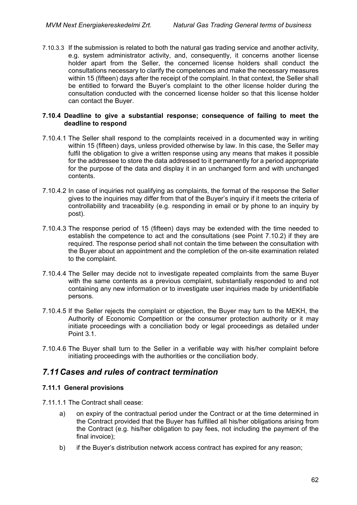7.10.3.3 If the submission is related to both the natural gas trading service and another activity, e.g. system administrator activity, and, consequently, it concerns another license holder apart from the Seller, the concerned license holders shall conduct the consultations necessary to clarify the competences and make the necessary measures within 15 (fifteen) days after the receipt of the complaint. In that context, the Seller shall be entitled to forward the Buyer's complaint to the other license holder during the consultation conducted with the concerned license holder so that this license holder can contact the Buyer.

#### **7.10.4 Deadline to give a substantial response; consequence of failing to meet the deadline to respond**

- 7.10.4.1 The Seller shall respond to the complaints received in a documented way in writing within 15 (fifteen) days, unless provided otherwise by law. In this case, the Seller may fulfil the obligation to give a written response using any means that makes it possible for the addressee to store the data addressed to it permanently for a period appropriate for the purpose of the data and display it in an unchanged form and with unchanged contents.
- 7.10.4.2 In case of inquiries not qualifying as complaints, the format of the response the Seller gives to the inquiries may differ from that of the Buyer's inquiry if it meets the criteria of controllability and traceability (e.g. responding in email or by phone to an inquiry by post).
- 7.10.4.3 The response period of 15 (fifteen) days may be extended with the time needed to establish the competence to act and the consultations (see Point 7.10.2) if they are required. The response period shall not contain the time between the consultation with the Buyer about an appointment and the completion of the on-site examination related to the complaint.
- 7.10.4.4 The Seller may decide not to investigate repeated complaints from the same Buyer with the same contents as a previous complaint, substantially responded to and not containing any new information or to investigate user inquiries made by unidentifiable persons.
- 7.10.4.5 If the Seller rejects the complaint or objection, the Buyer may turn to the MEKH, the Authority of Economic Competition or the consumer protection authority or it may initiate proceedings with a conciliation body or legal proceedings as detailed under Point 3.1.
- 7.10.4.6 The Buyer shall turn to the Seller in a verifiable way with his/her complaint before initiating proceedings with the authorities or the conciliation body.

# *7.11Cases and rules of contract termination*

### **7.11.1 General provisions**

- 7.11.1.1 The Contract shall cease:
	- a) on expiry of the contractual period under the Contract or at the time determined in the Contract provided that the Buyer has fulfilled all his/her obligations arising from the Contract (e.g. his/her obligation to pay fees, not including the payment of the final invoice);
	- b) if the Buyer's distribution network access contract has expired for any reason;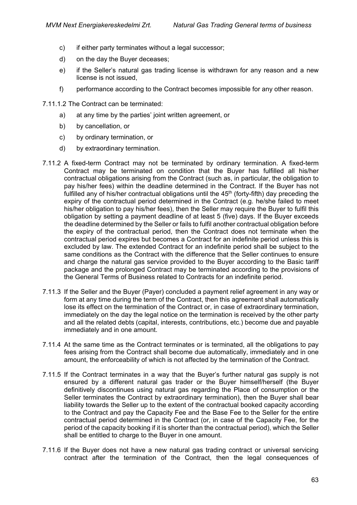- c) if either party terminates without a legal successor;
- d) on the day the Buyer deceases;
- e) if the Seller's natural gas trading license is withdrawn for any reason and a new license is not issued,
- f) performance according to the Contract becomes impossible for any other reason.
- 7.11.1.2 The Contract can be terminated:
	- a) at any time by the parties' joint written agreement, or
	- b) by cancellation, or
	- c) by ordinary termination, or
	- d) by extraordinary termination.
- 7.11.2 A fixed-term Contract may not be terminated by ordinary termination. A fixed-term Contract may be terminated on condition that the Buyer has fulfilled all his/her contractual obligations arising from the Contract (such as, in particular, the obligation to pay his/her fees) within the deadline determined in the Contract. If the Buyer has not fulfilled any of his/her contractual obligations until the  $45<sup>th</sup>$  (forty-fifth) day preceding the expiry of the contractual period determined in the Contract (e.g. he/she failed to meet his/her obligation to pay his/her fees), then the Seller may require the Buyer to fulfil this obligation by setting a payment deadline of at least 5 (five) days. If the Buyer exceeds the deadline determined by the Seller or fails to fulfil another contractual obligation before the expiry of the contractual period, then the Contract does not terminate when the contractual period expires but becomes a Contract for an indefinite period unless this is excluded by law. The extended Contract for an indefinite period shall be subject to the same conditions as the Contract with the difference that the Seller continues to ensure and charge the natural gas service provided to the Buyer according to the Basic tariff package and the prolonged Contract may be terminated according to the provisions of the General Terms of Business related to Contracts for an indefinite period.
- 7.11.3 If the Seller and the Buyer (Payer) concluded a payment relief agreement in any way or form at any time during the term of the Contract, then this agreement shall automatically lose its effect on the termination of the Contract or, in case of extraordinary termination, immediately on the day the legal notice on the termination is received by the other party and all the related debts (capital, interests, contributions, etc.) become due and payable immediately and in one amount.
- 7.11.4 At the same time as the Contract terminates or is terminated, all the obligations to pay fees arising from the Contract shall become due automatically, immediately and in one amount, the enforceability of which is not affected by the termination of the Contract.
- 7.11.5 If the Contract terminates in a way that the Buyer's further natural gas supply is not ensured by a different natural gas trader or the Buyer himself/herself (the Buyer definitively discontinues using natural gas regarding the Place of consumption or the Seller terminates the Contract by extraordinary termination), then the Buyer shall bear liability towards the Seller up to the extent of the contractual booked capacity according to the Contract and pay the Capacity Fee and the Base Fee to the Seller for the entire contractual period determined in the Contract (or, in case of the Capacity Fee, for the period of the capacity booking if it is shorter than the contractual period), which the Seller shall be entitled to charge to the Buyer in one amount.
- 7.11.6 If the Buyer does not have a new natural gas trading contract or universal servicing contract after the termination of the Contract, then the legal consequences of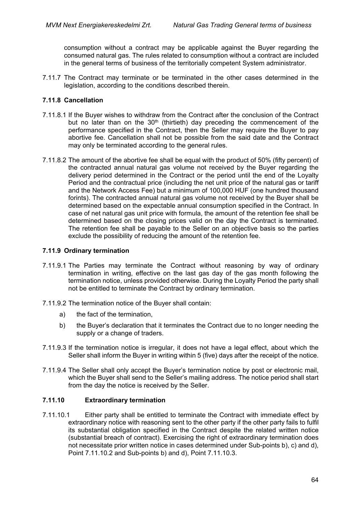consumption without a contract may be applicable against the Buyer regarding the consumed natural gas. The rules related to consumption without a contract are included in the general terms of business of the territorially competent System administrator.

7.11.7 The Contract may terminate or be terminated in the other cases determined in the legislation, according to the conditions described therein.

### **7.11.8 Cancellation**

- 7.11.8.1 If the Buyer wishes to withdraw from the Contract after the conclusion of the Contract but no later than on the  $30<sup>th</sup>$  (thirtieth) day preceding the commencement of the performance specified in the Contract, then the Seller may require the Buyer to pay abortive fee. Cancellation shall not be possible from the said date and the Contract may only be terminated according to the general rules.
- 7.11.8.2 The amount of the abortive fee shall be equal with the product of 50% (fifty percent) of the contracted annual natural gas volume not received by the Buyer regarding the delivery period determined in the Contract or the period until the end of the Loyalty Period and the contractual price (including the net unit price of the natural gas or tariff and the Network Access Fee) but a minimum of 100,000 HUF (one hundred thousand forints). The contracted annual natural gas volume not received by the Buyer shall be determined based on the expectable annual consumption specified in the Contract. In case of net natural gas unit price with formula, the amount of the retention fee shall be determined based on the closing prices valid on the day the Contract is terminated. The retention fee shall be payable to the Seller on an objective basis so the parties exclude the possibility of reducing the amount of the retention fee.

### **7.11.9 Ordinary termination**

- 7.11.9.1 The Parties may terminate the Contract without reasoning by way of ordinary termination in writing, effective on the last gas day of the gas month following the termination notice, unless provided otherwise. During the Loyalty Period the party shall not be entitled to terminate the Contract by ordinary termination.
- 7.11.9.2 The termination notice of the Buyer shall contain:
	- a) the fact of the termination,
	- b) the Buyer's declaration that it terminates the Contract due to no longer needing the supply or a change of traders.
- 7.11.9.3 If the termination notice is irregular, it does not have a legal effect, about which the Seller shall inform the Buyer in writing within 5 (five) days after the receipt of the notice.
- 7.11.9.4 The Seller shall only accept the Buyer's termination notice by post or electronic mail, which the Buyer shall send to the Seller's mailing address. The notice period shall start from the day the notice is received by the Seller.

### **7.11.10 Extraordinary termination**

7.11.10.1 Either party shall be entitled to terminate the Contract with immediate effect by extraordinary notice with reasoning sent to the other party if the other party fails to fulfil its substantial obligation specified in the Contract despite the related written notice (substantial breach of contract). Exercising the right of extraordinary termination does not necessitate prior written notice in cases determined under Sub-points b), c) and d), Point 7.11.10.2 and Sub-points b) and d), Point 7.11.10.3.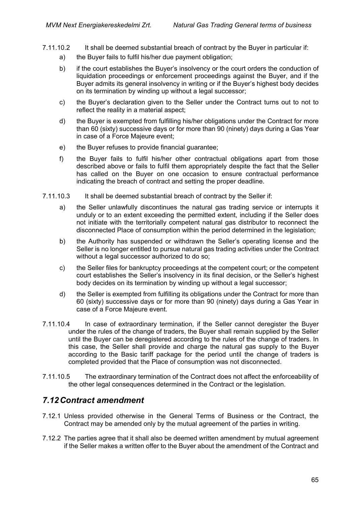- 7.11.10.2 It shall be deemed substantial breach of contract by the Buyer in particular if:
	- a) the Buyer fails to fulfil his/her due payment obligation;
	- b) if the court establishes the Buyer's insolvency or the court orders the conduction of liquidation proceedings or enforcement proceedings against the Buyer, and if the Buyer admits its general insolvency in writing or if the Buyer's highest body decides on its termination by winding up without a legal successor;
	- c) the Buyer's declaration given to the Seller under the Contract turns out to not to reflect the reality in a material aspect;
	- d) the Buyer is exempted from fulfilling his/her obligations under the Contract for more than 60 (sixty) successive days or for more than 90 (ninety) days during a Gas Year in case of a Force Majeure event;
	- e) the Buyer refuses to provide financial guarantee;
	- f) the Buyer fails to fulfil his/her other contractual obligations apart from those described above or fails to fulfil them appropriately despite the fact that the Seller has called on the Buyer on one occasion to ensure contractual performance indicating the breach of contract and setting the proper deadline.
- 7.11.10.3 It shall be deemed substantial breach of contract by the Seller if:
	- a) the Seller unlawfully discontinues the natural gas trading service or interrupts it unduly or to an extent exceeding the permitted extent, including if the Seller does not initiate with the territorially competent natural gas distributor to reconnect the disconnected Place of consumption within the period determined in the legislation;
	- b) the Authority has suspended or withdrawn the Seller's operating license and the Seller is no longer entitled to pursue natural gas trading activities under the Contract without a legal successor authorized to do so;
	- c) the Seller files for bankruptcy proceedings at the competent court; or the competent court establishes the Seller's insolvency in its final decision, or the Seller's highest body decides on its termination by winding up without a legal successor;
	- d) the Seller is exempted from fulfilling its obligations under the Contract for more than 60 (sixty) successive days or for more than 90 (ninety) days during a Gas Year in case of a Force Majeure event.
- 7.11.10.4 In case of extraordinary termination, if the Seller cannot deregister the Buyer under the rules of the change of traders, the Buyer shall remain supplied by the Seller until the Buyer can be deregistered according to the rules of the change of traders. In this case, the Seller shall provide and charge the natural gas supply to the Buyer according to the Basic tariff package for the period until the change of traders is completed provided that the Place of consumption was not disconnected.
- 7.11.10.5 The extraordinary termination of the Contract does not affect the enforceability of the other legal consequences determined in the Contract or the legislation.

# *7.12Contract amendment*

- 7.12.1 Unless provided otherwise in the General Terms of Business or the Contract, the Contract may be amended only by the mutual agreement of the parties in writing.
- 7.12.2 The parties agree that it shall also be deemed written amendment by mutual agreement if the Seller makes a written offer to the Buyer about the amendment of the Contract and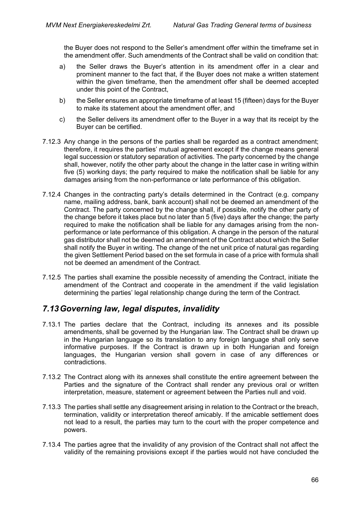the Buyer does not respond to the Seller's amendment offer within the timeframe set in the amendment offer. Such amendments of the Contract shall be valid on condition that:

- a) the Seller draws the Buyer's attention in its amendment offer in a clear and prominent manner to the fact that, if the Buyer does not make a written statement within the given timeframe, then the amendment offer shall be deemed accepted under this point of the Contract,
- b) the Seller ensures an appropriate timeframe of at least 15 (fifteen) days for the Buyer to make its statement about the amendment offer, and
- c) the Seller delivers its amendment offer to the Buyer in a way that its receipt by the Buyer can be certified.
- 7.12.3 Any change in the persons of the parties shall be regarded as a contract amendment; therefore, it requires the parties' mutual agreement except if the change means general legal succession or statutory separation of activities. The party concerned by the change shall, however, notify the other party about the change in the latter case in writing within five (5) working days; the party required to make the notification shall be liable for any damages arising from the non-performance or late performance of this obligation.
- 7.12.4 Changes in the contracting party's details determined in the Contract (e.g. company name, mailing address, bank, bank account) shall not be deemed an amendment of the Contract. The party concerned by the change shall, if possible, notify the other party of the change before it takes place but no later than 5 (five) days after the change; the party required to make the notification shall be liable for any damages arising from the nonperformance or late performance of this obligation. A change in the person of the natural gas distributor shall not be deemed an amendment of the Contract about which the Seller shall notify the Buyer in writing. The change of the net unit price of natural gas regarding the given Settlement Period based on the set formula in case of a price with formula shall not be deemed an amendment of the Contract.
- 7.12.5 The parties shall examine the possible necessity of amending the Contract, initiate the amendment of the Contract and cooperate in the amendment if the valid legislation determining the parties' legal relationship change during the term of the Contract.

# *7.13Governing law, legal disputes, invalidity*

- 7.13.1 The parties declare that the Contract, including its annexes and its possible amendments, shall be governed by the Hungarian law. The Contract shall be drawn up in the Hungarian language so its translation to any foreign language shall only serve informative purposes. If the Contract is drawn up in both Hungarian and foreign languages, the Hungarian version shall govern in case of any differences or contradictions.
- 7.13.2 The Contract along with its annexes shall constitute the entire agreement between the Parties and the signature of the Contract shall render any previous oral or written interpretation, measure, statement or agreement between the Parties null and void.
- 7.13.3 The parties shall settle any disagreement arising in relation to the Contract or the breach, termination, validity or interpretation thereof amicably. If the amicable settlement does not lead to a result, the parties may turn to the court with the proper competence and powers.
- 7.13.4 The parties agree that the invalidity of any provision of the Contract shall not affect the validity of the remaining provisions except if the parties would not have concluded the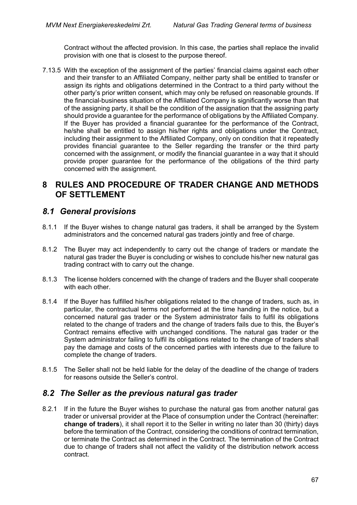Contract without the affected provision. In this case, the parties shall replace the invalid provision with one that is closest to the purpose thereof.

7.13.5 With the exception of the assignment of the parties' financial claims against each other and their transfer to an Affiliated Company, neither party shall be entitled to transfer or assign its rights and obligations determined in the Contract to a third party without the other party's prior written consent, which may only be refused on reasonable grounds. If the financial-business situation of the Affiliated Company is significantly worse than that of the assigning party, it shall be the condition of the assignation that the assigning party should provide a guarantee for the performance of obligations by the Affiliated Company. If the Buyer has provided a financial guarantee for the performance of the Contract, he/she shall be entitled to assign his/her rights and obligations under the Contract, including their assignment to the Affiliated Company, only on condition that it repeatedly provides financial guarantee to the Seller regarding the transfer or the third party concerned with the assignment, or modify the financial guarantee in a way that it should provide proper guarantee for the performance of the obligations of the third party concerned with the assignment.

# **8 RULES AND PROCEDURE OF TRADER CHANGE AND METHODS OF SETTLEMENT**

## *8.1 General provisions*

- 8.1.1 If the Buyer wishes to change natural gas traders, it shall be arranged by the System administrators and the concerned natural gas traders jointly and free of charge.
- 8.1.2 The Buyer may act independently to carry out the change of traders or mandate the natural gas trader the Buyer is concluding or wishes to conclude his/her new natural gas trading contract with to carry out the change.
- 8.1.3 The license holders concerned with the change of traders and the Buyer shall cooperate with each other.
- 8.1.4 If the Buyer has fulfilled his/her obligations related to the change of traders, such as, in particular, the contractual terms not performed at the time handing in the notice, but a concerned natural gas trader or the System administrator fails to fulfil its obligations related to the change of traders and the change of traders fails due to this, the Buyer's Contract remains effective with unchanged conditions. The natural gas trader or the System administrator failing to fulfil its obligations related to the change of traders shall pay the damage and costs of the concerned parties with interests due to the failure to complete the change of traders.
- 8.1.5 The Seller shall not be held liable for the delay of the deadline of the change of traders for reasons outside the Seller's control.

## *8.2 The Seller as the previous natural gas trader*

8.2.1 If in the future the Buyer wishes to purchase the natural gas from another natural gas trader or universal provider at the Place of consumption under the Contract (hereinafter: **change of traders**), it shall report it to the Seller in writing no later than 30 (thirty) days before the termination of the Contract, considering the conditions of contract termination, or terminate the Contract as determined in the Contract. The termination of the Contract due to change of traders shall not affect the validity of the distribution network access contract.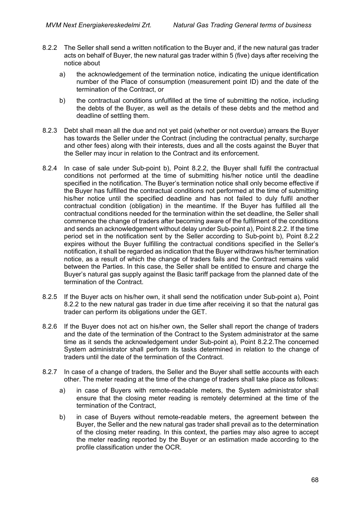- 8.2.2 The Seller shall send a written notification to the Buyer and, if the new natural gas trader acts on behalf of Buyer, the new natural gas trader within 5 (five) days after receiving the notice about
	- a) the acknowledgement of the termination notice, indicating the unique identification number of the Place of consumption (measurement point ID) and the date of the termination of the Contract, or
	- b) the contractual conditions unfulfilled at the time of submitting the notice, including the debts of the Buyer, as well as the details of these debts and the method and deadline of settling them.
- 8.2.3 Debt shall mean all the due and not yet paid (whether or not overdue) arrears the Buyer has towards the Seller under the Contract (including the contractual penalty, surcharge and other fees) along with their interests, dues and all the costs against the Buyer that the Seller may incur in relation to the Contract and its enforcement.
- 8.2.4 In case of sale under Sub-point b), Point 8.2.2, the Buyer shall fulfil the contractual conditions not performed at the time of submitting his/her notice until the deadline specified in the notification. The Buyer's termination notice shall only become effective if the Buyer has fulfilled the contractual conditions not performed at the time of submitting his/her notice until the specified deadline and has not failed to duly fulfil another contractual condition (obligation) in the meantime. If the Buyer has fulfilled all the contractual conditions needed for the termination within the set deadline, the Seller shall commence the change of traders after becoming aware of the fulfilment of the conditions and sends an acknowledgement without delay under Sub-point a), Point 8.2.2. If the time period set in the notification sent by the Seller according to Sub-point b), Point 8.2.2 expires without the Buyer fulfilling the contractual conditions specified in the Seller's notification, it shall be regarded as indication that the Buyer withdraws his/her termination notice, as a result of which the change of traders fails and the Contract remains valid between the Parties. In this case, the Seller shall be entitled to ensure and charge the Buyer's natural gas supply against the Basic tariff package from the planned date of the termination of the Contract.
- 8.2.5 If the Buyer acts on his/her own, it shall send the notification under Sub-point a), Point 8.2.2 to the new natural gas trader in due time after receiving it so that the natural gas trader can perform its obligations under the GET.
- 8.2.6 If the Buyer does not act on his/her own, the Seller shall report the change of traders and the date of the termination of the Contract to the System administrator at the same time as it sends the acknowledgement under Sub-point a), Point 8.2.2.The concerned System administrator shall perform its tasks determined in relation to the change of traders until the date of the termination of the Contract.
- 8.2.7 In case of a change of traders, the Seller and the Buyer shall settle accounts with each other. The meter reading at the time of the change of traders shall take place as follows:
	- a) in case of Buyers with remote-readable meters, the System administrator shall ensure that the closing meter reading is remotely determined at the time of the termination of the Contract,
	- b) in case of Buyers without remote-readable meters, the agreement between the Buyer, the Seller and the new natural gas trader shall prevail as to the determination of the closing meter reading. In this context, the parties may also agree to accept the meter reading reported by the Buyer or an estimation made according to the profile classification under the OCR.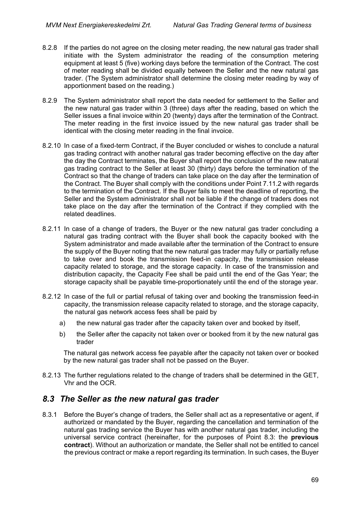- 8.2.8 If the parties do not agree on the closing meter reading, the new natural gas trader shall initiate with the System administrator the reading of the consumption metering equipment at least 5 (five) working days before the termination of the Contract. The cost of meter reading shall be divided equally between the Seller and the new natural gas trader. (The System administrator shall determine the closing meter reading by way of apportionment based on the reading.)
- 8.2.9 The System administrator shall report the data needed for settlement to the Seller and the new natural gas trader within 3 (three) days after the reading, based on which the Seller issues a final invoice within 20 (twenty) days after the termination of the Contract. The meter reading in the first invoice issued by the new natural gas trader shall be identical with the closing meter reading in the final invoice.
- 8.2.10 In case of a fixed-term Contract, if the Buyer concluded or wishes to conclude a natural gas trading contract with another natural gas trader becoming effective on the day after the day the Contract terminates, the Buyer shall report the conclusion of the new natural gas trading contract to the Seller at least 30 (thirty) days before the termination of the Contract so that the change of traders can take place on the day after the termination of the Contract. The Buyer shall comply with the conditions under Point 7.11.2 with regards to the termination of the Contract. If the Buyer fails to meet the deadline of reporting, the Seller and the System administrator shall not be liable if the change of traders does not take place on the day after the termination of the Contract if they complied with the related deadlines.
- 8.2.11 In case of a change of traders, the Buyer or the new natural gas trader concluding a natural gas trading contract with the Buyer shall book the capacity booked with the System administrator and made available after the termination of the Contract to ensure the supply of the Buyer noting that the new natural gas trader may fully or partially refuse to take over and book the transmission feed-in capacity, the transmission release capacity related to storage, and the storage capacity. In case of the transmission and distribution capacity, the Capacity Fee shall be paid until the end of the Gas Year; the storage capacity shall be payable time-proportionately until the end of the storage year.
- 8.2.12 In case of the full or partial refusal of taking over and booking the transmission feed-in capacity, the transmission release capacity related to storage, and the storage capacity, the natural gas network access fees shall be paid by
	- a) the new natural gas trader after the capacity taken over and booked by itself,
	- b) the Seller after the capacity not taken over or booked from it by the new natural gas trader

The natural gas network access fee payable after the capacity not taken over or booked by the new natural gas trader shall not be passed on the Buyer.

8.2.13 The further regulations related to the change of traders shall be determined in the GET, Vhr and the OCR.

## *8.3 The Seller as the new natural gas trader*

8.3.1 Before the Buyer's change of traders, the Seller shall act as a representative or agent, if authorized or mandated by the Buyer, regarding the cancellation and termination of the natural gas trading service the Buyer has with another natural gas trader, including the universal service contract (hereinafter, for the purposes of Point 8.3: the **previous contract**). Without an authorization or mandate, the Seller shall not be entitled to cancel the previous contract or make a report regarding its termination. In such cases, the Buyer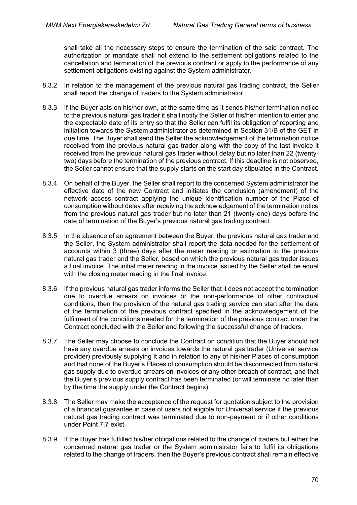shall take all the necessary steps to ensure the termination of the said contract. The authorization or mandate shall not extend to the settlement obligations related to the cancellation and termination of the previous contract or apply to the performance of any settlement obligations existing against the System administrator.

- 8.3.2 In relation to the management of the previous natural gas trading contract, the Seller shall report the change of traders to the System administrator.
- 8.3.3 If the Buyer acts on his/her own, at the same time as it sends his/her termination notice to the previous natural gas trader it shall notify the Seller of his/her intention to enter and the expectable date of its entry so that the Seller can fulfil its obligation of reporting and initiation towards the System administrator as determined in Section 31/B of the GET in due time. The Buyer shall send the Seller the acknowledgement of the termination notice received from the previous natural gas trader along with the copy of the last invoice it received from the previous natural gas trader without delay but no later than 22 (twentytwo) days before the termination of the previous contract. If this deadline is not observed, the Seller cannot ensure that the supply starts on the start day stipulated in the Contract.
- 8.3.4 On behalf of the Buyer, the Seller shall report to the concerned System administrator the effective date of the new Contract and initiates the conclusion (amendment) of the network access contract applying the unique identification number of the Place of consumption without delay after receiving the acknowledgement of the termination notice from the previous natural gas trader but no later than 21 (twenty-one) days before the date of termination of the Buyer's previous natural gas trading contract.
- 8.3.5 In the absence of an agreement between the Buyer, the previous natural gas trader and the Seller, the System administrator shall report the data needed for the settlement of accounts within 3 (three) days after the meter reading or estimation to the previous natural gas trader and the Seller, based on which the previous natural gas trader issues a final invoice. The initial meter reading in the invoice issued by the Seller shall be equal with the closing meter reading in the final invoice.
- 8.3.6 If the previous natural gas trader informs the Seller that it does not accept the termination due to overdue arrears on invoices or the non-performance of other contractual conditions, then the provision of the natural gas trading service can start after the date of the termination of the previous contract specified in the acknowledgement of the fulfilment of the conditions needed for the termination of the previous contract under the Contract concluded with the Seller and following the successful change of traders.
- 8.3.7 The Seller may choose to conclude the Contract on condition that the Buyer should not have any overdue arrears on invoices towards the natural gas trader (Universal service provider) previously supplying it and in relation to any of his/her Places of consumption and that none of the Buyer's Places of consumption should be disconnected from natural gas supply due to overdue arrears on invoices or any other breach of contract, and that the Buyer's previous supply contract has been terminated (or will terminate no later than by the time the supply under the Contract begins).
- 8.3.8 The Seller may make the acceptance of the request for quotation subject to the provision of a financial guarantee in case of users not eligible for Universal service if the previous natural gas trading contract was terminated due to non-payment or if other conditions under Point 7.7 exist.
- 8.3.9 If the Buyer has fulfilled his/her obligations related to the change of traders but either the concerned natural gas trader or the System administrator fails to fulfil its obligations related to the change of traders, then the Buyer's previous contract shall remain effective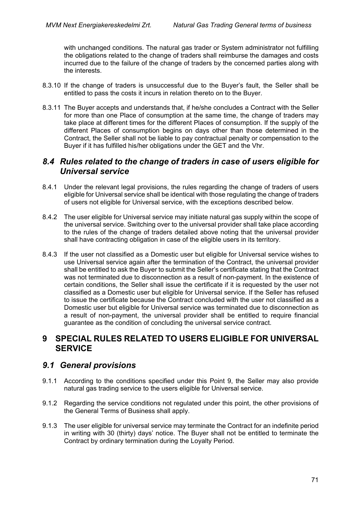with unchanged conditions. The natural gas trader or System administrator not fulfilling the obligations related to the change of traders shall reimburse the damages and costs incurred due to the failure of the change of traders by the concerned parties along with the interests.

- 8.3.10 If the change of traders is unsuccessful due to the Buyer's fault, the Seller shall be entitled to pass the costs it incurs in relation thereto on to the Buyer.
- 8.3.11 The Buyer accepts and understands that, if he/she concludes a Contract with the Seller for more than one Place of consumption at the same time, the change of traders may take place at different times for the different Places of consumption. If the supply of the different Places of consumption begins on days other than those determined in the Contract, the Seller shall not be liable to pay contractual penalty or compensation to the Buyer if it has fulfilled his/her obligations under the GET and the Vhr.

# *8.4 Rules related to the change of traders in case of users eligible for Universal service*

- 8.4.1 Under the relevant legal provisions, the rules regarding the change of traders of users eligible for Universal service shall be identical with those regulating the change of traders of users not eligible for Universal service, with the exceptions described below.
- 8.4.2 The user eligible for Universal service may initiate natural gas supply within the scope of the universal service. Switching over to the universal provider shall take place according to the rules of the change of traders detailed above noting that the universal provider shall have contracting obligation in case of the eligible users in its territory.
- 8.4.3 If the user not classified as a Domestic user but eligible for Universal service wishes to use Universal service again after the termination of the Contract, the universal provider shall be entitled to ask the Buyer to submit the Seller's certificate stating that the Contract was not terminated due to disconnection as a result of non-payment. In the existence of certain conditions, the Seller shall issue the certificate if it is requested by the user not classified as a Domestic user but eligible for Universal service. If the Seller has refused to issue the certificate because the Contract concluded with the user not classified as a Domestic user but eligible for Universal service was terminated due to disconnection as a result of non-payment, the universal provider shall be entitled to require financial guarantee as the condition of concluding the universal service contract.

# **9 SPECIAL RULES RELATED TO USERS ELIGIBLE FOR UNIVERSAL SERVICE**

# *9.1 General provisions*

- 9.1.1 According to the conditions specified under this Point 9, the Seller may also provide natural gas trading service to the users eligible for Universal service.
- 9.1.2 Regarding the service conditions not regulated under this point, the other provisions of the General Terms of Business shall apply.
- 9.1.3 The user eligible for universal service may terminate the Contract for an indefinite period in writing with 30 (thirty) days' notice. The Buyer shall not be entitled to terminate the Contract by ordinary termination during the Loyalty Period.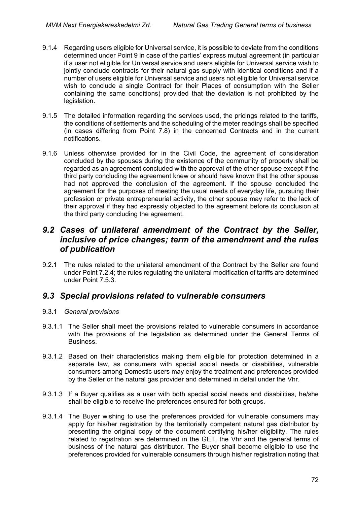- 9.1.4 Regarding users eligible for Universal service, it is possible to deviate from the conditions determined under Point 9 in case of the parties' express mutual agreement (in particular if a user not eligible for Universal service and users eligible for Universal service wish to jointly conclude contracts for their natural gas supply with identical conditions and if a number of users eligible for Universal service and users not eligible for Universal service wish to conclude a single Contract for their Places of consumption with the Seller containing the same conditions) provided that the deviation is not prohibited by the legislation.
- 9.1.5 The detailed information regarding the services used, the pricings related to the tariffs, the conditions of settlements and the scheduling of the meter readings shall be specified (in cases differing from Point 7.8) in the concerned Contracts and in the current notifications.
- 9.1.6 Unless otherwise provided for in the Civil Code, the agreement of consideration concluded by the spouses during the existence of the community of property shall be regarded as an agreement concluded with the approval of the other spouse except if the third party concluding the agreement knew or should have known that the other spouse had not approved the conclusion of the agreement. If the spouse concluded the agreement for the purposes of meeting the usual needs of everyday life, pursuing their profession or private entrepreneurial activity, the other spouse may refer to the lack of their approval if they had expressly objected to the agreement before its conclusion at the third party concluding the agreement.

# *9.2 Cases of unilateral amendment of the Contract by the Seller, inclusive of price changes; term of the amendment and the rules of publication*

9.2.1 The rules related to the unilateral amendment of the Contract by the Seller are found under Point 7.2.4; the rules regulating the unilateral modification of tariffs are determined under Point 7.5.3.

# *9.3 Special provisions related to vulnerable consumers*

### 9.3.1 *General provisions*

- 9.3.1.1 The Seller shall meet the provisions related to vulnerable consumers in accordance with the provisions of the legislation as determined under the General Terms of Business.
- 9.3.1.2 Based on their characteristics making them eligible for protection determined in a separate law, as consumers with special social needs or disabilities, vulnerable consumers among Domestic users may enjoy the treatment and preferences provided by the Seller or the natural gas provider and determined in detail under the Vhr.
- 9.3.1.3 If a Buyer qualifies as a user with both special social needs and disabilities, he/she shall be eligible to receive the preferences ensured for both groups.
- 9.3.1.4 The Buyer wishing to use the preferences provided for vulnerable consumers may apply for his/her registration by the territorially competent natural gas distributor by presenting the original copy of the document certifying his/her eligibility. The rules related to registration are determined in the GET, the Vhr and the general terms of business of the natural gas distributor. The Buyer shall become eligible to use the preferences provided for vulnerable consumers through his/her registration noting that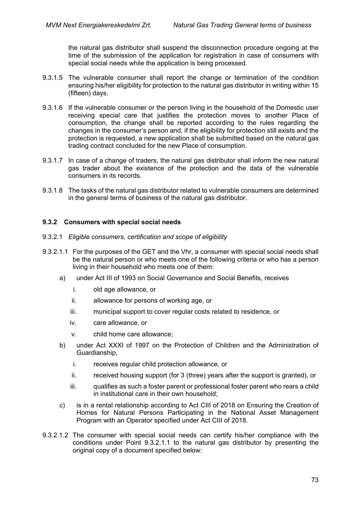the natural gas distributor shall suspend the disconnection procedure ongoing at the time of the submission of the application for registration in case of consumers with special social needs while the application is being processed.

- 9.3.1.5 The vulnerable consumer shall report the change or termination of the condition ensuring his/her eligibility for protection to the natural gas distributor in writing within 15 (fifteen) days.
- 9.3.1.6 If the vulnerable consumer or the person living in the household of the Domestic user receiving special care that justifies the protection moves to another Place of consumption, the change shall be reported according to the rules regarding the changes in the consumer's person and, if the eligibility for protection still exists and the protection is requested, a new application shall be submitted based on the natural gas trading contract concluded for the new Place of consumption.
- 9.3.1.7 In case of a change of traders, the natural gas distributor shall inform the new natural gas trader about the existence of the protection and the data of the vulnerable consumers in its records.
- 9.3.1.8 The tasks of the natural gas distributor related to vulnerable consumers are determined in the general terms of business of the natural gas distributor.

### **9.3.2 Consumers with special social needs**

- 9.3.2.1 *Eligible consumers, certification and scope of eligibility*
- 9.3.2.1.1 For the purposes of the GET and the Vhr, a consumer with special social needs shall be the natural person or who meets one of the following criteria or who has a person living in their household who meets one of them:
	- a) under Act III of 1993 on Social Governance and Social Benefits, receives
		- i. old age allowance, or
		- ii. allowance for persons of working age, or
		- iii. municipal support to cover regular costs related to residence, or
		- iv. care allowance, or
		- v. child home care allowance;
	- b) under Act XXXI of 1997 on the Protection of Children and the Administration of Guardianship,
		- i. receives regular child protection allowance, or
		- ii. received housing support (for 3 (three) years after the support is granted), or
		- iii. qualifies as such a foster parent or professional foster parent who rears a child in institutional care in their own household;
	- c) is in a rental relationship according to Act CIII of 2018 on Ensuring the Creation of Homes for Natural Persons Participating in the National Asset Management Program with an Operator specified under Act CIII of 2018.
- 9.3.2.1.2 The consumer with special social needs can certify his/her compliance with the conditions under Point 9.3.2.1.1 to the natural gas distributor by presenting the original copy of a document specified below: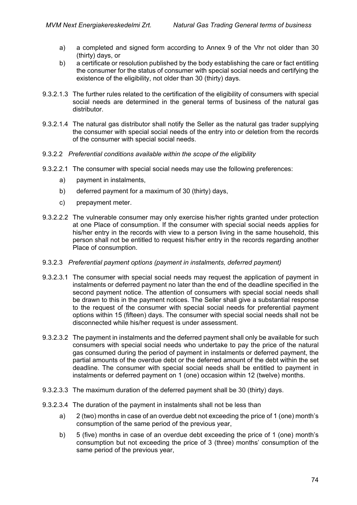- a) a completed and signed form according to Annex 9 of the Vhr not older than 30 (thirty) days, or
- b) a certificate or resolution published by the body establishing the care or fact entitling the consumer for the status of consumer with special social needs and certifying the existence of the eligibility, not older than 30 (thirty) days.
- 9.3.2.1.3 The further rules related to the certification of the eligibility of consumers with special social needs are determined in the general terms of business of the natural gas distributor.
- 9.3.2.1.4 The natural gas distributor shall notify the Seller as the natural gas trader supplying the consumer with special social needs of the entry into or deletion from the records of the consumer with special social needs.
- 9.3.2.2 *Preferential conditions available within the scope of the eligibility*
- 9.3.2.2.1 The consumer with special social needs may use the following preferences:
	- a) payment in instalments,
	- b) deferred payment for a maximum of 30 (thirty) days,
	- c) prepayment meter.
- 9.3.2.2.2 The vulnerable consumer may only exercise his/her rights granted under protection at one Place of consumption. If the consumer with special social needs applies for his/her entry in the records with view to a person living in the same household, this person shall not be entitled to request his/her entry in the records regarding another Place of consumption.

#### 9.3.2.3 *Preferential payment options (payment in instalments, deferred payment)*

- 9.3.2.3.1 The consumer with special social needs may request the application of payment in instalments or deferred payment no later than the end of the deadline specified in the second payment notice. The attention of consumers with special social needs shall be drawn to this in the payment notices. The Seller shall give a substantial response to the request of the consumer with special social needs for preferential payment options within 15 (fifteen) days. The consumer with special social needs shall not be disconnected while his/her request is under assessment.
- 9.3.2.3.2 The payment in instalments and the deferred payment shall only be available for such consumers with special social needs who undertake to pay the price of the natural gas consumed during the period of payment in instalments or deferred payment, the partial amounts of the overdue debt or the deferred amount of the debt within the set deadline. The consumer with special social needs shall be entitled to payment in instalments or deferred payment on 1 (one) occasion within 12 (twelve) months.
- 9.3.2.3.3 The maximum duration of the deferred payment shall be 30 (thirty) days.
- 9.3.2.3.4 The duration of the payment in instalments shall not be less than
	- a) 2 (two) months in case of an overdue debt not exceeding the price of 1 (one) month's consumption of the same period of the previous year,
	- b) 5 (five) months in case of an overdue debt exceeding the price of 1 (one) month's consumption but not exceeding the price of 3 (three) months' consumption of the same period of the previous year,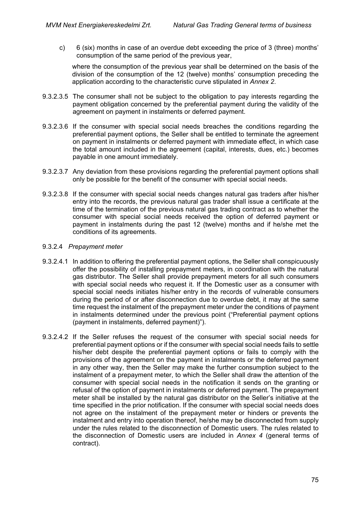c) 6 (six) months in case of an overdue debt exceeding the price of 3 (three) months' consumption of the same period of the previous year,

where the consumption of the previous year shall be determined on the basis of the division of the consumption of the 12 (twelve) months' consumption preceding the application according to the characteristic curve stipulated in *Annex 2*.

- 9.3.2.3.5 The consumer shall not be subject to the obligation to pay interests regarding the payment obligation concerned by the preferential payment during the validity of the agreement on payment in instalments or deferred payment.
- 9.3.2.3.6 If the consumer with special social needs breaches the conditions regarding the preferential payment options, the Seller shall be entitled to terminate the agreement on payment in instalments or deferred payment with immediate effect, in which case the total amount included in the agreement (capital, interests, dues, etc.) becomes payable in one amount immediately.
- 9.3.2.3.7 Any deviation from these provisions regarding the preferential payment options shall only be possible for the benefit of the consumer with special social needs.
- 9.3.2.3.8 If the consumer with special social needs changes natural gas traders after his/her entry into the records, the previous natural gas trader shall issue a certificate at the time of the termination of the previous natural gas trading contract as to whether the consumer with special social needs received the option of deferred payment or payment in instalments during the past 12 (twelve) months and if he/she met the conditions of its agreements.
- 9.3.2.4 *Prepayment meter*
- 9.3.2.4.1 In addition to offering the preferential payment options, the Seller shall conspicuously offer the possibility of installing prepayment meters, in coordination with the natural gas distributor. The Seller shall provide prepayment meters for all such consumers with special social needs who request it. If the Domestic user as a consumer with special social needs initiates his/her entry in the records of vulnerable consumers during the period of or after disconnection due to overdue debt, it may at the same time request the instalment of the prepayment meter under the conditions of payment in instalments determined under the previous point ("Preferential payment options (payment in instalments, deferred payment)").
- 9.3.2.4.2 If the Seller refuses the request of the consumer with special social needs for preferential payment options or if the consumer with special social needs fails to settle his/her debt despite the preferential payment options or fails to comply with the provisions of the agreement on the payment in instalments or the deferred payment in any other way, then the Seller may make the further consumption subject to the instalment of a prepayment meter, to which the Seller shall draw the attention of the consumer with special social needs in the notification it sends on the granting or refusal of the option of payment in instalments or deferred payment. The prepayment meter shall be installed by the natural gas distributor on the Seller's initiative at the time specified in the prior notification. If the consumer with special social needs does not agree on the instalment of the prepayment meter or hinders or prevents the instalment and entry into operation thereof, he/she may be disconnected from supply under the rules related to the disconnection of Domestic users. The rules related to the disconnection of Domestic users are included in *Annex 4* (general terms of contract).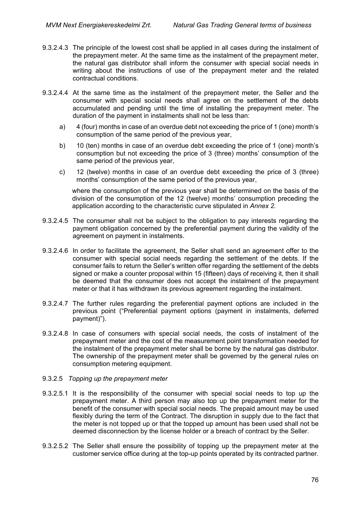- 9.3.2.4.3 The principle of the lowest cost shall be applied in all cases during the instalment of the prepayment meter. At the same time as the instalment of the prepayment meter, the natural gas distributor shall inform the consumer with special social needs in writing about the instructions of use of the prepayment meter and the related contractual conditions.
- 9.3.2.4.4 At the same time as the instalment of the prepayment meter, the Seller and the consumer with special social needs shall agree on the settlement of the debts accumulated and pending until the time of installing the prepayment meter. The duration of the payment in instalments shall not be less than:
	- a) 4 (four) months in case of an overdue debt not exceeding the price of 1 (one) month's consumption of the same period of the previous year,
	- b) 10 (ten) months in case of an overdue debt exceeding the price of 1 (one) month's consumption but not exceeding the price of 3 (three) months' consumption of the same period of the previous year,
	- c) 12 (twelve) months in case of an overdue debt exceeding the price of 3 (three) months' consumption of the same period of the previous year,

where the consumption of the previous year shall be determined on the basis of the division of the consumption of the 12 (twelve) months' consumption preceding the application according to the characteristic curve stipulated in *Annex 2.*

- 9.3.2.4.5 The consumer shall not be subject to the obligation to pay interests regarding the payment obligation concerned by the preferential payment during the validity of the agreement on payment in instalments.
- 9.3.2.4.6 In order to facilitate the agreement, the Seller shall send an agreement offer to the consumer with special social needs regarding the settlement of the debts. If the consumer fails to return the Seller's written offer regarding the settlement of the debts signed or make a counter proposal within 15 (fifteen) days of receiving it, then it shall be deemed that the consumer does not accept the instalment of the prepayment meter or that it has withdrawn its previous agreement regarding the instalment.
- 9.3.2.4.7 The further rules regarding the preferential payment options are included in the previous point ("Preferential payment options (payment in instalments, deferred payment)").
- 9.3.2.4.8 In case of consumers with special social needs, the costs of instalment of the prepayment meter and the cost of the measurement point transformation needed for the instalment of the prepayment meter shall be borne by the natural gas distributor. The ownership of the prepayment meter shall be governed by the general rules on consumption metering equipment.
- 9.3.2.5 *Topping up the prepayment meter*
- 9.3.2.5.1 It is the responsibility of the consumer with special social needs to top up the prepayment meter. A third person may also top up the prepayment meter for the benefit of the consumer with special social needs. The prepaid amount may be used flexibly during the term of the Contract. The disruption in supply due to the fact that the meter is not topped up or that the topped up amount has been used shall not be deemed disconnection by the license holder or a breach of contract by the Seller.
- 9.3.2.5.2 The Seller shall ensure the possibility of topping up the prepayment meter at the customer service office during at the top-up points operated by its contracted partner.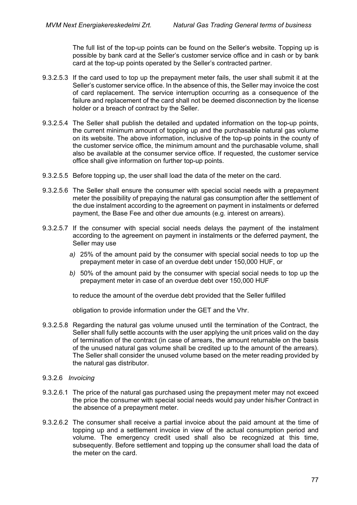The full list of the top-up points can be found on the Seller's website. Topping up is possible by bank card at the Seller's customer service office and in cash or by bank card at the top-up points operated by the Seller's contracted partner.

- 9.3.2.5.3 If the card used to top up the prepayment meter fails, the user shall submit it at the Seller's customer service office. In the absence of this, the Seller may invoice the cost of card replacement. The service interruption occurring as a consequence of the failure and replacement of the card shall not be deemed disconnection by the license holder or a breach of contract by the Seller.
- 9.3.2.5.4 The Seller shall publish the detailed and updated information on the top-up points, the current minimum amount of topping up and the purchasable natural gas volume on its website. The above information, inclusive of the top-up points in the county of the customer service office, the minimum amount and the purchasable volume, shall also be available at the consumer service office. If requested, the customer service office shall give information on further top-up points.
- 9.3.2.5.5 Before topping up, the user shall load the data of the meter on the card.
- 9.3.2.5.6 The Seller shall ensure the consumer with special social needs with a prepayment meter the possibility of prepaying the natural gas consumption after the settlement of the due instalment according to the agreement on payment in instalments or deferred payment, the Base Fee and other due amounts (e.g. interest on arrears).
- 9.3.2.5.7 If the consumer with special social needs delays the payment of the instalment according to the agreement on payment in instalments or the deferred payment, the Seller may use
	- *a)* 25% of the amount paid by the consumer with special social needs to top up the prepayment meter in case of an overdue debt under 150,000 HUF, or
	- *b)* 50% of the amount paid by the consumer with special social needs to top up the prepayment meter in case of an overdue debt over 150,000 HUF
		- to reduce the amount of the overdue debt provided that the Seller fulfilled

obligation to provide information under the GET and the Vhr.

9.3.2.5.8 Regarding the natural gas volume unused until the termination of the Contract, the Seller shall fully settle accounts with the user applying the unit prices valid on the day of termination of the contract (in case of arrears, the amount returnable on the basis of the unused natural gas volume shall be credited up to the amount of the arrears). The Seller shall consider the unused volume based on the meter reading provided by the natural gas distributor.

#### 9.3.2.6 *Invoicing*

- 9.3.2.6.1 The price of the natural gas purchased using the prepayment meter may not exceed the price the consumer with special social needs would pay under his/her Contract in the absence of a prepayment meter.
- 9.3.2.6.2 The consumer shall receive a partial invoice about the paid amount at the time of topping up and a settlement invoice in view of the actual consumption period and volume. The emergency credit used shall also be recognized at this time, subsequently. Before settlement and topping up the consumer shall load the data of the meter on the card.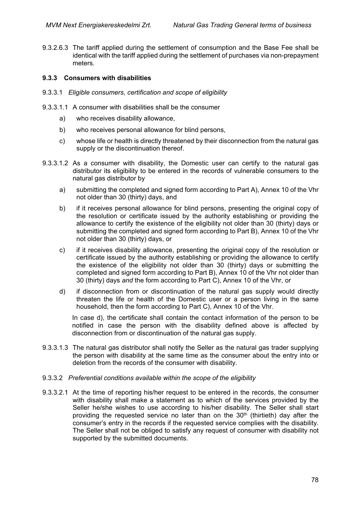9.3.2.6.3 The tariff applied during the settlement of consumption and the Base Fee shall be identical with the tariff applied during the settlement of purchases via non-prepayment meters.

### **9.3.3 Consumers with disabilities**

- 9.3.3.1 *Eligible consumers, certification and scope of eligibility*
- 9.3.3.1.1 A consumer with disabilities shall be the consumer
	- a) who receives disability allowance,
	- b) who receives personal allowance for blind persons,
	- c) whose life or health is directly threatened by their disconnection from the natural gas supply or the discontinuation thereof.
- 9.3.3.1.2 As a consumer with disability, the Domestic user can certify to the natural gas distributor its eligibility to be entered in the records of vulnerable consumers to the natural gas distributor by
	- a) submitting the completed and signed form according to Part A), Annex 10 of the Vhr not older than 30 (thirty) days, and
	- b) if it receives personal allowance for blind persons, presenting the original copy of the resolution or certificate issued by the authority establishing or providing the allowance to certify the existence of the eligibility not older than 30 (thirty) days or submitting the completed and signed form according to Part B), Annex 10 of the Vhr not older than 30 (thirty) days, or
	- c) if it receives disability allowance, presenting the original copy of the resolution or certificate issued by the authority establishing or providing the allowance to certify the existence of the eligibility not older than 30 (thirty) days or submitting the completed and signed form according to Part B), Annex 10 of the Vhr not older than 30 (thirty) days *and* the form according to Part C), Annex 10 of the Vhr, or
	- d) if disconnection from or discontinuation of the natural gas supply would directly threaten the life or health of the Domestic user or a person living in the same household, then the form according to Part C), Annex 10 of the Vhr.

In case d), the certificate shall contain the contact information of the person to be notified in case the person with the disability defined above is affected by disconnection from or discontinuation of the natural gas supply.

9.3.3.1.3 The natural gas distributor shall notify the Seller as the natural gas trader supplying the person with disability at the same time as the consumer about the entry into or deletion from the records of the consumer with disability.

#### 9.3.3.2 *Preferential conditions available within the scope of the eligibility*

9.3.3.2.1 At the time of reporting his/her request to be entered in the records, the consumer with disability shall make a statement as to which of the services provided by the Seller he/she wishes to use according to his/her disability. The Seller shall start providing the requested service no later than on the  $30<sup>th</sup>$  (thirtieth) day after the consumer's entry in the records if the requested service complies with the disability. The Seller shall not be obliged to satisfy any request of consumer with disability not supported by the submitted documents.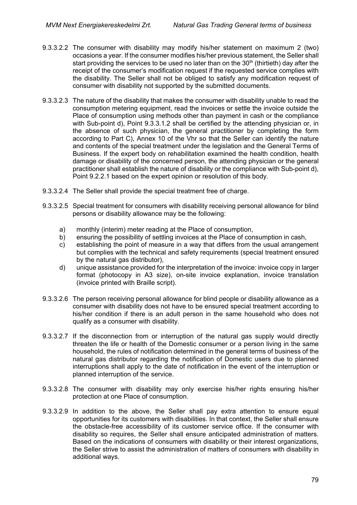- 9.3.3.2.2 The consumer with disability may modify his/her statement on maximum 2 (two) occasions a year. If the consumer modifies his/her previous statement, the Seller shall start providing the services to be used no later than on the  $30<sup>th</sup>$  (thirtieth) day after the receipt of the consumer's modification request if the requested service complies with the disability. The Seller shall not be obliged to satisfy any modification request of consumer with disability not supported by the submitted documents.
- 9.3.3.2.3 The nature of the disability that makes the consumer with disability unable to read the consumption metering equipment, read the invoices or settle the invoice outside the Place of consumption using methods other than payment in cash or the compliance with Sub-point d), Point 9.3.3.1.2 shall be certified by the attending physician or, in the absence of such physician, the general practitioner by completing the form according to Part C), Annex 10 of the Vhr so that the Seller can identify the nature and contents of the special treatment under the legislation and the General Terms of Business. If the expert body on rehabilitation examined the health condition, health damage or disability of the concerned person, the attending physician or the general practitioner shall establish the nature of disability or the compliance with Sub-point d), Point 9.2.2.1 based on the expert opinion or resolution of this body.
- 9.3.3.2.4 The Seller shall provide the special treatment free of charge.
- 9.3.3.2.5 Special treatment for consumers with disability receiving personal allowance for blind persons or disability allowance may be the following:
	- a) monthly (interim) meter reading at the Place of consumption,
	- b) ensuring the possibility of settling invoices at the Place of consumption in cash,
	- c) establishing the point of measure in a way that differs from the usual arrangement but complies with the technical and safety requirements (special treatment ensured by the natural gas distributor),
	- d) unique assistance provided for the interpretation of the invoice: invoice copy in larger format (photocopy in A3 size), on-site invoice explanation, invoice translation (invoice printed with Braille script).
- 9.3.3.2.6 The person receiving personal allowance for blind people or disability allowance as a consumer with disability does not have to be ensured special treatment according to his/her condition if there is an adult person in the same household who does not qualify as a consumer with disability.
- 9.3.3.2.7 If the disconnection from or interruption of the natural gas supply would directly threaten the life or health of the Domestic consumer or a person living in the same household, the rules of notification determined in the general terms of business of the natural gas distributor regarding the notification of Domestic users due to planned interruptions shall apply to the date of notification in the event of the interruption or planned interruption of the service.
- 9.3.3.2.8 The consumer with disability may only exercise his/her rights ensuring his/her protection at one Place of consumption.
- 9.3.3.2.9 In addition to the above, the Seller shall pay extra attention to ensure equal opportunities for its customers with disabilities. In that context, the Seller shall ensure the obstacle-free accessibility of its customer service office. If the consumer with disability so requires, the Seller shall ensure anticipated administration of matters. Based on the indications of consumers with disability or their interest organizations, the Seller strive to assist the administration of matters of consumers with disability in additional ways.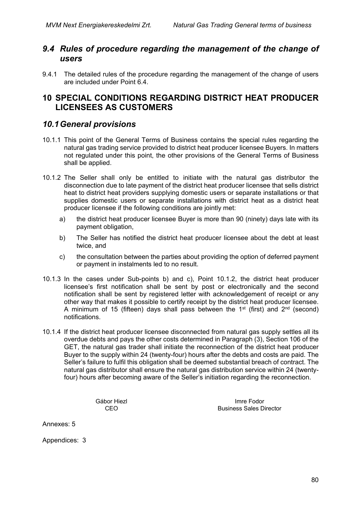## *9.4 Rules of procedure regarding the management of the change of users*

9.4.1 The detailed rules of the procedure regarding the management of the change of users are included under Point 6.4.

# **10 SPECIAL CONDITIONS REGARDING DISTRICT HEAT PRODUCER LICENSEES AS CUSTOMERS**

# *10.1General provisions*

- 10.1.1 This point of the General Terms of Business contains the special rules regarding the natural gas trading service provided to district heat producer licensee Buyers. In matters not regulated under this point, the other provisions of the General Terms of Business shall be applied.
- 10.1.2 The Seller shall only be entitled to initiate with the natural gas distributor the disconnection due to late payment of the district heat producer licensee that sells district heat to district heat providers supplying domestic users or separate installations or that supplies domestic users or separate installations with district heat as a district heat producer licensee if the following conditions are jointly met:
	- a) the district heat producer licensee Buyer is more than 90 (ninety) days late with its payment obligation,
	- b) The Seller has notified the district heat producer licensee about the debt at least twice, and
	- c) the consultation between the parties about providing the option of deferred payment or payment in instalments led to no result.
- 10.1.3 In the cases under Sub-points b) and c), Point 10.1.2, the district heat producer licensee's first notification shall be sent by post or electronically and the second notification shall be sent by registered letter with acknowledgement of receipt or any other way that makes it possible to certify receipt by the district heat producer licensee. A minimum of 15 (fifteen) days shall pass between the 1<sup>st</sup> (first) and  $2^{nd}$  (second) notifications.
- 10.1.4 If the district heat producer licensee disconnected from natural gas supply settles all its overdue debts and pays the other costs determined in Paragraph (3), Section 106 of the GET, the natural gas trader shall initiate the reconnection of the district heat producer Buyer to the supply within 24 (twenty-four) hours after the debts and costs are paid. The Seller's failure to fulfil this obligation shall be deemed substantial breach of contract. The natural gas distributor shall ensure the natural gas distribution service within 24 (twentyfour) hours after becoming aware of the Seller's initiation regarding the reconnection.

Gábor Hiezl **Imre Fodor** Imre Fodor CEO Business Sales Director

Annexes: 5

Appendices: 3